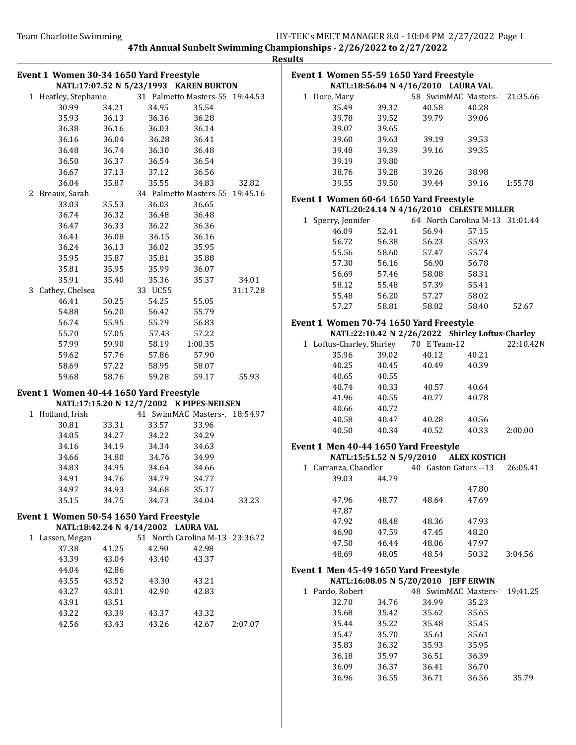**Results** 

|                   |                |                                                      |          | ncəui |
|-------------------|----------------|------------------------------------------------------|----------|-------|
|                   |                | Event 1 Women 30-34 1650 Yard Freestyle              |          | Е     |
|                   |                | NATL:17:07.52 N 5/23/1993 KAREN BURTON               |          |       |
|                   |                | 1 Heatley, Stephanie 31 Palmetto Masters-55 19:44.53 |          |       |
| 30.99             | 34.21          | 35.54<br>34.95                                       |          |       |
| 35.93             | 36.13          | 36.36<br>36.28                                       |          |       |
| 36.38             | 36.16          | 36.03<br>36.14                                       |          |       |
| 36.16             | 36.04          | 36.28<br>36.41                                       |          |       |
| 36.48             | 36.74          | 36.30<br>36.48                                       |          |       |
| 36.50             | 36.37          | 36.54<br>36.54                                       |          |       |
| 36.67             | 37.13          | 37.12<br>36.56                                       |          |       |
| 36.04             | 35.87          | 35.55<br>34.83                                       | 32.82    |       |
| 2 Breaux, Sarah   |                | 34 Palmetto Masters-55 19:45.16                      |          | E     |
| 33.03             | 35.53          | 36.03<br>36.65                                       |          |       |
| 36.74             | 36.32          | 36.48<br>36.48                                       |          |       |
| 36.47             | 36.33          | 36.22<br>36.36                                       |          |       |
| 36.41             | 36.08          | 36.15<br>36.16                                       |          |       |
| 36.24             | 36.13          | 36.02<br>35.95                                       |          |       |
| 35.95             | 35.87          | 35.81<br>35.88                                       |          |       |
| 35.81             | 35.95          | 35.99<br>36.07                                       |          |       |
| 35.91             | 35.40          | 35.36<br>35.37                                       | 34.01    |       |
| 3 Cathey, Chelsea |                | 33 UC55                                              | 31:17.28 |       |
| 46.41             | 50.25          | 54.25<br>55.05                                       |          |       |
| 54.88             | 56.20          | 56.42<br>55.79                                       |          |       |
| 56.74             | 55.95          | 55.79<br>56.83                                       |          | E     |
| 55.70             | 57.05          | 57.43<br>57.22                                       |          |       |
| 57.99             | 59.90          | 58.19<br>1:00.35                                     |          |       |
| 59.62             | 57.76          | 57.86<br>57.90                                       |          |       |
| 58.69             | 57.22          | 58.95<br>58.07                                       |          |       |
| 59.68             | 58.76          | 59.28<br>59.17                                       | 55.93    |       |
|                   |                |                                                      |          |       |
|                   |                | Event 1 Women 40-44 1650 Yard Freestyle              |          |       |
|                   |                | NATL:17:15.20 N 12/7/2002 K PIPES-NEILSEN            |          |       |
| 1 Holland, Irish  |                | 41 SwimMAC Masters- 18:54.97                         |          |       |
| 30.81             | 33.31          | 33.57<br>33.96                                       |          |       |
| 34.05             | 34.27          | 34.22<br>34.29                                       |          |       |
| 34.16             | 34.19          | 34.34<br>34.63                                       |          | Е     |
| 34.66             | 34.80          | 34.76<br>34.99                                       |          |       |
| 34.83             | 34.95          | 34.64<br>34.66                                       |          |       |
| 34.91             | 34.76          | 34.79<br>34.77                                       |          |       |
| 34.97             | 34.93          | 34.68<br>35.17                                       |          |       |
| 35.15             | 34.75          | 34.73<br>34.04                                       | 33.23    |       |
|                   |                | Event 1 Women 50-54 1650 Yard Freestyle              |          |       |
|                   |                | NATL:18:42.24 N 4/14/2002 LAURA VAL                  |          |       |
| 1 Lassen, Megan   |                | 51 North Carolina M-13 23:36.72                      |          |       |
| 37.38             | 41.25          | 42.90<br>42.98                                       |          |       |
| 43.39             | 43.04          | 43.40<br>43.37                                       |          |       |
| 44.04             | 42.86          |                                                      |          | Е     |
| 43.55             | 43.52          | 43.30<br>43.21                                       |          |       |
|                   |                |                                                      |          |       |
| 43.27             | 43.01          | 42.90<br>42.83                                       |          |       |
| 43.91<br>43.22    | 43.51<br>43.39 |                                                      |          |       |
|                   |                | 43.37<br>43.32                                       |          |       |
| 42.56             | 43.43          | 43.26<br>42.67                                       | 2:07.07  |       |
|                   |                |                                                      |          |       |
|                   |                |                                                      |          |       |
|                   |                |                                                      |          |       |
|                   |                |                                                      |          |       |
|                   |                |                                                      |          |       |

|   |                               |       | Event 1 Women 55-59 1650 Yard Freestyle<br>NATL:18:56.04 N 4/16/2010 LAURA VAL |       |           |
|---|-------------------------------|-------|--------------------------------------------------------------------------------|-------|-----------|
|   |                               |       |                                                                                |       |           |
|   | 1 Dore, Mary                  |       | 58 SwimMAC Masters- 21:35.66                                                   |       |           |
|   | 35.49                         | 39.32 | 40.58                                                                          | 40.28 |           |
|   | 39.78                         | 39.52 | 39.79                                                                          | 39.06 |           |
|   | 39.07                         | 39.65 |                                                                                |       |           |
|   | 39.60                         | 39.63 | 39.19                                                                          | 39.53 |           |
|   | 39.48                         | 39.39 | 39.16                                                                          | 39.35 |           |
|   | 39.19                         | 39.80 |                                                                                |       |           |
|   | 38.76                         | 39.28 | 39.26                                                                          | 38.98 |           |
|   | 39.55                         | 39.50 | 39.44                                                                          | 39.16 | 1:55.78   |
|   |                               |       | Event 1 Women 60-64 1650 Yard Freestyle                                        |       |           |
|   |                               |       | NATL:20:24.14 N 4/16/2010 CELESTE MILLER                                       |       |           |
|   | 1 Sperry, Jennifer            |       | 64 North Carolina M-13 31:01.44                                                |       |           |
|   | 46.09                         | 52.41 | 56.94                                                                          | 57.15 |           |
|   | 56.72                         | 56.38 | 56.23                                                                          | 55.93 |           |
|   | 55.56                         | 58.60 | 57.47                                                                          | 55.74 |           |
|   | 57.30                         | 56.16 | 56.90                                                                          | 56.78 |           |
|   | 56.69                         | 57.46 | 58.08                                                                          | 58.31 |           |
|   | 58.12                         | 55.48 | 57.39                                                                          | 55.41 |           |
|   | 55.48                         | 56.20 | 57.27                                                                          | 58.02 |           |
|   | 57.27                         | 58.81 | 58.02                                                                          | 58.40 | 52.67     |
|   |                               |       | Event 1 Women 70-74 1650 Yard Freestyle                                        |       |           |
|   |                               |       | NATL:22:10.42 N 2/26/2022 Shirley Loftus-Charley                               |       |           |
|   |                               |       | 1 Loftus-Charley, Shirley 70 E Team-12                                         |       | 22:10.42N |
|   | 35.96                         | 39.02 | 40.12                                                                          | 40.21 |           |
|   | 40.25                         | 40.45 | 40.49                                                                          | 40.39 |           |
|   | 40.65                         | 40.55 |                                                                                |       |           |
|   | 40.74                         | 40.33 | 40.57                                                                          | 40.64 |           |
|   | 41.96                         | 40.55 | 40.77                                                                          | 40.78 |           |
|   | 40.66                         | 40.72 |                                                                                |       |           |
|   | 40.58                         | 40.47 | 40.28                                                                          | 40.56 |           |
|   | 40.50                         | 40.34 | 40.52                                                                          | 40.33 | 2:00.00   |
|   |                               |       | Event 1 Men 40-44 1650 Yard Freestyle                                          |       |           |
|   |                               |       | NATL:15:51.52 N 5/9/2010 ALEX KOSTICH                                          |       |           |
|   | 1 Carranza, Chandler<br>39.03 | 44.79 | 40 Gaston Gators -- 13 26:05.41                                                |       |           |
|   |                               |       |                                                                                | 47.80 |           |
|   | 47.96                         | 48.77 | 48.64                                                                          | 47.69 |           |
|   | 47.87                         |       |                                                                                |       |           |
|   | 47.92                         | 48.48 | 48.36                                                                          | 47.93 |           |
|   | 46.90                         | 47.59 | 47.45                                                                          | 48.20 |           |
|   | 47.50                         | 46.44 | 48.06                                                                          | 47.97 |           |
|   | 48.69                         | 48.05 | 48.54                                                                          | 50.32 | 3:04.56   |
|   |                               |       | Event 1 Men 45-49 1650 Yard Freestyle                                          |       |           |
|   |                               |       | NATL:16:08.05 N 5/20/2010 JEFF ERWIN                                           |       |           |
| 1 | Pardo, Robert                 |       | 48 SwimMAC Masters-2                                                           |       | 19:41.25  |
|   | 32.70                         | 34.76 | 34.99                                                                          | 35.23 |           |
|   | 35.68                         | 35.42 | 35.62                                                                          | 35.65 |           |
|   | 35.44                         | 35.22 | 35.48                                                                          | 35.45 |           |
|   | 35.47                         | 35.70 | 35.61                                                                          | 35.61 |           |
|   | 35.83                         | 36.32 | 35.93                                                                          | 35.95 |           |
|   | 36.18                         | 35.97 | 36.51                                                                          | 36.39 |           |
|   | 36.09                         | 36.37 | 36.41                                                                          | 36.70 |           |
|   | 36.96                         | 36.55 | 36.71                                                                          | 36.56 | 35.79     |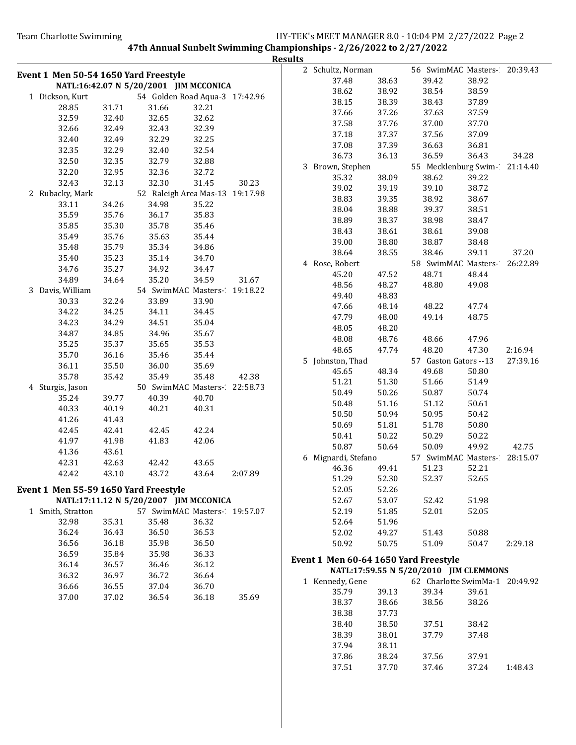|                                       |                |                                        |                                 |         | <b>Results</b> |                                       |                |                                        |                |          |
|---------------------------------------|----------------|----------------------------------------|---------------------------------|---------|----------------|---------------------------------------|----------------|----------------------------------------|----------------|----------|
| Event 1 Men 50-54 1650 Yard Freestyle |                |                                        |                                 |         |                | 2 Schultz, Norman                     |                | 56 SwimMAC Masters-20:39.43            |                |          |
|                                       |                | NATL:16:42.07 N 5/20/2001 JIM MCCONICA |                                 |         |                | 37.48                                 | 38.63          | 39.42                                  | 38.92          |          |
|                                       |                |                                        |                                 |         |                | 38.62                                 | 38.92          | 38.54                                  | 38.59          |          |
| 1 Dickson, Kurt                       |                |                                        | 54 Golden Road Aqua-3 17:42.96  |         |                | 38.15                                 | 38.39          | 38.43                                  | 37.89          |          |
| 28.85<br>32.59                        | 31.71<br>32.40 | 31.66<br>32.65                         | 32.21<br>32.62                  |         |                | 37.66                                 | 37.26          | 37.63                                  | 37.59          |          |
| 32.66                                 | 32.49          |                                        | 32.39                           |         |                | 37.58                                 | 37.76          | 37.00                                  | 37.70          |          |
|                                       |                | 32.43                                  |                                 |         |                | 37.18                                 | 37.37          | 37.56                                  | 37.09          |          |
| 32.40                                 | 32.49          | 32.29                                  | 32.25                           |         |                | 37.08                                 | 37.39          | 36.63                                  | 36.81          |          |
| 32.35                                 | 32.29          | 32.40                                  | 32.54                           |         |                | 36.73                                 | 36.13          | 36.59                                  | 36.43          | 34.28    |
| 32.50                                 | 32.35          | 32.79                                  | 32.88                           |         |                | 3 Brown, Stephen                      |                | 55 Mecklenburg Swim-21:14.40           |                |          |
| 32.20                                 | 32.95          | 32.36                                  | 32.72                           |         |                | 35.32                                 | 38.09          | 38.62                                  | 39.22          |          |
| 32.43                                 | 32.13          | 32.30                                  | 31.45                           | 30.23   |                | 39.02                                 | 39.19          | 39.10                                  | 38.72          |          |
| 2 Rubacky, Mark                       |                |                                        | 52 Raleigh Area Mas-13 19:17.98 |         |                | 38.83                                 | 39.35          | 38.92                                  | 38.67          |          |
| 33.11                                 | 34.26          | 34.98                                  | 35.22                           |         |                | 38.04                                 | 38.88          | 39.37                                  | 38.51          |          |
| 35.59                                 | 35.76          | 36.17                                  | 35.83                           |         |                | 38.89                                 | 38.37          | 38.98                                  | 38.47          |          |
| 35.85                                 | 35.30          | 35.78                                  | 35.46                           |         |                | 38.43                                 | 38.61          | 38.61                                  | 39.08          |          |
| 35.49                                 | 35.76          | 35.63                                  | 35.44                           |         |                | 39.00                                 | 38.80          | 38.87                                  | 38.48          |          |
| 35.48                                 | 35.79          | 35.34                                  | 34.86                           |         |                | 38.64                                 | 38.55          | 38.46                                  | 39.11          | 37.20    |
| 35.40                                 | 35.23          | 35.14                                  | 34.70                           |         |                | 4 Rose, Robert                        |                | 58 SwimMAC Masters- 26:22.89           |                |          |
| 34.76                                 | 35.27          | 34.92                                  | 34.47                           |         |                | 45.20                                 | 47.52          | 48.71                                  | 48.44          |          |
| 34.89                                 | 34.64          | 35.20                                  | 34.59                           | 31.67   |                | 48.56                                 | 48.27          | 48.80                                  | 49.08          |          |
| 3 Davis, William                      |                |                                        | 54 SwimMAC Masters- 19:18.22    |         |                | 49.40                                 | 48.83          |                                        |                |          |
| 30.33                                 | 32.24          | 33.89                                  | 33.90                           |         |                | 47.66                                 | 48.14          | 48.22                                  | 47.74          |          |
| 34.22                                 | 34.25          | 34.11                                  | 34.45                           |         |                | 47.79                                 | 48.00          | 49.14                                  | 48.75          |          |
| 34.23                                 | 34.29          | 34.51                                  | 35.04                           |         |                | 48.05                                 | 48.20          |                                        |                |          |
| 34.87                                 | 34.85          | 34.96                                  | 35.67                           |         |                | 48.08                                 | 48.76          | 48.66                                  | 47.96          |          |
| 35.25                                 | 35.37          | 35.65                                  | 35.53                           |         |                | 48.65                                 | 47.74          | 48.20                                  | 47.30          | 2:16.94  |
| 35.70                                 | 36.16          | 35.46                                  | 35.44                           |         |                |                                       |                |                                        |                |          |
| 36.11                                 | 35.50          | 36.00                                  | 35.69                           |         |                | 5 Johnston, Thad                      |                | 57 Gaston Gators --13                  |                | 27:39.16 |
| 35.78                                 | 35.42          | 35.49                                  | 35.48                           | 42.38   |                | 45.65                                 | 48.34          | 49.68                                  | 50.80          |          |
| 4 Sturgis, Jason                      |                |                                        | 50 SwimMAC Masters- 22:58.73    |         |                | 51.21<br>50.49                        | 51.30<br>50.26 | 51.66                                  | 51.49<br>50.74 |          |
| 35.24                                 | 39.77          | 40.39                                  | 40.70                           |         |                |                                       |                | 50.87                                  |                |          |
| 40.33                                 | 40.19          | 40.21                                  | 40.31                           |         |                | 50.48                                 | 51.16          | 51.12                                  | 50.61          |          |
| 41.26                                 | 41.43          |                                        |                                 |         |                | 50.50                                 | 50.94          | 50.95                                  | 50.42          |          |
| 42.45                                 | 42.41          | 42.45                                  | 42.24                           |         |                | 50.69                                 | 51.81          | 51.78                                  | 50.80          |          |
| 41.97                                 | 41.98          | 41.83                                  | 42.06                           |         |                | 50.41                                 | 50.22          | 50.29                                  | 50.22          |          |
| 41.36                                 | 43.61          |                                        |                                 |         |                | 50.87                                 | 50.64          | 50.09                                  | 49.92          | 42.75    |
| 42.31                                 | 42.63          | 42.42                                  | 43.65                           |         |                | 6 Mignardi, Stefano                   |                | 57 SwimMAC Masters-                    |                | 28:15.07 |
| 42.42                                 | 43.10          | 43.72                                  | 43.64                           | 2:07.89 |                | 46.36                                 | 49.41          | 51.23                                  | 52.21          |          |
|                                       |                |                                        |                                 |         |                | 51.29                                 | 52.30          | 52.37                                  | 52.65          |          |
| Event 1 Men 55-59 1650 Yard Freestyle |                |                                        |                                 |         |                | 52.05                                 | 52.26          |                                        |                |          |
|                                       |                | NATL:17:11.12 N 5/20/2007 JIM MCCONICA |                                 |         |                | 52.67                                 | 53.07          | 52.42                                  | 51.98          |          |
| 1 Smith, Stratton                     |                |                                        | 57 SwimMAC Masters- 19:57.07    |         |                | 52.19                                 | 51.85          | 52.01                                  | 52.05          |          |
| 32.98                                 | 35.31          | 35.48                                  | 36.32                           |         |                | 52.64                                 | 51.96          |                                        |                |          |
| 36.24                                 | 36.43          | 36.50                                  | 36.53                           |         |                | 52.02                                 | 49.27          | 51.43                                  | 50.88          |          |
| 36.56                                 | 36.18          | 35.98                                  | 36.50                           |         |                | 50.92                                 | 50.75          | 51.09                                  | 50.47          | 2:29.18  |
| 36.59                                 | 35.84          | 35.98                                  | 36.33                           |         |                | Event 1 Men 60-64 1650 Yard Freestyle |                |                                        |                |          |
| 36.14                                 | 36.57          | 36.46                                  | 36.12                           |         |                |                                       |                | NATL:17:59.55 N 5/20/2010 JIM CLEMMONS |                |          |
| 36.32                                 | 36.97          | 36.72                                  | 36.64                           |         |                | 1 Kennedy, Gene                       |                | 62 Charlotte SwimMa-1 20:49.92         |                |          |
| 36.66                                 | 36.55          | 37.04                                  | 36.70                           |         |                | 35.79                                 | 39.13          | 39.34                                  | 39.61          |          |
| 37.00                                 | 37.02          | 36.54                                  | 36.18                           | 35.69   |                | 38.37                                 | 38.66          | 38.56                                  | 38.26          |          |
|                                       |                |                                        |                                 |         |                | 38.38                                 | 37.73          |                                        |                |          |
|                                       |                |                                        |                                 |         |                | 38.40                                 | 38.50          | 37.51                                  | 38.42          |          |
|                                       |                |                                        |                                 |         |                | 38.39                                 | 38.01          | 37.79                                  | 37.48          |          |
|                                       |                |                                        |                                 |         |                | 37.94                                 | 38.11          |                                        |                |          |
|                                       |                |                                        |                                 |         |                | 37.86                                 | 38.24          | 37.56                                  | 37.91          |          |
|                                       |                |                                        |                                 |         |                | 37.51                                 | 37.70          | 37.46                                  | 37.24          | 1:48.43  |
|                                       |                |                                        |                                 |         |                |                                       |                |                                        |                |          |
|                                       |                |                                        |                                 |         |                |                                       |                |                                        |                |          |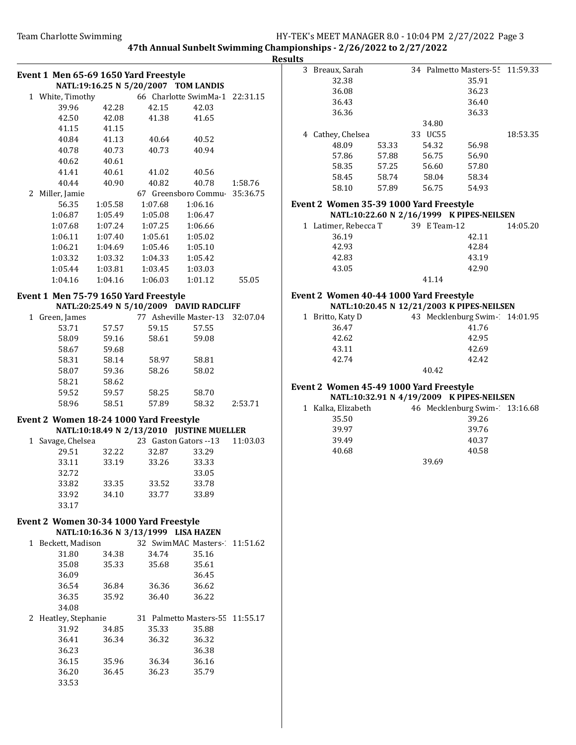Resul

|   | Event 1 Men 65-69 1650 Yard Freestyle           |         |                                      |                                           |          |
|---|-------------------------------------------------|---------|--------------------------------------|-------------------------------------------|----------|
|   |                                                 |         | NATL:19:16.25 N 5/20/2007 TOM LANDIS |                                           |          |
|   | 1 White, Timothy 66 Charlotte SwimMa-1 22:31.15 |         |                                      |                                           |          |
|   | 39.96                                           | 42.28   | 42.15                                | 42.03                                     |          |
|   | 42.50                                           | 42.08   | 41.38                                | 41.65                                     |          |
|   | 41.15                                           | 41.15   |                                      |                                           |          |
|   | 40.84                                           | 41.13   | 40.64                                | 40.52                                     |          |
|   | 40.78                                           | 40.73   | 40.73                                | 40.94                                     |          |
|   | 40.62                                           | 40.61   |                                      |                                           |          |
|   | 41.41                                           | 40.61   | 41.02                                | 40.56                                     |          |
|   | 40.44                                           | 40.90   | 40.82                                | 40.78                                     | 1:58.76  |
|   | 2 Miller, Jamie                                 |         |                                      | 67 Greensboro Commu 35:36.75              |          |
|   | 56.35                                           | 1:05.58 | 1:07.68                              | 1:06.16                                   |          |
|   | 1:06.87                                         | 1:05.49 | 1:05.08                              | 1:06.47                                   |          |
|   | 1:07.68                                         | 1:07.24 | 1:07.25                              | 1:06.66                                   |          |
|   | 1:06.11                                         | 1:07.40 | 1:05.61                              | 1:05.02                                   |          |
|   | 1:06.21                                         | 1:04.69 | 1:05.46                              | 1:05.10                                   |          |
|   | 1:03.32                                         | 1:03.32 | 1:04.33                              | 1:05.42                                   |          |
|   | 1:05.44                                         | 1:03.81 | 1:03.45                              | 1:03.03                                   |          |
|   | 1:04.16                                         | 1:04.16 | 1:06.03                              | 1:01.12                                   | 55.05    |
|   | Event 1 Men 75-79 1650 Yard Freestyle           |         |                                      |                                           |          |
|   |                                                 |         |                                      | NATL:20:25.49 N 5/10/2009 DAVID RADCLIFF  |          |
|   | 1 Green, James                                  |         |                                      | 77 Asheville Master-13                    | 32:07.04 |
|   | 53.71                                           | 57.57   | 59.15                                | 57.55                                     |          |
|   | 58.09                                           | 59.16   | 58.61                                | 59.08                                     |          |
|   | 58.67                                           | 59.68   |                                      |                                           |          |
|   | 58.31                                           | 58.14   | 58.97                                | 58.81                                     |          |
|   | 58.07                                           | 59.36   | 58.26                                | 58.02                                     |          |
|   | 58.21                                           | 58.62   |                                      |                                           |          |
|   | 59.52                                           | 59.57   | 58.25                                | 58.70                                     |          |
|   | 58.96                                           | 58.51   | 57.89                                | 58.32                                     | 2:53.71  |
|   | Event 2 Women 18-24 1000 Yard Freestyle         |         |                                      |                                           |          |
|   |                                                 |         |                                      | NATL:10:18.49 N 2/13/2010 JUSTINE MUELLER |          |
|   | 1 Savage, Chelsea                               |         |                                      | 23 Gaston Gators --13                     | 11:03.03 |
|   | 29.51                                           | 32.22   | 32.87                                | 33.29                                     |          |
|   | 33.11                                           | 33.19   | 33.26                                | 33.33                                     |          |
|   | 32.72                                           |         |                                      | 33.05                                     |          |
|   | 33.82                                           | 33.35   | 33.52                                | 33.78                                     |          |
|   | 33.92                                           | 34.10   | 33.77                                | 33.89                                     |          |
|   | 33.17                                           |         |                                      |                                           |          |
|   | Event 2 Women 30-34 1000 Yard Freestyle         |         |                                      |                                           |          |
|   |                                                 |         | NATL:10:16.36 N 3/13/1999 LISA HAZEN |                                           |          |
|   | 1 Beckett, Madison                              |         |                                      | 32 SwimMAC Masters-                       | 11:51.62 |
|   | 31.80                                           | 34.38   | 34.74                                | 35.16                                     |          |
|   | 35.08                                           | 35.33   | 35.68                                | 35.61                                     |          |
|   | 36.09                                           |         |                                      | 36.45                                     |          |
|   | 36.54                                           | 36.84   | 36.36                                | 36.62                                     |          |
|   | 36.35                                           | 35.92   | 36.40                                | 36.22                                     |          |
|   | 34.08                                           |         |                                      |                                           |          |
| 2 | Heatley, Stephanie                              |         |                                      | 31 Palmetto Masters-55                    | 11:55.17 |
|   | 31.92                                           | 34.85   | 35.33                                | 35.88                                     |          |
|   | 36.41                                           | 36.34   | 36.32                                | 36.32                                     |          |
|   | 36.23                                           |         |                                      | 36.38                                     |          |
|   | 36.15                                           | 35.96   | 36.34                                | 36.16                                     |          |
|   | 36.20                                           | 36.45   | 36.23                                | 35.79                                     |          |
|   | 33.53                                           |         |                                      |                                           |          |
|   |                                                 |         |                                      |                                           |          |

| lt <u>s</u> |   |                                                                                      |       |                                 |       |          |
|-------------|---|--------------------------------------------------------------------------------------|-------|---------------------------------|-------|----------|
|             |   | 3 Breaux, Sarah                                                                      |       | 34 Palmetto Masters-55 11:59.33 |       |          |
|             |   | 32.38                                                                                |       |                                 | 35.91 |          |
|             |   | 36.08                                                                                |       |                                 | 36.23 |          |
|             |   | 36.43                                                                                |       |                                 | 36.40 |          |
|             |   | 36.36                                                                                |       |                                 | 36.33 |          |
|             |   |                                                                                      |       | 34.80                           |       |          |
|             |   | 4 Cathey, Chelsea                                                                    |       | 33 UC55                         |       | 18:53.35 |
|             |   | 48.09                                                                                | 53.33 | 54.32                           | 56.98 |          |
|             |   | 57.86                                                                                | 57.88 | 56.75                           | 56.90 |          |
|             |   | 58.35                                                                                | 57.25 | 56.60                           | 57.80 |          |
|             |   | 58.45                                                                                | 58.74 | 58.04                           | 58.34 |          |
|             |   | 58.10                                                                                | 57.89 | 56.75                           | 54.93 |          |
|             |   |                                                                                      |       |                                 |       |          |
|             |   | Event 2 Women 35-39 1000 Yard Freestyle<br>NATL:10:22.60 N 2/16/1999 K PIPES-NEILSEN |       |                                 |       |          |
|             | 1 | Latimer, Rebecca T                                                                   |       | 39 E Team-12                    |       | 14:05.20 |
|             |   | 36.19                                                                                |       |                                 | 42.11 |          |
|             |   | 42.93                                                                                |       |                                 | 42.84 |          |
|             |   | 42.83                                                                                |       |                                 | 43.19 |          |
|             |   | 43.05                                                                                |       |                                 | 42.90 |          |
|             |   |                                                                                      |       | 41.14                           |       |          |
|             |   |                                                                                      |       |                                 |       |          |
|             |   | Event 2 Women 40-44 1000 Yard Freestyle                                              |       |                                 |       |          |
|             |   | NATL:10:20.45 N 12/21/2003 K PIPES-NEILSEN                                           |       |                                 |       |          |
|             | 1 | Britto, Katy D                                                                       |       | 43 Mecklenburg Swim-14:01.95    |       |          |
|             |   | 36.47                                                                                |       |                                 | 41.76 |          |
|             |   | 42.62                                                                                |       |                                 | 42.95 |          |
|             |   | 43.11                                                                                |       |                                 | 42.69 |          |
|             |   | 42.74                                                                                |       |                                 | 42.42 |          |
|             |   |                                                                                      |       | 40.42                           |       |          |
|             |   | Event 2 Women 45-49 1000 Yard Freestyle                                              |       |                                 |       |          |
|             |   | NATL:10:32.91 N 4/19/2009 K PIPES-NEILSEN                                            |       |                                 |       |          |
|             |   | 1 Kalka, Elizabeth                                                                   |       | 46 Mecklenburg Swim- 13:16.68   |       |          |
|             |   | 35.50                                                                                |       |                                 | 39.26 |          |
|             |   | 39.97                                                                                |       |                                 | 39.76 |          |
|             |   | 39.49                                                                                |       |                                 | 40.37 |          |
|             |   | 40.68                                                                                |       |                                 | 40.58 |          |
|             |   |                                                                                      |       | 39.69                           |       |          |
|             |   |                                                                                      |       |                                 |       |          |
|             |   |                                                                                      |       |                                 |       |          |
|             |   |                                                                                      |       |                                 |       |          |
|             |   |                                                                                      |       |                                 |       |          |
|             |   |                                                                                      |       |                                 |       |          |
|             |   |                                                                                      |       |                                 |       |          |
|             |   |                                                                                      |       |                                 |       |          |
|             |   |                                                                                      |       |                                 |       |          |
|             |   |                                                                                      |       |                                 |       |          |
|             |   |                                                                                      |       |                                 |       |          |
|             |   |                                                                                      |       |                                 |       |          |
|             |   |                                                                                      |       |                                 |       |          |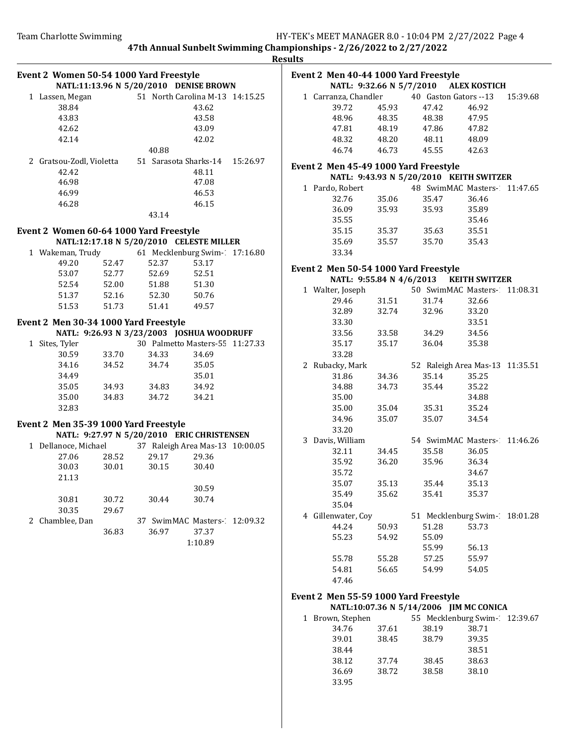5/7/2010 ALEX KOSTICH

5/20/2010 KEITH SWITZER

4/6/2013 KEITH SWITZER

40 Gaston Gators --13 15:39.68

48 SwimMAC Masters-11:47.65

50 SwimMAC Masters-11:08.31

52 Raleigh Area Mas-13 11:35.51

54 SwimMAC Masters-11:46.26

51 Mecklenburg Swim-18:01.28

55 Mecklenburg Swim-12:39.67

5/14/2006 JIM MC CONICA

47th Annual Sunbelt Swimming Championships - 2/26/2022 to 2/27/2022

Results

| Event 2 Women 50-54 1000 Yard Freestyle |       |                                            |                                 |          | Results |                          |       | Event 2 Men 40-44 1000 Yard Freestyle |                 |
|-----------------------------------------|-------|--------------------------------------------|---------------------------------|----------|---------|--------------------------|-------|---------------------------------------|-----------------|
|                                         |       | NATL:11:13.96 N 5/20/2010 DENISE BROWN     |                                 |          |         |                          |       | NATL: 9:32.66 N 5/7/2010 ALEX KOST    |                 |
| 1 Lassen, Megan                         |       |                                            | 51 North Carolina M-13 14:15.25 |          |         | 1 Carranza, Chandler     |       | 40 Gaston Gators -- 1                 |                 |
| 38.84                                   |       |                                            | 43.62                           |          |         | 39.72                    | 45.93 | 47.42                                 | 46.92           |
| 43.83                                   |       |                                            | 43.58                           |          |         | 48.96                    | 48.35 | 48.38                                 | 47.95           |
| 42.62                                   |       |                                            | 43.09                           |          |         | 47.81                    | 48.19 | 47.86                                 | 47.82           |
| 42.14                                   |       |                                            | 42.02                           |          |         | 48.32                    | 48.20 | 48.11                                 | 48.09           |
|                                         |       | 40.88                                      |                                 |          |         | 46.74                    | 46.73 | 45.55                                 | 42.63           |
| 2 Gratsou-Zodl, Violetta                |       | 51 Sarasota Sharks-14                      |                                 | 15:26.97 |         |                          |       |                                       |                 |
| 42.42                                   |       |                                            | 48.11                           |          |         |                          |       | Event 2 Men 45-49 1000 Yard Freestyle |                 |
| 46.98                                   |       |                                            | 47.08                           |          |         |                          |       | NATL: 9:43.93 N 5/20/2010 KEITH SW    |                 |
| 46.99                                   |       |                                            | 46.53                           |          |         | 1 Pardo, Robert          |       | 48 SwimMAC Maste                      |                 |
|                                         |       |                                            |                                 |          |         | 32.76                    | 35.06 | 35.47                                 | 36.46           |
| 46.28                                   |       |                                            | 46.15                           |          |         | 36.09                    | 35.93 | 35.93                                 | 35.89           |
|                                         |       | 43.14                                      |                                 |          |         | 35.55                    |       |                                       | 35.46           |
| Event 2 Women 60-64 1000 Yard Freestyle |       |                                            |                                 |          |         | 35.15                    | 35.37 | 35.63                                 | 35.51           |
|                                         |       | NATL:12:17.18 N 5/20/2010 CELESTE MILLER   |                                 |          |         | 35.69                    | 35.57 | 35.70                                 | 35.43           |
| 1 Wakeman, Trudy                        |       | 61 Mecklenburg Swim- 17:16.80              |                                 |          |         | 33.34                    |       |                                       |                 |
|                                         |       |                                            |                                 |          |         |                          |       |                                       |                 |
| 49.20                                   | 52.47 | 52.37                                      | 53.17                           |          |         |                          |       | Event 2 Men 50-54 1000 Yard Freestyle |                 |
| 53.07                                   | 52.77 | 52.69                                      | 52.51                           |          |         | NATL: 9:55.84 N 4/6/2013 |       |                                       | <b>KEITH SW</b> |
| 52.54                                   | 52.00 | 51.88                                      | 51.30                           |          |         | 1 Walter, Joseph         |       | 50 SwimMAC Maste                      |                 |
| 51.37                                   | 52.16 | 52.30                                      | 50.76                           |          |         | 29.46                    | 31.51 | 31.74                                 | 32.66           |
| 51.53                                   | 51.73 | 51.41                                      | 49.57                           |          |         | 32.89                    | 32.74 | 32.96                                 | 33.20           |
|                                         |       |                                            |                                 |          |         | 33.30                    |       |                                       | 33.51           |
| Event 2 Men 30-34 1000 Yard Freestyle   |       |                                            |                                 |          |         |                          |       |                                       |                 |
|                                         |       | NATL: 9:26.93 N 3/23/2003 JOSHUA WOODRUFF  |                                 |          |         | 33.56                    | 33.58 | 34.29                                 | 34.56           |
| 1 Sites, Tyler                          |       |                                            | 30 Palmetto Masters-55 11:27.33 |          |         | 35.17                    | 35.17 | 36.04                                 | 35.38           |
| 30.59                                   | 33.70 | 34.33                                      | 34.69                           |          |         | 33.28                    |       |                                       |                 |
| 34.16                                   | 34.52 | 34.74                                      | 35.05                           |          |         | 2 Rubacky, Mark          |       | 52 Raleigh Area Mas                   |                 |
| 34.49                                   |       |                                            | 35.01                           |          |         | 31.86                    | 34.36 | 35.14                                 | 35.25           |
| 35.05                                   | 34.93 | 34.83                                      | 34.92                           |          |         | 34.88                    | 34.73 | 35.44                                 | 35.22           |
| 35.00                                   | 34.83 | 34.72                                      | 34.21                           |          |         | 35.00                    |       |                                       | 34.88           |
| 32.83                                   |       |                                            |                                 |          |         | 35.00                    | 35.04 | 35.31                                 | 35.24           |
|                                         |       |                                            |                                 |          |         | 34.96                    | 35.07 | 35.07                                 | 34.54           |
| Event 2 Men 35-39 1000 Yard Freestyle   |       |                                            |                                 |          |         | 33.20                    |       |                                       |                 |
|                                         |       | NATL: 9:27.97 N 5/20/2010 ERIC CHRISTENSEN |                                 |          |         | 3 Davis, William         |       | 54 SwimMAC Maste                      |                 |
| 1 Dellanoce, Michael                    |       | 37 Raleigh Area Mas-13 10:00.05            |                                 |          |         | 32.11                    | 34.45 | 35.58                                 | 36.05           |
| 27.06                                   | 28.52 | 29.17                                      | 29.36                           |          |         | 35.92                    | 36.20 | 35.96                                 | 36.34           |
| 30.03                                   | 30.01 | 30.15                                      | 30.40                           |          |         | 35.72                    |       |                                       | 34.67           |
| 21.13                                   |       |                                            |                                 |          |         |                          |       |                                       |                 |
|                                         |       |                                            | 30.59                           |          |         | 35.07                    | 35.13 | 35.44                                 | 35.13           |
| 30.81                                   | 30.72 | 30.44                                      | 30.74                           |          |         | 35.49                    | 35.62 | 35.41                                 | 35.37           |
| 30.35                                   | 29.67 |                                            |                                 |          |         | 35.04                    |       |                                       |                 |
| 2 Chamblee, Dan                         |       |                                            | 37 SwimMAC Masters- 12:09.32    |          |         | 4 Gillenwater, Coy       |       | 51 Mecklenburg Swi                    |                 |
|                                         | 36.83 | 36.97                                      | 37.37                           |          |         | 44.24                    | 50.93 | 51.28                                 | 53.73           |
|                                         |       |                                            | 1:10.89                         |          |         | 55.23                    | 54.92 | 55.09                                 |                 |
|                                         |       |                                            |                                 |          |         |                          |       | 55.99                                 | 56.13           |
|                                         |       |                                            |                                 |          |         | 55.78                    | 55.28 | 57.25                                 | 55.97           |
|                                         |       |                                            |                                 |          |         | 54.81                    | 56.65 | 54.99                                 | 54.05           |
|                                         |       |                                            |                                 |          |         | 47.46                    |       |                                       |                 |
|                                         |       |                                            |                                 |          |         |                          |       |                                       |                 |
|                                         |       |                                            |                                 |          |         |                          |       | Event 2 Men 55-59 1000 Yard Freestyle |                 |
|                                         |       |                                            |                                 |          |         |                          |       | NATL:10:07.36 N 5/14/2006 JIM MC CO   |                 |
|                                         |       |                                            |                                 |          |         | 1 Brown, Stephen         |       | 55 Mecklenburg Swi                    |                 |
|                                         |       |                                            |                                 |          |         | 34.76                    | 37.61 | 38.19                                 | 38.71           |
|                                         |       |                                            |                                 |          |         | 39.01                    | 38.45 | 38.79                                 | 39.35           |
|                                         |       |                                            |                                 |          |         | 38.44                    |       |                                       | 38.51           |
|                                         |       |                                            |                                 |          |         | 38.12                    | 37.74 | 38.45                                 | 38.63           |
|                                         |       |                                            |                                 |          |         | 36.69                    | 38.72 | 38.58                                 | 38.10           |
|                                         |       |                                            |                                 |          |         | 33.95                    |       |                                       |                 |
|                                         |       |                                            |                                 |          |         |                          |       |                                       |                 |
|                                         |       |                                            |                                 |          |         |                          |       |                                       |                 |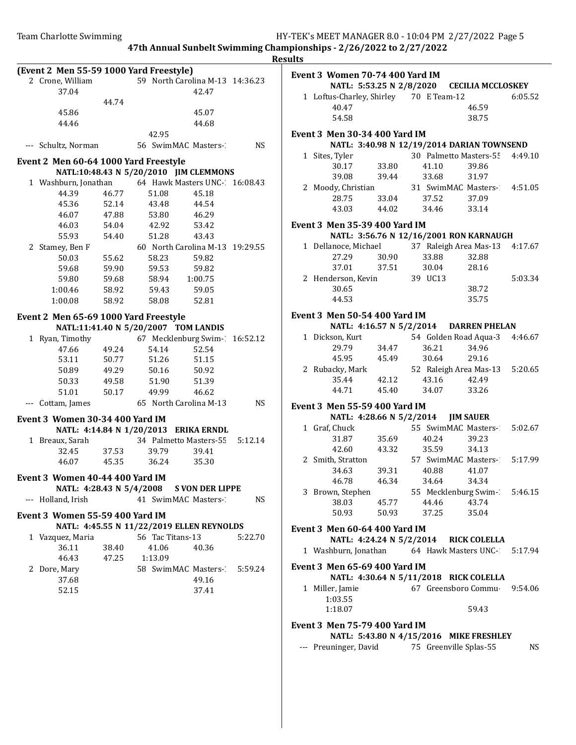47th Annual Sunbelt Swimming Championships - 2/26/2022 to 2/27/2022 Results

|                                         |                |                                           |                                 |           | ncount                               |                          |                                              |                               |         |
|-----------------------------------------|----------------|-------------------------------------------|---------------------------------|-----------|--------------------------------------|--------------------------|----------------------------------------------|-------------------------------|---------|
| (Event 2 Men 55-59 1000 Yard Freestyle) |                |                                           |                                 |           | Event 3 Women 70-74 400 Yard IM      |                          |                                              |                               |         |
| 2 Crone, William                        |                |                                           | 59 North Carolina M-13 14:36.23 |           |                                      | NATL: 5:53.25 N 2/8/2020 |                                              | <b>CECILIA MCCLOSKEY</b>      |         |
| 37.04                                   |                |                                           | 42.47                           |           |                                      |                          | 1 Loftus-Charley, Shirley 70 E Team-12       |                               | 6:05.52 |
|                                         | 44.74          |                                           |                                 |           | 40.47                                |                          |                                              | 46.59                         |         |
| 45.86                                   |                |                                           | 45.07                           |           | 54.58                                |                          |                                              | 38.75                         |         |
| 44.46                                   |                |                                           | 44.68                           |           |                                      |                          |                                              |                               |         |
|                                         |                | 42.95                                     |                                 |           | Event 3 Men 30-34 400 Yard IM        |                          |                                              |                               |         |
| --- Schultz, Norman                     |                | 56 SwimMAC Masters-                       |                                 | <b>NS</b> |                                      |                          | NATL: 3:40.98 N 12/19/2014 DARIAN TOWNSEND   |                               |         |
| Event 2 Men 60-64 1000 Yard Freestyle   |                |                                           |                                 |           | 1 Sites, Tyler                       |                          |                                              | 30 Palmetto Masters-55        | 4:49.10 |
|                                         |                | NATL:10:48.43 N 5/20/2010 JIM CLEMMONS    |                                 |           | 30.17                                | 33.80                    | 41.10                                        | 39.86                         |         |
| 1 Washburn, Jonathan                    |                |                                           | 64 Hawk Masters UNC- 16:08.43   |           | 39.08                                | 39.44                    | 33.68                                        | 31.97                         |         |
| 44.39                                   | 46.77          | 51.08                                     | 45.18                           |           | 2 Moody, Christian                   |                          |                                              | 31 SwimMAC Masters-2          | 4:51.05 |
| 45.36                                   | 52.14          | 43.48                                     | 44.54                           |           | 28.75                                | 33.04                    | 37.52                                        | 37.09                         |         |
| 46.07                                   | 47.88          | 53.80                                     | 46.29                           |           | 43.03                                | 44.02                    | 34.46                                        | 33.14                         |         |
| 46.03                                   | 54.04          | 42.92                                     | 53.42                           |           | <b>Event 3 Men 35-39 400 Yard IM</b> |                          |                                              |                               |         |
| 55.93                                   | 54.40          | 51.28                                     | 43.43                           |           |                                      |                          | NATL: 3:56.76 N 12/16/2001 RON KARNAUGH      |                               |         |
| 2 Stamey, Ben F                         |                |                                           | 60 North Carolina M-13 19:29.55 |           | 1 Dellanoce, Michael                 |                          |                                              | 37 Raleigh Area Mas-13        | 4:17.67 |
| 50.03                                   | 55.62          | 58.23                                     | 59.82                           |           | 27.29                                | 30.90                    | 33.88                                        | 32.88                         |         |
| 59.68                                   | 59.90          | 59.53                                     | 59.82                           |           | 37.01                                | 37.51                    | 30.04                                        | 28.16                         |         |
| 59.80                                   | 59.68          | 58.94                                     | 1:00.75                         |           | 2 Henderson, Kevin                   |                          | 39 UC13                                      |                               | 5:03.34 |
| 1:00.46                                 | 58.92          | 59.43                                     | 59.05                           |           | 30.65                                |                          |                                              | 38.72                         |         |
| 1:00.08                                 | 58.92          | 58.08                                     | 52.81                           |           | 44.53                                |                          |                                              | 35.75                         |         |
|                                         |                |                                           |                                 |           | <b>Event 3 Men 50-54 400 Yard IM</b> |                          |                                              |                               |         |
| Event 2 Men 65-69 1000 Yard Freestyle   |                |                                           |                                 |           |                                      | NATL: 4:16.57 N 5/2/2014 |                                              | <b>DARREN PHELAN</b>          |         |
|                                         |                | NATL:11:41.40 N 5/20/2007 TOM LANDIS      |                                 |           | 1 Dickson, Kurt                      |                          |                                              | 54 Golden Road Aqua-3         | 4:46.67 |
| 1 Ryan, Timothy                         |                |                                           | 67 Mecklenburg Swim-16:52.12    |           | 29.79                                | 34.47                    | 36.21                                        | 34.96                         |         |
| 47.66                                   | 49.24          | 54.14                                     | 52.54                           |           | 45.95                                | 45.49                    | 30.64                                        | 29.16                         |         |
| 53.11                                   | 50.77<br>49.29 | 51.26                                     | 51.15                           |           | 2 Rubacky, Mark                      |                          |                                              | 52 Raleigh Area Mas-13        | 5:20.65 |
| 50.89<br>50.33                          | 49.58          | 50.16<br>51.90                            | 50.92<br>51.39                  |           | 35.44                                | 42.12                    | 43.16                                        | 42.49                         |         |
| 51.01                                   | 50.17          | 49.99                                     | 46.62                           |           | 44.71                                | 45.40                    | 34.07                                        | 33.26                         |         |
| --- Cottam, James                       |                | 65 North Carolina M-13                    |                                 | <b>NS</b> |                                      |                          |                                              |                               |         |
|                                         |                |                                           |                                 |           | <b>Event 3 Men 55-59 400 Yard IM</b> |                          |                                              |                               |         |
| Event 3 Women 30-34 400 Yard IM         |                |                                           |                                 |           |                                      | NATL: 4:28.66 N 5/2/2014 |                                              | <b>JIM SAUER</b>              |         |
|                                         |                | NATL: 4:14.84 N 1/20/2013 ERIKA ERNDL     |                                 |           | 1 Graf, Chuck                        |                          |                                              | 55 SwimMAC Masters-1          | 5:02.67 |
| 1 Breaux, Sarah                         |                |                                           | 34 Palmetto Masters-55          | 5:12.14   | 31.87                                | 35.69                    | 40.24                                        | 39.23                         |         |
| 32.45                                   | 37.53          | 39.79                                     | 39.41                           |           | 42.60                                | 43.32                    | 35.59                                        | 34.13                         |         |
| 46.07                                   | 45.35          | 36.24                                     | 35.30                           |           | 2 Smith, Stratton                    |                          |                                              | 57 SwimMAC Masters-1          | 5:17.99 |
| Event 3 Women 40-44 400 Yard IM         |                |                                           |                                 |           | 34.63                                | 39.31                    | 40.88                                        | 41.07                         |         |
|                                         |                | NATL: 4:28.43 N 5/4/2008 S VON DER LIPPE  |                                 |           | 46.78                                | 46.34                    | 34.64                                        | 34.34                         |         |
| --- Holland, Irish                      |                |                                           | 41 SwimMAC Masters-             | <b>NS</b> | 3 Brown, Stephen                     |                          |                                              | 55 Mecklenburg Swim-1         | 5:46.15 |
|                                         |                |                                           |                                 |           | 38.03                                | 45.77                    | 44.46                                        | 43.74                         |         |
| Event 3 Women 55-59 400 Yard IM         |                |                                           |                                 |           | 50.93                                | 50.93                    | 37.25                                        | 35.04                         |         |
|                                         |                | NATL: 4:45.55 N 11/22/2019 ELLEN REYNOLDS |                                 |           | <b>Event 3 Men 60-64 400 Yard IM</b> |                          |                                              |                               |         |
| 1 Vazquez, Maria                        |                | 56 Tac Titans-13                          |                                 | 5:22.70   |                                      | NATL: 4:24.24 N 5/2/2014 |                                              | <b>RICK COLELLA</b>           |         |
| 36.11                                   | 38.40          | 41.06                                     | 40.36                           |           | 1 Washburn, Jonathan                 |                          |                                              | 64 Hawk Masters UNC-2 5:17.94 |         |
| 46.43                                   | 47.25          | 1:13.09                                   |                                 |           | Event 3 Men 65-69 400 Yard IM        |                          |                                              |                               |         |
| 2 Dore, Mary                            |                |                                           | 58 SwimMAC Masters-             | 5:59.24   |                                      |                          | NATL: 4:30.64 N 5/11/2018 RICK COLELLA       |                               |         |
| 37.68                                   |                |                                           | 49.16                           |           | 1 Miller, Jamie                      |                          |                                              | 67 Greensboro Commu           | 9:54.06 |
| 52.15                                   |                |                                           | 37.41                           |           | 1:03.55                              |                          |                                              |                               |         |
|                                         |                |                                           |                                 |           | 1:18.07                              |                          |                                              | 59.43                         |         |
|                                         |                |                                           |                                 |           |                                      |                          |                                              |                               |         |
|                                         |                |                                           |                                 |           | Event 3 Men 75-79 400 Yard IM        |                          |                                              |                               |         |
|                                         |                |                                           |                                 |           |                                      |                          | NATL: 5:43.80 N 4/15/2016 MIKE FRESHLEY      |                               |         |
|                                         |                |                                           |                                 |           |                                      |                          | --- Preuninger, David 75 Greenville Splas-55 |                               | NS      |

| 2 Moody, Christian                                                  |       |                            | 31 SwimMAC Masters-2 4:51.05   |         |
|---------------------------------------------------------------------|-------|----------------------------|--------------------------------|---------|
| 28.75                                                               | 33.04 | 37.52                      | 37.09                          |         |
|                                                                     |       | 43.03  44.02  34.46  33.14 |                                |         |
| Event 3 Men 35-39 400 Yard IM                                       |       |                            |                                |         |
| NATL: 3:56.76 N 12/16/2001 RON KARNAUGH                             |       |                            |                                |         |
| 1 Dellanoce, Michael 37 Raleigh Area Mas-13 4:17.67                 |       |                            |                                |         |
| 27.29                                                               | 30.90 | 33.88                      | 32.88                          |         |
| 37.01                                                               |       | 37.51 30.04 28.16          |                                |         |
| 2 Henderson, Kevin 39 UC13                                          |       |                            |                                | 5:03.34 |
| 30.65                                                               |       |                            | 38.72                          |         |
| 44.53                                                               |       |                            | 35.75                          |         |
| Event 3 Men 50-54 400 Yard IM                                       |       |                            |                                |         |
| NATL: 4:16.57 N 5/2/2014 DARREN PHELAN                              |       |                            |                                |         |
| 1 Dickson, Kurt                                                     |       |                            | 54 Golden Road Aqua-3 4:46.67  |         |
| 29.79                                                               | 34.47 | 36.21                      | 34.96                          |         |
| 45.95                                                               | 45.49 | 30.64                      | 29.16                          |         |
|                                                                     |       |                            | 52 Raleigh Area Mas-13 5:20.65 |         |
|                                                                     |       |                            |                                |         |
| 2 Rubacky, Mark 52 Raleigh 35.44 42.12 43.16<br>44.71 45.40 34.07   |       | 43.16 42.49<br>34.07 33.26 |                                |         |
|                                                                     |       |                            |                                |         |
| Event 3 Men 55-59 400 Yard IM<br>NATL: 4:28.66 N 5/2/2014 JIM SAUER |       |                            |                                |         |
| 1 Graf, Chuck                                                       |       |                            | 55 SwimMAC Masters-2 5:02.67   |         |
| 31.87 35.69                                                         |       | 40.24                      | 39.23                          |         |
| 42.60 43.32                                                         |       | 35.59 34.13                |                                |         |
| 2 Smith, Stratton 57 SwimMAC Masters-1 5:17.99                      |       |                            |                                |         |
|                                                                     |       | 34.63 39.31 40.88 41.07    |                                |         |
| 46.78 46.34                                                         |       | 34.64 34.34                |                                |         |
| 3 Brown, Stephen 55 Mecklenburg Swim-1 5:46.15                      |       |                            |                                |         |
|                                                                     |       | 38.03 45.77 44.46 43.74    |                                |         |
| 50.93 50.93                                                         |       | 37.25 35.04                |                                |         |
|                                                                     |       |                            |                                |         |
| Event 3 Men 60-64 400 Yard IM                                       |       |                            |                                |         |
| NATL: 4:24.24 N 5/2/2014 RICK COLELLA                               |       |                            |                                |         |
| 1 Washburn, Jonathan 64 Hawk Masters UNC-7 5:17.94                  |       |                            |                                |         |
| Event 3 Men 65-69 400 Yard IM                                       |       |                            |                                |         |
| NATL: 4:30.64 N 5/11/2018 RICK COLELLA                              |       |                            |                                |         |
| 1 Miller, Jamie                                                     |       |                            | 67 Greensboro Commu 9:54.06    |         |

|  | NATL: 5:43.80 N 4/15/2016 MIKE FRESHLEY |
|--|-----------------------------------------|
|  |                                         |

vid 75 Greenville Splas-55 NS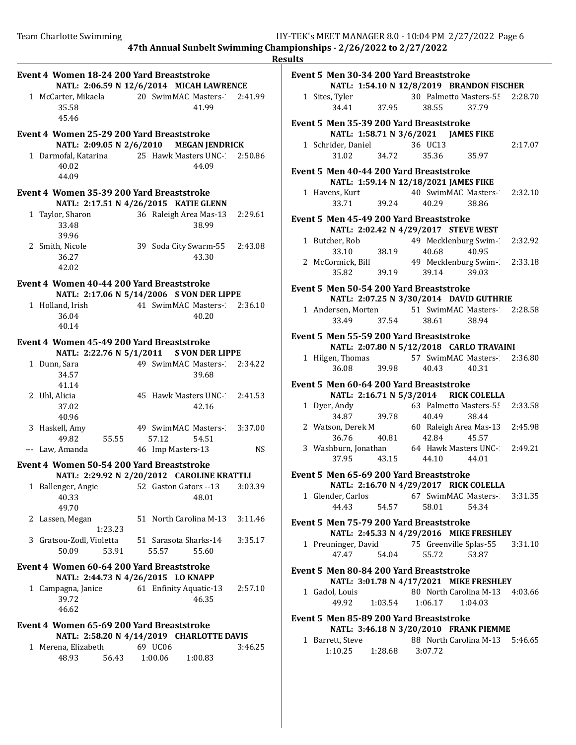|                                                                                   |                                                                                         | <b>Results</b>                                                                                                                                                                      |
|-----------------------------------------------------------------------------------|-----------------------------------------------------------------------------------------|-------------------------------------------------------------------------------------------------------------------------------------------------------------------------------------|
| Event 4 Women 18-24 200 Yard Breaststroke                                         | NATL: 2:06.59 N 12/6/2014 MICAH LAWRENCE                                                | Event 5 Men 30-34 200 Yard Breaststroke<br>NATL: 1:54.10 N 12/8/2019 BRANDON FISCHER                                                                                                |
| 1 McCarter, Mikaela<br>35.58<br>45.46                                             | 20 SwimMAC Masters-<br>2:41.99<br>41.99                                                 | 30 Palmetto Masters-55<br>1 Sites, Tyler<br>2:28.70<br>34.41<br>37.95<br>38.55<br>37.79                                                                                             |
| Event 4 Women 25-29 200 Yard Breaststroke<br>1 Darmofal, Katarina                 | NATL: 2:09.05 N 2/6/2010 MEGAN JENDRICK<br>25 Hawk Masters UNC-1<br>2:50.86             | Event 5 Men 35-39 200 Yard Breaststroke<br>NATL: 1:58.71 N 3/6/2021 JAMES FIKE<br>36 UC13<br>1 Schrider, Daniel<br>2:17.07<br>34.72<br>35.36<br>35.97<br>31.02                      |
| 40.02<br>44.09                                                                    | 44.09                                                                                   | Event 5 Men 40-44 200 Yard Breaststroke<br>NATL: 1:59.14 N 12/18/2021 JAMES FIKE                                                                                                    |
| Event 4 Women 35-39 200 Yard Breaststroke                                         | NATL: 2:17.51 N 4/26/2015 KATIE GLENN                                                   | 40 SwimMAC Masters-1<br>1 Havens, Kurt<br>2:32.10<br>33.71<br>39.24<br>40.29<br>38.86                                                                                               |
| 1 Taylor, Sharon<br>33.48<br>39.96                                                | 36 Raleigh Area Mas-13<br>2:29.61<br>38.99                                              | Event 5 Men 45-49 200 Yard Breaststroke<br>NATL: 2:02.42 N 4/29/2017 STEVE WEST<br>49 Mecklenburg Swim-1<br>1 Butcher, Rob<br>2:32.92                                               |
| 2 Smith, Nicole<br>36.27<br>42.02                                                 | 39 Soda City Swarm-55<br>2:43.08<br>43.30                                               | 33.10<br>38.19<br>40.68<br>40.95<br>2 McCormick, Bill<br>49 Mecklenburg Swim-1<br>2:33.18<br>39.19<br>35.82<br>39.14<br>39.03                                                       |
| Event 4 Women 40-44 200 Yard Breaststroke                                         | NATL: 2:17.06 N 5/14/2006 S VON DER LIPPE                                               | Event 5 Men 50-54 200 Yard Breaststroke<br>NATL: 2:07.25 N 3/30/2014 DAVID GUTHRIE                                                                                                  |
| 1 Holland, Irish<br>36.04<br>40.14                                                | 41 SwimMAC Masters-1<br>2:36.10<br>40.20                                                | 51 SwimMAC Masters-2<br>1 Andersen, Morten<br>2:28.58<br>33.49<br>37.54<br>38.94<br>38.61                                                                                           |
| Event 4 Women 45-49 200 Yard Breaststroke                                         | NATL: 2:22.76 N 5/1/2011 S VON DER LIPPE                                                | Event 5 Men 55-59 200 Yard Breaststroke<br>NATL: 2:07.80 N 5/12/2018 CARLO TRAVAINI                                                                                                 |
| 1 Dunn, Sara<br>34.57                                                             | 49 SwimMAC Masters-<br>2:34.22<br>39.68                                                 | 57 SwimMAC Masters-2<br>1 Hilgen, Thomas<br>2:36.80<br>36.08<br>39.98<br>40.43<br>40.31                                                                                             |
| 41.14<br>2 Uhl, Alicia<br>37.02                                                   | 45 Hawk Masters UNC-<br>2:41.53<br>42.16                                                | Event 5 Men 60-64 200 Yard Breaststroke<br>NATL: 2:16.71 N 5/3/2014 RICK COLELLA<br>63 Palmetto Masters-55<br>1 Dyer, Andy<br>2:33.58<br>39.78<br>40.49<br>34.87<br>38.44           |
| 40.96<br>3 Haskell, Amy<br>49.82<br>55.55                                         | 49 SwimMAC Masters-<br>3:37.00<br>57.12<br>54.51                                        | 2 Watson, Derek M<br>60 Raleigh Area Mas-13<br>2:45.98<br>36.76<br>40.81<br>42.84<br>45.57<br>2:49.21                                                                               |
| --- Law, Amanda<br>Event 4 Women 50-54 200 Yard Breaststroke                      | 46 Imp Masters-13                                                                       | 3 Washburn, Jonathan<br>64 Hawk Masters UNC-1<br><b>NS</b><br>43.15<br>37.95<br>44.10<br>44.01                                                                                      |
| 1 Ballenger, Angie<br>40.33<br>49.70                                              | NATL: 2:29.92 N 2/20/2012 CAROLINE KRATTLI<br>52 Gaston Gators --13<br>3:03.39<br>48.01 | Event 5 Men 65-69 200 Yard Breaststroke<br>NATL: 2:16.70 N 4/29/2017 RICK COLELLA<br>67 SwimMAC Masters-<br>1 Glender, Carlos<br>3:31.35<br>44.43<br>58.01<br>54.34<br>54.57        |
| 2 Lassen, Megan<br>1:23.23                                                        | 51 North Carolina M-13<br>3:11.46                                                       | Event 5 Men 75-79 200 Yard Breaststroke<br>NATL: 2:45.33 N 4/29/2016 MIKE FRESHLEY                                                                                                  |
| 3 Gratsou-Zodl, Violetta<br>50.09<br>53.91                                        | 51 Sarasota Sharks-14<br>3:35.17<br>55.57<br>55.60                                      | 1 Preuninger, David<br>75 Greenville Splas-55<br>3:31.10<br>55.72<br>47.47<br>54.04<br>53.87                                                                                        |
| Event 4 Women 60-64 200 Yard Breaststroke<br>1 Campagna, Janice<br>39.72<br>46.62 | NATL: 2:44.73 N 4/26/2015 LO KNAPP<br>61 Enfinity Aquatic-13<br>2:57.10<br>46.35        | Event 5 Men 80-84 200 Yard Breaststroke<br>NATL: 3:01.78 N 4/17/2021 MIKE FRESHLEY<br>80 North Carolina M-13<br>1 Gadol, Louis<br>4:03.66<br>49.92<br>1:03.54<br>1:06.17<br>1:04.03 |
| Event 4 Women 65-69 200 Yard Breaststroke<br>1 Merena, Elizabeth                  | NATL: 2:58.20 N 4/14/2019 CHARLOTTE DAVIS<br>69 UC06                                    | Event 5 Men 85-89 200 Yard Breaststroke<br>NATL: 3:46.18 N 3/20/2010 FRANK PIEMME<br>1 Barrett, Steve<br>88 North Carolina M-13 5:46.65<br>3:46.25                                  |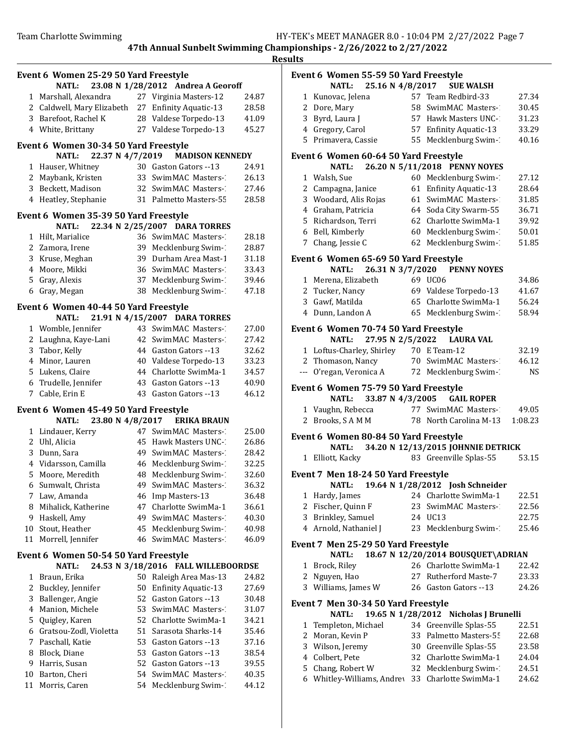| esul<br>، س<br> |  |
|-----------------|--|
|                 |  |

|                | Event 6 Women 25-29 50 Yard Freestyle                     |    |                                               |                |  |  |  |
|----------------|-----------------------------------------------------------|----|-----------------------------------------------|----------------|--|--|--|
|                | <b>NATL:</b>                                              |    | 23.08 N 1/28/2012 Andrea A Georoff            |                |  |  |  |
| 1              | Marshall, Alexandra                                       |    | 27 Virginia Masters-12                        | 24.87          |  |  |  |
|                | 2 Caldwell, Mary Elizabeth 27 Enfinity Aquatic-13         |    |                                               | 28.58          |  |  |  |
|                | 3 Barefoot, Rachel K                                      |    | 28 Valdese Torpedo-13                         | 41.09          |  |  |  |
|                | 4 White, Brittany                                         |    | 27 Valdese Torpedo-13                         | 45.27          |  |  |  |
|                | Event 6 Women 30-34 50 Yard Freestyle<br>22.37 N 4/7/2019 |    |                                               |                |  |  |  |
|                | <b>NATL:</b>                                              |    | <b>MADISON KENNEDY</b>                        |                |  |  |  |
| 1              | Hauser, Whitney                                           |    | 30 Gaston Gators --13                         | 24.91          |  |  |  |
| 2              | Maybank, Kristen                                          | 33 | SwimMAC Masters-                              | 26.13          |  |  |  |
|                | 3 Beckett, Madison<br>4 Heatley, Stephanie                |    | 32 SwimMAC Masters-<br>31 Palmetto Masters-55 | 27.46<br>28.58 |  |  |  |
|                | Event 6 Women 35-39 50 Yard Freestyle                     |    |                                               |                |  |  |  |
|                | 22.34 N 2/25/2007<br>NATL:                                |    | <b>DARA TORRES</b>                            |                |  |  |  |
| 1              | Hilt, Marialice                                           |    | 36 SwimMAC Masters-                           | 28.18          |  |  |  |
|                | 2 Zamora, Irene                                           |    | 39 Mecklenburg Swim-1                         | 28.87          |  |  |  |
|                | 3 Kruse, Meghan                                           |    | 39 Durham Area Mast-1                         | 31.18          |  |  |  |
|                | 4 Moore, Mikki                                            |    | 36 SwimMAC Masters-                           | 33.43          |  |  |  |
| 5              | Gray, Alexis                                              |    | 37 Mecklenburg Swim-                          | 39.46          |  |  |  |
|                | 6 Gray, Megan                                             |    | 38 Mecklenburg Swim-1                         | 47.18          |  |  |  |
|                | Event 6 Women 40-44 50 Yard Freestyle                     |    |                                               |                |  |  |  |
|                | 21.91 N 4/15/2007<br><b>NATL:</b>                         |    | <b>DARA TORRES</b>                            |                |  |  |  |
| 1              | Womble, Jennifer                                          |    | 43 SwimMAC Masters-                           | 27.00          |  |  |  |
|                | 2 Laughna, Kaye-Lani                                      |    | 42 SwimMAC Masters-                           | 27.42          |  |  |  |
|                | 3 Tabor, Kelly                                            |    | 44 Gaston Gators --13                         | 32.62          |  |  |  |
|                | 4 Minor, Lauren                                           |    | 40 Valdese Torpedo-13                         | 33.23          |  |  |  |
|                | 5 Lukens, Claire                                          |    | 44 Charlotte SwimMa-1                         | 34.57          |  |  |  |
| 6              | Trudelle, Jennifer                                        |    | 43 Gaston Gators --13                         | 40.90          |  |  |  |
| 7              | Cable, Erin E                                             | 43 | Gaston Gators --13                            | 46.12          |  |  |  |
|                | Event 6 Women 45-49 50 Yard Freestyle                     |    |                                               |                |  |  |  |
|                | 23.80 N 4/8/2017<br>NATL:                                 |    | <b>ERIKA BRAUN</b>                            |                |  |  |  |
| 1              | Lindauer, Kerry                                           |    | 47 SwimMAC Masters-                           | 25.00          |  |  |  |
|                | 2 Uhl, Alicia                                             |    | 45 Hawk Masters UNC-1                         | 26.86          |  |  |  |
| 3              | Dunn, Sara                                                | 49 | SwimMAC Masters-                              | 28.42          |  |  |  |
|                | 4 Vidarsson, Camilla                                      |    | 46 Mecklenburg Swim-1                         | 32.25          |  |  |  |
| 5              | Moore, Meredith                                           |    | 48 Mecklenburg Swim-1                         | 32.60          |  |  |  |
| 6              | Sumwalt, Christa                                          | 49 | SwimMAC Masters-1                             | 36.32          |  |  |  |
| 7              | Law, Amanda                                               |    | 46 Imp Masters-13                             | 36.48          |  |  |  |
| 8              | Mihalick, Katherine                                       |    | 47 Charlotte SwimMa-1                         | 36.61          |  |  |  |
| 9              | Haskell, Amy                                              | 49 | SwimMAC Masters-                              | 40.30          |  |  |  |
| 10             | Stout, Heather                                            | 45 | Mecklenburg Swim-1                            | 40.98          |  |  |  |
| 11             | Morrell, Jennifer                                         | 46 | SwimMAC Masters-                              | 46.09          |  |  |  |
|                | Event 6 Women 50-54 50 Yard Freestyle                     |    |                                               |                |  |  |  |
|                | <b>NATL:</b><br>24.53 N 3/18/2016                         |    | <b>FALL WILLEBOORDSE</b>                      |                |  |  |  |
| 1              | Braun, Erika                                              |    | 50 Raleigh Area Mas-13                        | 24.82          |  |  |  |
| 2              | Buckley, Jennifer                                         | 50 | <b>Enfinity Aquatic-13</b>                    | 27.69          |  |  |  |
| 3              | Ballenger, Angie                                          | 52 | Gaston Gators --13                            | 30.48          |  |  |  |
| $\overline{4}$ | Manion, Michele                                           |    | 53 SwimMAC Masters-                           | 31.07          |  |  |  |
| 5              | Quigley, Karen                                            |    | 52 Charlotte SwimMa-1                         | 34.21          |  |  |  |
| 6              | Gratsou-Zodl, Violetta                                    |    | 51 Sarasota Sharks-14                         | 35.46          |  |  |  |
| 7              | Paschall, Katie                                           |    | 53 Gaston Gators --13                         | 37.16          |  |  |  |
| 8              | Block, Diane                                              | 53 | Gaston Gators --13                            | 38.54          |  |  |  |
| 9              | Harris, Susan                                             |    | 52 Gaston Gators --13                         | 39.55          |  |  |  |
| 10             | Barton, Cheri                                             |    | 54 SwimMAC Masters-                           | 40.35          |  |  |  |
| 11             | Morris, Caren                                             | 54 | Mecklenburg Swim-1                            | 44.12          |  |  |  |
|                |                                                           |    |                                               |                |  |  |  |

|        | Event 6 Women 55-59 50 Yard Freestyle<br>NATL: 25.16 N 4/8/2017 |          | <b>SUE WALSH</b>                         |           |
|--------|-----------------------------------------------------------------|----------|------------------------------------------|-----------|
| 1      | Kunovac, Jelena                                                 |          | 57 Team Redbird-33                       | 27.34     |
|        | 2 Dore, Mary                                                    |          | 58 SwimMAC Masters-1                     | 30.45     |
|        | 3 Byrd, Laura J                                                 |          | 57 Hawk Masters UNC-1                    | 31.23     |
|        | 4 Gregory, Carol                                                |          | 57 Enfinity Aquatic-13                   | 33.29     |
|        | 5 Primavera, Cassie                                             | 55       | Mecklenburg Swim-1                       | 40.16     |
|        |                                                                 |          |                                          |           |
|        | Event 6 Women 60-64 50 Yard Freestyle<br><b>NATL:</b>           |          | 26.20 N 5/11/2018 PENNY NOYES            |           |
|        | 1 Walsh, Sue                                                    |          | 60 Mecklenburg Swim-1                    | 27.12     |
|        | 2 Campagna, Janice                                              |          | 61 Enfinity Aquatic-13                   | 28.64     |
|        | 3 Woodard, Alis Rojas                                           | 61       | SwimMAC Masters-1                        | 31.85     |
|        | 4 Graham, Patricia                                              |          | 64 Soda City Swarm-55                    | 36.71     |
|        | 5 Richardson, Terri                                             |          | 62 Charlotte SwimMa-1                    | 39.92     |
|        | 6 Bell, Kimberly                                                |          | 60 Mecklenburg Swim-1                    | 50.01     |
|        | 7 Chang, Jessie C                                               |          | 62 Mecklenburg Swim-1                    | 51.85     |
|        | Event 6 Women 65-69 50 Yard Freestyle                           |          |                                          |           |
|        | 26.31 N 3/7/2020<br><b>NATL:</b>                                |          | <b>PENNY NOYES</b>                       |           |
|        | 1 Merena, Elizabeth                                             |          | 69 UC06                                  | 34.86     |
|        | 2 Tucker, Nancy                                                 |          | 69 Valdese Torpedo-13                    | 41.67     |
|        | 3 Gawf, Matilda                                                 |          | 65 Charlotte SwimMa-1                    | 56.24     |
|        | 4 Dunn, Landon A                                                | 65       | Mecklenburg Swim-1                       | 58.94     |
|        | Event 6 Women 70-74 50 Yard Freestyle                           |          |                                          |           |
|        | 27.95 N 2/5/2022<br><b>NATL:</b>                                |          | <b>LAURA VAL</b>                         |           |
|        | 1 Loftus-Charley, Shirley 70 E Team-12                          |          |                                          | 32.19     |
|        | 2 Thomason, Nancy                                               |          | 70 SwimMAC Masters-1                     | 46.12     |
|        | --- O'regan, Veronica A                                         |          | 72 Mecklenburg Swim-1                    | <b>NS</b> |
|        | Event 6 Women 75-79 50 Yard Freestyle                           |          |                                          |           |
|        | <b>NATL:</b>                                                    |          | 33.87 N 4/3/2005 GAIL ROPER              |           |
|        | 1 Vaughn, Rebecca                                               |          | 77 SwimMAC Masters-1                     | 49.05     |
|        | 2 Brooks, SAMM                                                  |          | 78 North Carolina M-13                   | 1:08.23   |
|        | Event 6 Women 80-84 50 Yard Freestyle                           |          |                                          |           |
|        | <b>NATL:</b>                                                    |          | 34.20 N 12/13/2015 JOHNNIE DETRICK       |           |
|        | 1 Elliott, Kacky                                                |          | 83 Greenville Splas-55                   | 53.15     |
|        | Event 7 Men 18-24 50 Yard Freestyle                             |          |                                          |           |
|        | <b>NATL:</b>                                                    |          | 19.64 N 1/28/2012 Josh Schneider         |           |
| 1      | Hardy, James                                                    |          | 24 Charlotte SwimMa-1                    | 22.51     |
|        | 2 Fischer, Quinn F                                              | 23       | SwimMAC Masters-1                        | 22.56     |
| 3      | Brinkley, Samuel                                                | 24       | <b>UC13</b>                              | 22.75     |
|        | 4 Arnold, Nathaniel J                                           | 23       | Mecklenburg Swim-1                       | 25.46     |
|        | Event 7 Men 25-29 50 Yard Freestyle                             |          |                                          |           |
|        | NATL:                                                           |          | 18.67 N 12/20/2014 BOUSQUET\ADRIAN       |           |
| 1      | Brock, Riley                                                    |          | 26 Charlotte SwimMa-1                    | 22.42     |
| 2      | Nguyen, Hao                                                     | 27       | <b>Rutherford Maste-7</b>                | 23.33     |
| 3      | Williams, James W                                               |          | 26 Gaston Gators --13                    | 24.26     |
|        | Event 7 Men 30-34 50 Yard Freestyle                             |          |                                          |           |
|        | <b>NATL:</b>                                                    |          | 19.65 N 1/28/2012 Nicholas J Brunelli    |           |
| 1      | Templeton, Michael                                              |          | 34 Greenville Splas-55                   | 22.51     |
| 2      | Moran, Kevin P                                                  | 33       | Palmetto Masters-55                      | 22.68     |
| 3      | Wilson, Jeremy                                                  |          | 30 Greenville Splas-55                   | 23.58     |
|        | 4 Colbert, Pete                                                 | 32       | Charlotte SwimMa-1                       | 24.04     |
| 5<br>6 | Chang, Robert W<br>Whitley-Williams, Andrey                     | 32<br>33 | Mecklenburg Swim-1<br>Charlotte SwimMa-1 | 24.51     |
|        |                                                                 |          |                                          | 24.62     |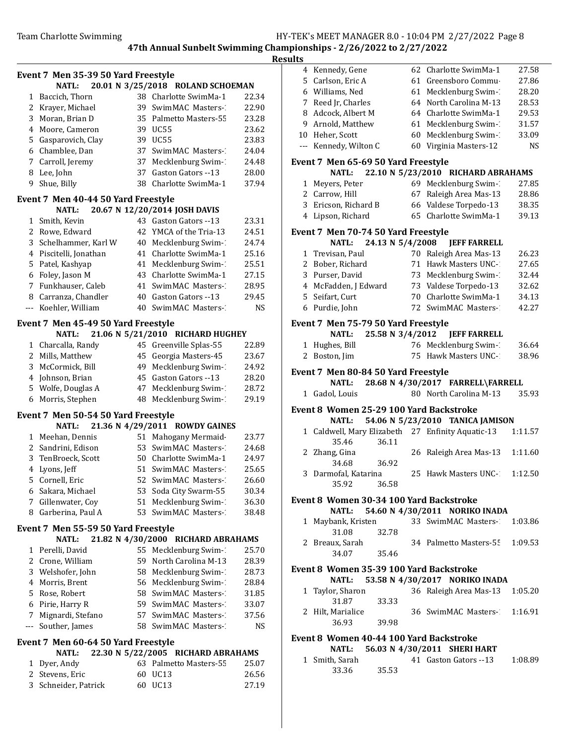# Resul

|                                                                                                                                                                                                                                                                                                                                                                                              | Event 7 Men 35-39 50 Yard Freestyle |    |                                    |           |
|----------------------------------------------------------------------------------------------------------------------------------------------------------------------------------------------------------------------------------------------------------------------------------------------------------------------------------------------------------------------------------------------|-------------------------------------|----|------------------------------------|-----------|
|                                                                                                                                                                                                                                                                                                                                                                                              | <b>NATL:</b>                        |    | 20.01 N 3/25/2018 ROLAND SCHOEMAN  |           |
| 1                                                                                                                                                                                                                                                                                                                                                                                            | Baccich, Thorn                      |    | 38 Charlotte SwimMa-1              | 22.34     |
|                                                                                                                                                                                                                                                                                                                                                                                              | 2 Krayer, Michael                   |    | 39 SwimMAC Masters-                | 22.90     |
| 3                                                                                                                                                                                                                                                                                                                                                                                            | Moran, Brian D                      |    | 35 Palmetto Masters-55             | 23.28     |
| 4                                                                                                                                                                                                                                                                                                                                                                                            | Moore, Cameron                      |    | 39 UC55                            | 23.62     |
| 5                                                                                                                                                                                                                                                                                                                                                                                            | Gasparovich, Clay                   |    | 39 UC55                            | 23.83     |
|                                                                                                                                                                                                                                                                                                                                                                                              | 6 Chamblee, Dan                     | 37 | SwimMAC Masters-                   | 24.04     |
| 7                                                                                                                                                                                                                                                                                                                                                                                            | Carroll, Jeremy                     | 37 | Mecklenburg Swim-1                 | 24.48     |
|                                                                                                                                                                                                                                                                                                                                                                                              | 8 Lee, John                         | 37 | Gaston Gators --13                 | 28.00     |
| 9                                                                                                                                                                                                                                                                                                                                                                                            | Shue, Billy                         | 38 | Charlotte SwimMa-1                 | 37.94     |
|                                                                                                                                                                                                                                                                                                                                                                                              | Event 7 Men 40-44 50 Yard Freestyle |    |                                    |           |
|                                                                                                                                                                                                                                                                                                                                                                                              | <b>NATL:</b>                        |    | 20.67 N 12/20/2014 JOSH DAVIS      |           |
| 1                                                                                                                                                                                                                                                                                                                                                                                            | Smith, Kevin                        |    | 43 Gaston Gators -- 13             | 23.31     |
|                                                                                                                                                                                                                                                                                                                                                                                              | 2 Rowe, Edward                      |    | 42 YMCA of the Tria-13             | 24.51     |
| 3                                                                                                                                                                                                                                                                                                                                                                                            | Schelhammer, Karl W                 |    | 40 Mecklenburg Swim-1              | 24.74     |
| 4                                                                                                                                                                                                                                                                                                                                                                                            | Piscitelli, Jonathan                |    | 41 Charlotte SwimMa-1              | 25.16     |
| 5                                                                                                                                                                                                                                                                                                                                                                                            | Patel, Kashyap                      | 41 | Mecklenburg Swim-1                 | 25.51     |
|                                                                                                                                                                                                                                                                                                                                                                                              | 6 Foley, Jason M                    | 43 | Charlotte SwimMa-1                 | 27.15     |
|                                                                                                                                                                                                                                                                                                                                                                                              | 7 Funkhauser, Caleb                 | 41 | SwimMAC Masters-                   | 28.95     |
|                                                                                                                                                                                                                                                                                                                                                                                              | 8 Carranza, Chandler                |    | 40 Gaston Gators --13              | 29.45     |
| $- - -$                                                                                                                                                                                                                                                                                                                                                                                      | Koehler, William                    | 40 | SwimMAC Masters-                   | <b>NS</b> |
|                                                                                                                                                                                                                                                                                                                                                                                              | Event 7 Men 45-49 50 Yard Freestyle |    |                                    |           |
|                                                                                                                                                                                                                                                                                                                                                                                              | <b>NATL:</b>                        |    | 21.06 N 5/21/2010 RICHARD HUGHEY   |           |
| 1                                                                                                                                                                                                                                                                                                                                                                                            | Charcalla, Randy                    |    | 45 Greenville Splas-55             | 22.89     |
|                                                                                                                                                                                                                                                                                                                                                                                              | 2 Mills, Matthew                    | 45 | Georgia Masters-45                 | 23.67     |
|                                                                                                                                                                                                                                                                                                                                                                                              | 3 McCormick, Bill                   | 49 | Mecklenburg Swim-1                 | 24.92     |
|                                                                                                                                                                                                                                                                                                                                                                                              | 4 Johnson, Brian                    | 45 | Gaston Gators -- 13                | 28.20     |
|                                                                                                                                                                                                                                                                                                                                                                                              | 5 Wolfe, Douglas A                  | 47 | Mecklenburg Swim-1                 | 28.72     |
|                                                                                                                                                                                                                                                                                                                                                                                              | 6 Morris, Stephen                   | 48 | Mecklenburg Swim-1                 | 29.19     |
|                                                                                                                                                                                                                                                                                                                                                                                              | Event 7 Men 50-54 50 Yard Freestyle |    |                                    |           |
|                                                                                                                                                                                                                                                                                                                                                                                              | NATL:                               |    | 21.36 N 4/29/2011 ROWDY GAINES     |           |
|                                                                                                                                                                                                                                                                                                                                                                                              | 1 Meehan, Dennis                    |    | 51 Mahogany Mermaid-               | 23.77     |
|                                                                                                                                                                                                                                                                                                                                                                                              | 2 Sandrini, Edison                  | 53 | SwimMAC Masters-                   | 24.68     |
|                                                                                                                                                                                                                                                                                                                                                                                              | 3 TenBroeck, Scott                  |    | 50 Charlotte SwimMa-1              | 24.97     |
|                                                                                                                                                                                                                                                                                                                                                                                              | 4 Lyons, Jeff                       |    | 51 SwimMAC Masters-                | 25.65     |
|                                                                                                                                                                                                                                                                                                                                                                                              | 5 Cornell, Eric                     |    | 52 SwimMAC Masters-                | 26.60     |
|                                                                                                                                                                                                                                                                                                                                                                                              | 6 Sakara, Michael                   |    | 53 Soda City Swarm-55              | 30.34     |
| 7                                                                                                                                                                                                                                                                                                                                                                                            | Gillenwater, Coy                    |    | 51 Mecklenburg Swim-1              | 36.30     |
| 8                                                                                                                                                                                                                                                                                                                                                                                            | Garberina, Paul A                   | 53 | SwimMAC Masters-                   | 38.48     |
|                                                                                                                                                                                                                                                                                                                                                                                              | Event 7 Men 55-59 50 Yard Freestyle |    |                                    |           |
|                                                                                                                                                                                                                                                                                                                                                                                              | NATL:                               |    | 21.82 N 4/30/2000 RICHARD ABRAHAMS |           |
|                                                                                                                                                                                                                                                                                                                                                                                              | 1 Perelli, David                    |    | 55 Mecklenburg Swim-1              | 25.70     |
|                                                                                                                                                                                                                                                                                                                                                                                              | 2 Crone, William                    |    | 59 North Carolina M-13             | 28.39     |
|                                                                                                                                                                                                                                                                                                                                                                                              | 3 Welshofer, John                   |    | 58 Mecklenburg Swim-               | 28.73     |
|                                                                                                                                                                                                                                                                                                                                                                                              | 4 Morris, Brent                     |    | 56 Mecklenburg Swim-1              | 28.84     |
|                                                                                                                                                                                                                                                                                                                                                                                              | 5 Rose, Robert                      |    | 58 SwimMAC Masters-                | 31.85     |
|                                                                                                                                                                                                                                                                                                                                                                                              | 6 Pirie, Harry R                    |    | 59 SwimMAC Masters-                | 33.07     |
| 7                                                                                                                                                                                                                                                                                                                                                                                            | Mignardi, Stefano                   |    | 57 SwimMAC Masters-                | 37.56     |
| $\frac{1}{2} \frac{1}{2} \frac{1}{2} \frac{1}{2} \frac{1}{2} \frac{1}{2} \frac{1}{2} \frac{1}{2} \frac{1}{2} \frac{1}{2} \frac{1}{2} \frac{1}{2} \frac{1}{2} \frac{1}{2} \frac{1}{2} \frac{1}{2} \frac{1}{2} \frac{1}{2} \frac{1}{2} \frac{1}{2} \frac{1}{2} \frac{1}{2} \frac{1}{2} \frac{1}{2} \frac{1}{2} \frac{1}{2} \frac{1}{2} \frac{1}{2} \frac{1}{2} \frac{1}{2} \frac{1}{2} \frac{$ | Souther, James                      |    | 58 SwimMAC Masters-                | NS.       |
|                                                                                                                                                                                                                                                                                                                                                                                              | Event 7 Men 60-64 50 Yard Freestyle |    |                                    |           |
|                                                                                                                                                                                                                                                                                                                                                                                              | NATL:                               |    | 22.30 N 5/22/2005 RICHARD ABRAHAMS |           |
| 1                                                                                                                                                                                                                                                                                                                                                                                            | Dyer, Andy                          |    | 63 Palmetto Masters-55             | 25.07     |
|                                                                                                                                                                                                                                                                                                                                                                                              | 2 Stevens, Eric                     |    | 60 UC13                            | 26.56     |
|                                                                                                                                                                                                                                                                                                                                                                                              | 3 Schneider, Patrick                |    | 60 UC13                            | 27.19     |

| ılts |                                                                           |                  |                                                       |         |  |
|------|---------------------------------------------------------------------------|------------------|-------------------------------------------------------|---------|--|
|      | 4 Kennedy, Gene                                                           |                  | 62 Charlotte SwimMa-1                                 | 27.58   |  |
|      | 5 Carlson, Eric A                                                         |                  | 61 Greensboro Commu-                                  | 27.86   |  |
|      | 6 Williams, Ned                                                           |                  | 61 Mecklenburg Swim-1                                 | 28.20   |  |
|      | 7 Reed Jr, Charles                                                        |                  | 64 North Carolina M-13                                | 28.53   |  |
|      | 8 Adcock, Albert M                                                        |                  | 64 Charlotte SwimMa-1                                 | 29.53   |  |
|      | 9 Arnold, Matthew                                                         | 61               | Mecklenburg Swim-1                                    | 31.57   |  |
|      | 10 Heher, Scott                                                           | 60               | Mecklenburg Swim-1                                    | 33.09   |  |
|      | --- Kennedy, Wilton C                                                     | 60               | Virginia Masters-12                                   | NS      |  |
|      |                                                                           |                  |                                                       |         |  |
|      | Event 7 Men 65-69 50 Yard Freestyle<br>22.10 N 5/23/2010 RICHARD ABRAHAMS |                  |                                                       |         |  |
|      | <b>NATL:</b>                                                              |                  |                                                       |         |  |
|      | 1 Meyers, Peter                                                           |                  | 69 Mecklenburg Swim-1                                 | 27.85   |  |
|      | 2 Carrow, Hill                                                            |                  | 67 Raleigh Area Mas-13                                | 28.86   |  |
|      | 3 Ericson, Richard B                                                      |                  | 66 Valdese Torpedo-13                                 | 38.35   |  |
|      | 4 Lipson, Richard                                                         |                  | 65 Charlotte SwimMa-1                                 | 39.13   |  |
|      | Event 7 Men 70-74 50 Yard Freestyle                                       |                  |                                                       |         |  |
|      | <b>NATL:</b>                                                              | 24.13 N 5/4/2008 | <b>JEFF FARRELL</b>                                   |         |  |
|      | 1 Trevisan, Paul                                                          |                  | 70 Raleigh Area Mas-13                                | 26.23   |  |
|      | 2 Bober, Richard                                                          |                  | 71 Hawk Masters UNC-1                                 | 27.65   |  |
|      | 3 Purser, David                                                           |                  | 73 Mecklenburg Swim-1                                 | 32.44   |  |
|      | 4 McFadden, J Edward                                                      |                  | 73 Valdese Torpedo-13                                 | 32.62   |  |
|      | 5 Seifart, Curt                                                           |                  | 70 Charlotte SwimMa-1                                 | 34.13   |  |
|      | 6 Purdie, John                                                            |                  | 72 SwimMAC Masters-1                                  | 42.27   |  |
|      |                                                                           |                  |                                                       |         |  |
|      | Event 7 Men 75-79 50 Yard Freestyle                                       |                  |                                                       |         |  |
|      | NATL:                                                                     | 25.58 N 3/4/2012 | <b>JEFF FARRELL</b>                                   |         |  |
| 1    | Hughes, Bill                                                              |                  | 76 Mecklenburg Swim-1                                 | 36.64   |  |
|      | 2 Boston, Jim                                                             |                  | 75 Hawk Masters UNC-1                                 | 38.96   |  |
|      | Event 7 Men 80-84 50 Yard Freestyle                                       |                  |                                                       |         |  |
|      | <b>NATL:</b>                                                              |                  | 28.68 N 4/30/2017 FARRELL\FARRELL                     |         |  |
|      | 1 Gadol, Louis                                                            |                  | 80 North Carolina M-13                                | 35.93   |  |
|      |                                                                           |                  |                                                       |         |  |
|      | Event 8 Women 25-29 100 Yard Backstroke                                   |                  |                                                       |         |  |
|      | NATL:                                                                     |                  | 54.06 N 5/23/2010 TANICA JAMISON                      |         |  |
|      |                                                                           |                  | 1 Caldwell, Mary Elizabeth 27 Enfinity Aquatic-13     | 1:11.57 |  |
|      | 35.46                                                                     | 36.11            |                                                       |         |  |
|      | 2 Zhang, Gina                                                             | 26               | Raleigh Area Mas-13                                   | 1:11.60 |  |
|      | 34.68                                                                     | 36.92            |                                                       |         |  |
| 3    | Darmofal, Katarina                                                        | 25               | Hawk Masters UNC-                                     | 1:12.50 |  |
|      | 35.92                                                                     | 36.58            |                                                       |         |  |
|      | Event 8 Women 30-34 100 Yard Backstroke                                   |                  |                                                       |         |  |
|      | NATL:                                                                     |                  | 54.60 N 4/30/2011 NORIKO INADA                        |         |  |
| 1    |                                                                           |                  |                                                       |         |  |
|      |                                                                           |                  |                                                       |         |  |
|      | Maybank, Kristen                                                          |                  | 33 SwimMAC Masters-                                   | 1:03.86 |  |
|      | 31.08                                                                     | 32.78            |                                                       |         |  |
|      | 2 Breaux, Sarah                                                           |                  | 34 Palmetto Masters-55                                | 1:09.53 |  |
|      | 34.07                                                                     | 35.46            |                                                       |         |  |
|      | Event 8 Women 35-39 100 Yard Backstroke                                   |                  |                                                       |         |  |
|      | <b>NATL:</b>                                                              |                  | 53.58 N 4/30/2017 NORIKO INADA                        |         |  |
| 1    | Taylor, Sharon                                                            |                  | 36 Raleigh Area Mas-13                                | 1:05.20 |  |
|      | 31.87                                                                     | 33.33            |                                                       |         |  |
|      | 2 Hilt, Marialice                                                         |                  | 36 SwimMAC Masters-                                   | 1:16.91 |  |
|      | 36.93                                                                     | 39.98            |                                                       |         |  |
|      |                                                                           |                  |                                                       |         |  |
|      | Event 8 Women 40-44 100 Yard Backstroke                                   |                  |                                                       |         |  |
|      | <b>NATL:</b>                                                              |                  | 56.03 N 4/30/2011 SHERI HART<br>41 Gaston Gators --13 |         |  |
|      | 1 Smith, Sarah<br>33.36                                                   | 35.53            |                                                       | 1:08.89 |  |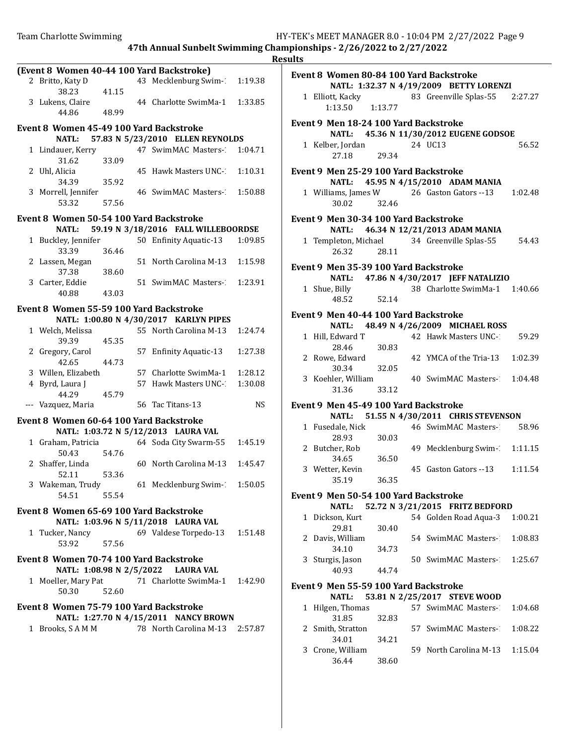|                                           |       |                                                   |         | R |
|-------------------------------------------|-------|---------------------------------------------------|---------|---|
| (Event 8 Women 40-44 100 Yard Backstroke) |       |                                                   |         |   |
| 2 Britto, Katy D<br>38.23                 | 41.15 | 43 Mecklenburg Swim-1                             | 1:19.38 |   |
| 3 Lukens, Claire<br>44.86                 | 48.99 | 44 Charlotte SwimMa-1                             | 1:33.85 |   |
|                                           |       |                                                   |         |   |
| Event 8 Women 45-49 100 Yard Backstroke   |       |                                                   |         |   |
| <b>NATL:</b>                              |       | 57.83 N 5/23/2010 ELLEN REYNOLDS                  |         |   |
| 1 Lindauer, Kerry<br>31.62                | 33.09 | 47 SwimMAC Masters- 1:04.71                       |         |   |
| 2 Uhl, Alicia<br>34.39                    | 35.92 | 45 Hawk Masters UNC- 1:10.31                      |         |   |
| 3 Morrell, Jennifer<br>53.32              | 57.56 | 46 SwimMAC Masters- 1:50.88                       |         |   |
|                                           |       |                                                   |         |   |
| Event 8 Women 50-54 100 Yard Backstroke   |       |                                                   |         |   |
| <b>NATL:</b>                              |       | 59.19 N 3/18/2016 FALL WILLEBOORDSE               |         |   |
| 1 Buckley, Jennifer<br>33.39              | 36.46 | 50 Enfinity Aquatic-13                            | 1:09.85 |   |
| 2 Lassen, Megan<br>37.38                  | 38.60 | 51 North Carolina M-13                            | 1:15.98 |   |
| 3 Carter, Eddie<br>40.88                  | 43.03 | 51 SwimMAC Masters- 1:23.91                       |         |   |
|                                           |       |                                                   |         |   |
| Event 8 Women 55-59 100 Yard Backstroke   |       |                                                   |         |   |
|                                           |       | NATL: 1:00.80 N 4/30/2017 KARLYN PIPES            |         |   |
| 1 Welch, Melissa<br>39.39                 | 45.35 | 55 North Carolina M-13                            | 1:24.74 |   |
| 2 Gregory, Carol<br>42.65                 | 44.73 | 57 Enfinity Aquatic-13                            | 1:27.38 |   |
| 3 Willen, Elizabeth                       |       | 57 Charlotte SwimMa-1                             | 1:28.12 |   |
| 4 Byrd, Laura J                           |       | 57 Hawk Masters UNC-1                             | 1:30.08 |   |
| 44.29                                     | 45.79 |                                                   |         |   |
| --- Vazquez, Maria                        |       | 56 Tac Titans-13                                  | NS.     |   |
| Event 8 Women 60-64 100 Yard Backstroke   |       |                                                   |         |   |
|                                           |       | NATL: 1:03.72 N 5/12/2013 LAURA VAL               |         |   |
| 1 Graham, Patricia                        |       | 64 Soda City Swarm-55                             | 1:45.19 |   |
| 50.43                                     | 54.76 |                                                   |         |   |
| 2 Shaffer, Linda<br>52.11                 | 53.36 | 60 North Carolina M-13 1:45.47                    |         |   |
| 3 Wakeman, Trudy<br>54.51                 | 55.54 | 61 Mecklenburg Swim- 1:50.05                      |         |   |
|                                           |       |                                                   |         |   |
| Event 8 Women 65-69 100 Yard Backstroke   |       | NATL: 1:03.96 N 5/11/2018 LAURA VAL               |         |   |
| 1 Tucker, Nancy                           |       | 69 Valdese Torpedo-13 1:51.48                     |         |   |
| 53.92                                     | 57.56 |                                                   |         |   |
| Event 8 Women 70-74 100 Yard Backstroke   |       |                                                   |         |   |
|                                           |       | NATL: 1:08.98 N 2/5/2022 LAURA VAL                |         |   |
| 50.30                                     | 52.60 | 1 Moeller, Mary Pat 71 Charlotte SwimMa-1 1:42.90 |         |   |
| Event 8 Women 75-79 100 Yard Backstroke   |       |                                                   |         |   |
|                                           |       | NATL: 1:27.70 N 4/15/2011 NANCY BROWN             |         |   |
|                                           |       | 1 Brooks, SAMM 78 North Carolina M-13 2:57.87     |         |   |
|                                           |       |                                                   |         |   |
|                                           |       |                                                   |         |   |
|                                           |       |                                                   |         |   |

| ılts                                                                               |                                              |       |  |                                             |         |  |  |
|------------------------------------------------------------------------------------|----------------------------------------------|-------|--|---------------------------------------------|---------|--|--|
| Event 8 Women 80-84 100 Yard Backstroke<br>NATL: 1:32.37 N 4/19/2009 BETTY LORENZI |                                              |       |  |                                             |         |  |  |
|                                                                                    | 1 Elliott, Kacky<br>1:13.50  1:13.77         |       |  | 83 Greenville Splas-55 2:27.27              |         |  |  |
|                                                                                    | <b>Event 9 Men 18-24 100 Yard Backstroke</b> |       |  | NATL: 45.36 N 11/30/2012 EUGENE GODSOE      |         |  |  |
|                                                                                    | 1 Kelber, Jordan<br>27.18                    | 29.34 |  | 24 UC13                                     | 56.52   |  |  |
|                                                                                    | Event 9 Men 25-29 100 Yard Backstroke        |       |  | NATL: 45.95 N 4/15/2010 ADAM MANIA          |         |  |  |
|                                                                                    | 30.02 32.46                                  |       |  | 1 Williams, James W 26 Gaston Gators -- 13  | 1:02.48 |  |  |
|                                                                                    | Event 9 Men 30-34 100 Yard Backstroke        |       |  | NATL: 46.34 N 12/21/2013 ADAM MANIA         |         |  |  |
|                                                                                    | 26.32 28.11                                  |       |  | 1 Templeton, Michael 34 Greenville Splas-55 | 54.43   |  |  |
|                                                                                    | <b>Event 9 Men 35-39 100 Yard Backstroke</b> |       |  |                                             |         |  |  |
|                                                                                    |                                              |       |  | NATL: 47.86 N 4/30/2017 JEFF NATALIZIO      |         |  |  |
|                                                                                    | 1 Shue, Billy<br>48.52 52.14                 |       |  | 38 Charlotte SwimMa-1 1:40.66               |         |  |  |
|                                                                                    | Event 9 Men 40-44 100 Yard Backstroke        |       |  |                                             |         |  |  |
|                                                                                    |                                              |       |  | NATL: 48.49 N 4/26/2009 MICHAEL ROSS        |         |  |  |
|                                                                                    | 1 Hill, Edward T                             |       |  | 42 Hawk Masters UNC-1                       | 59.29   |  |  |
|                                                                                    | 28.46                                        | 30.83 |  |                                             |         |  |  |
|                                                                                    | 2 Rowe, Edward<br>30.34                      | 32.05 |  | 42 YMCA of the Tria-13 1:02.39              |         |  |  |
|                                                                                    | 3 Koehler, William                           |       |  | 40 SwimMAC Masters- 1:04.48                 |         |  |  |
|                                                                                    | 31.36 33.12                                  |       |  |                                             |         |  |  |
|                                                                                    | Event 9 Men 45-49 100 Yard Backstroke        |       |  |                                             |         |  |  |
|                                                                                    | NATL:                                        |       |  | 51.55 N 4/30/2011 CHRIS STEVENSON           |         |  |  |
|                                                                                    | 1 Fusedale, Nick                             |       |  | 46 SwimMAC Masters- 58.96                   |         |  |  |
|                                                                                    | 28.93                                        | 30.03 |  |                                             |         |  |  |
|                                                                                    | 2 Butcher, Rob                               |       |  | 49 Mecklenburg Swim-1:11.15                 |         |  |  |
|                                                                                    | 34.65                                        | 36.50 |  |                                             |         |  |  |
|                                                                                    | 3 Wetter, Kevin<br>35.19                     | 36.35 |  | 45 Gaston Gators --13                       | 1:11.54 |  |  |
|                                                                                    | Event 9 Men 50-54 100 Yard Backstroke        |       |  |                                             |         |  |  |
|                                                                                    | <b>NATL:</b>                                 |       |  | 52.72 N 3/21/2015 FRITZ BEDFORD             |         |  |  |
| $\mathbf{1}$                                                                       | Dickson, Kurt                                |       |  | 54 Golden Road Aqua-3 1:00.21               |         |  |  |
|                                                                                    | 29.81                                        | 30.40 |  | 54 SwimMAC Masters-2                        | 1:08.83 |  |  |
|                                                                                    | 2 Davis, William<br>34.10                    | 34.73 |  |                                             |         |  |  |
|                                                                                    | 3 Sturgis, Jason                             |       |  | 50 SwimMAC Masters-1                        | 1:25.67 |  |  |
|                                                                                    | 40.93                                        | 44.74 |  |                                             |         |  |  |
| <b>Event 9 Men 55-59 100 Yard Backstroke</b>                                       |                                              |       |  |                                             |         |  |  |
|                                                                                    | 53.81 N 2/25/2017 STEVE WOOD<br><b>NATL:</b> |       |  |                                             |         |  |  |
| 1                                                                                  | Hilgen, Thomas                               |       |  | 57 SwimMAC Masters-1                        | 1:04.68 |  |  |
|                                                                                    | 31.85                                        | 32.83 |  |                                             |         |  |  |
|                                                                                    | 2 Smith, Stratton                            |       |  | 57 SwimMAC Masters-1                        | 1:08.22 |  |  |
|                                                                                    | 34.01                                        | 34.21 |  | 59 North Carolina M-13                      |         |  |  |
| 3                                                                                  | Crone, William<br>36.44                      | 38.60 |  |                                             | 1:15.04 |  |  |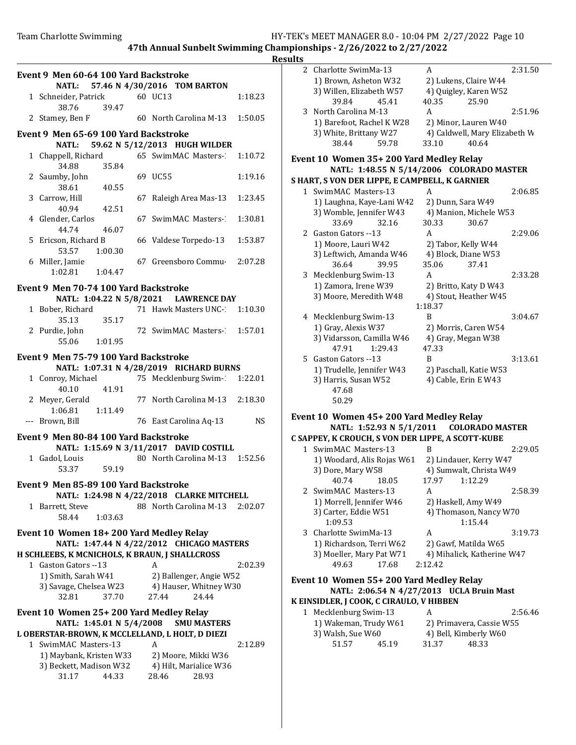Results

| Event 9 Men 60-64 100 Yard Backstroke<br>NATL: 57.46 N 4/30/2016 TOM BARTON |                                         |         |  |                                                 |         |
|-----------------------------------------------------------------------------|-----------------------------------------|---------|--|-------------------------------------------------|---------|
|                                                                             | 1 Schneider, Patrick 60 UC13            |         |  |                                                 | 1:18.23 |
|                                                                             | 38.76                                   | 39.47   |  | 2 Stamey, Ben F 60 North Carolina M-13          | 1:50.05 |
|                                                                             | Event 9 Men 65-69 100 Yard Backstroke   |         |  |                                                 |         |
|                                                                             |                                         |         |  | NATL: 59.62 N 5/12/2013 HUGH WILDER             |         |
|                                                                             |                                         |         |  | 1 Chappell, Richard 65 SwimMAC Masters- 1:10.72 |         |
|                                                                             | 34.88                                   | 35.84   |  |                                                 |         |
|                                                                             | 2 Saumby, John<br>38.61                 | 40.55   |  | 69 UC55                                         | 1:19.16 |
|                                                                             | 3 Carrow, Hill<br>40.94                 | 42.51   |  | 67 Raleigh Area Mas-13                          | 1:23.45 |
|                                                                             | 4 Glender, Carlos                       |         |  | 67 SwimMAC Masters-                             | 1:30.81 |
|                                                                             | 44.74                                   | 46.07   |  |                                                 |         |
|                                                                             | 5 Ericson, Richard B<br>53.57 1:00.30   |         |  | 66 Valdese Torpedo-13                           | 1:53.87 |
|                                                                             | 6 Miller, Jamie                         |         |  | 67 Greensboro Commu                             | 2:07.28 |
|                                                                             | 1:02.81  1:04.47                        |         |  |                                                 |         |
|                                                                             | Event 9 Men 70-74 100 Yard Backstroke   |         |  |                                                 |         |
|                                                                             |                                         |         |  | NATL: 1:04.22 N 5/8/2021 LAWRENCE DAY           |         |
|                                                                             |                                         |         |  |                                                 |         |
|                                                                             | 1 Bober, Richard                        |         |  | 71 Hawk Masters UNC-1 1:10.30                   |         |
|                                                                             | 35.13                                   | 35.17   |  |                                                 |         |
|                                                                             | 2 Purdie, John                          |         |  | 72 SwimMAC Masters- 1:57.01                     |         |
|                                                                             | 55.06 1:01.95                           |         |  |                                                 |         |
|                                                                             | Event 9 Men 75-79 100 Yard Backstroke   |         |  |                                                 |         |
|                                                                             |                                         |         |  | NATL: 1:07.31 N 4/28/2019 RICHARD BURNS         |         |
|                                                                             | 1 Conroy, Michael                       |         |  | 75 Mecklenburg Swim-21:22.01                    |         |
|                                                                             | 40.10                                   | 41.91   |  |                                                 |         |
|                                                                             |                                         |         |  |                                                 |         |
|                                                                             | 2 Meyer, Gerald                         |         |  | 77 North Carolina M-13 2:18.30                  |         |
|                                                                             | 1:06.81  1:11.49<br>--- Brown, Bill     |         |  | 76 East Carolina Aq-13                          | NS      |
|                                                                             |                                         |         |  |                                                 |         |
|                                                                             | Event 9 Men 80-84 100 Yard Backstroke   |         |  |                                                 |         |
|                                                                             |                                         |         |  | NATL: 1:15.69 N 3/11/2017 DAVID COSTILL         |         |
|                                                                             | 1 Gadol, Louis                          |         |  | 80 North Carolina M-13                          | 1:52.56 |
|                                                                             | 53.37                                   | 59.19   |  |                                                 |         |
|                                                                             | Event 9 Men 85-89 100 Yard Backstroke   |         |  |                                                 |         |
|                                                                             |                                         |         |  | NATL: 1:24.98 N 4/22/2018 CLARKE MITCHELL       |         |
|                                                                             | 1 Barrett, Steve                        |         |  | 88 North Carolina M-13                          | 2:02.07 |
|                                                                             | 58.44                                   | 1:03.63 |  |                                                 |         |
|                                                                             |                                         |         |  |                                                 |         |
|                                                                             | Event 10 Women 18+200 Yard Medley Relay |         |  |                                                 |         |
|                                                                             |                                         |         |  | NATL: 1:47.44 N 4/22/2012 CHICAGO MASTERS       |         |
|                                                                             |                                         |         |  | H SCHLEEBS, K MCNICHOLS, K BRAUN, J SHALLCROSS  |         |
|                                                                             | 1 Gaston Gators -- 13                   |         |  | A                                               | 2:02.39 |
|                                                                             | 1) Smith, Sarah W41                     |         |  | 2) Ballenger, Angie W52                         |         |
|                                                                             | 3) Savage, Chelsea W23                  |         |  | 4) Hauser, Whitney W30                          |         |
|                                                                             | 32.81                                   | 37.70   |  | 27.44<br>24.44                                  |         |
|                                                                             |                                         |         |  |                                                 |         |
|                                                                             | Event 10 Women 25+200 Yard Medley Relay |         |  |                                                 |         |
| NATL: 1:45.01 N 5/4/2008<br><b>SMU MASTERS</b>                              |                                         |         |  |                                                 |         |
|                                                                             |                                         |         |  | L OBERSTAR-BROWN, K MCCLELLAND, L HOLT, D DIEZI |         |
|                                                                             | 1 SwimMAC Masters-13                    |         |  | A                                               | 2:12.89 |
|                                                                             | 1) Maybank, Kristen W33                 |         |  | 2) Moore, Mikki W36                             |         |
|                                                                             | 3) Beckett, Madison W32                 |         |  | 4) Hilt, Marialice W36                          |         |
|                                                                             | 31.17                                   | 44.33   |  | 28.46<br>28.93                                  |         |

| ılts |                                                   |                                           |         |
|------|---------------------------------------------------|-------------------------------------------|---------|
| 2    | Charlotte SwimMa-13                               | A                                         | 2:31.50 |
|      | 1) Brown, Asheton W32                             | 2) Lukens, Claire W44                     |         |
|      | 3) Willen, Elizabeth W57                          | 4) Quigley, Karen W52                     |         |
|      | 39.84<br>45.41                                    | 40.35<br>25.90                            |         |
| 3    | North Carolina M-13                               | A                                         | 2:51.96 |
|      | 1) Barefoot, Rachel K W28                         | 2) Minor, Lauren W40                      |         |
|      | 3) White, Brittany W27                            | 4) Caldwell, Mary Elizabeth W             |         |
|      | 38.44<br>59.78                                    | 33.10<br>40.64                            |         |
|      |                                                   |                                           |         |
|      | Event 10 Women 35+ 200 Yard Medley Relay          |                                           |         |
|      |                                                   | NATL: 1:48.55 N 5/14/2006 COLORADO MASTER |         |
|      | S HART, S VON DER LIPPE, E CAMPBELL, K GARNIER    |                                           |         |
|      | 1 SwimMAC Masters-13                              | A                                         | 2:06.85 |
|      | 1) Laughna, Kaye-Lani W42                         | 2) Dunn, Sara W49                         |         |
|      | 3) Womble, Jennifer W43                           | 4) Manion, Michele W53                    |         |
|      | 33.69<br>32.16                                    | 30.33<br>30.67                            |         |
|      | 2 Gaston Gators --13                              | A                                         | 2:29.06 |
|      | 1) Moore, Lauri W42                               | 2) Tabor, Kelly W44                       |         |
|      | 3) Leftwich, Amanda W46                           | 4) Block, Diane W53                       |         |
|      | 36.64<br>39.95                                    | 35.06<br>37.41                            |         |
| 3    | Mecklenburg Swim-13                               | A                                         | 2:33.28 |
|      | 1) Zamora, Irene W39                              | 2) Britto, Katy D W43                     |         |
|      | 3) Moore, Meredith W48                            | 4) Stout, Heather W45                     |         |
|      |                                                   | 1:18.37                                   |         |
|      | 4 Mecklenburg Swim-13                             | B                                         | 3:04.67 |
|      | 1) Gray, Alexis W37                               | 2) Morris, Caren W54                      |         |
|      | 3) Vidarsson, Camilla W46                         | 4) Gray, Megan W38                        |         |
|      | 47.91<br>1:29.43                                  | 47.33                                     |         |
| 5    | Gaston Gators --13                                | B                                         | 3:13.61 |
|      | 1) Trudelle, Jennifer W43                         | 2) Paschall, Katie W53                    |         |
|      | 3) Harris, Susan W52                              | 4) Cable, Erin E W43                      |         |
|      | 47.68                                             |                                           |         |
|      | 50.29                                             |                                           |         |
|      | Event 10 Women 45+200 Yard Medley Relay           |                                           |         |
|      | NATL: 1:52.93 N 5/1/2011                          | <b>COLORADO MASTER</b>                    |         |
|      | C SAPPEY, K CROUCH, S VON DER LIPPE, A SCOTT-KUBE |                                           |         |
| 1    | SwimMAC Masters-13                                | B                                         | 2:29.05 |
|      | 1) Woodard, Alis Rojas W61                        | 2) Lindauer, Kerry W47                    |         |
|      | 3) Dore, Mary W58                                 | 4) Sumwalt, Christa W49                   |         |
|      | 40.74<br>18.05                                    | 1:12.29<br>17.97                          |         |
|      | 2 SwimMAC Masters-13                              | A                                         | 2:58.39 |
|      | 1) Morrell, Jennifer W46                          | 2) Haskell, Amy W49                       |         |
|      | 3) Carter, Eddie W51                              | 4) Thomason, Nancy W70                    |         |
|      | 1:09.53                                           | 1:15.44                                   |         |
| 3    | Charlotte SwimMa-13                               | A                                         | 3:19.73 |
|      | 1) Richardson, Terri W62                          | 2) Gawf, Matilda W65                      |         |
|      | 3) Moeller, Mary Pat W71                          | 4) Mihalick, Katherine W47                |         |
|      | 49.63<br>17.68                                    | 2:12.42                                   |         |
|      | Event 10 Women 55+200 Yard Medley Relay           |                                           |         |
|      |                                                   | NATL: 2:06.54 N 4/27/2013 UCLA Bruin Mast |         |
|      | K EINSIDLER, J COOK, C CIRAULO, V HIBBEN          |                                           |         |
| 1    | Mecklenburg Swim-13                               | A                                         | 2:56.46 |
|      | 1) Wakeman, Trudy W61                             | 2) Primavera, Cassie W55                  |         |
|      | 3) Walsh, Sue W60                                 | 4) Bell, Kimberly W60                     |         |
|      | 51.57<br>45.19                                    | 31.37<br>48.33                            |         |
|      |                                                   |                                           |         |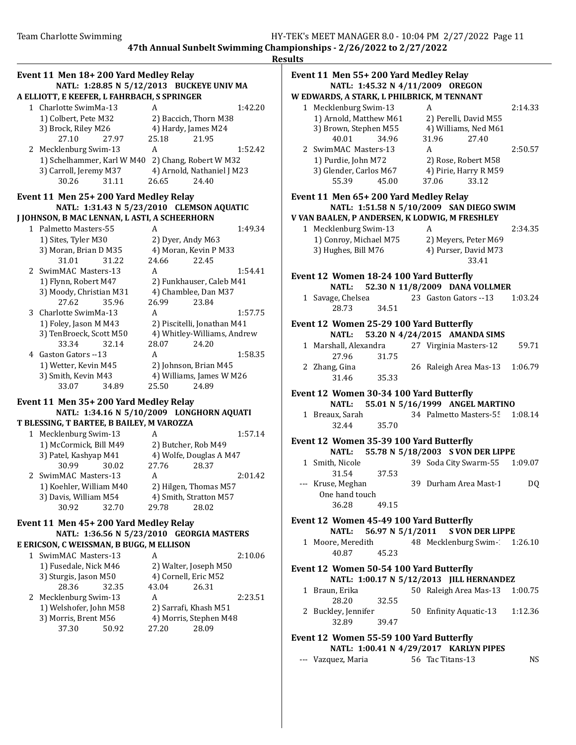|   | Event 11 Men 18+200 Yard Medley Relay<br>NATL: 1:28.85 N 5/12/2013 BUCKEYE UNIV MA |                                           |  |  |  |  |  |
|---|------------------------------------------------------------------------------------|-------------------------------------------|--|--|--|--|--|
|   | A ELLIOTT, E KEEFER, L FAHRBACH, S SPRINGER                                        |                                           |  |  |  |  |  |
|   | 1 Charlotte SwimMa-13                                                              | 1:42.20<br>A                              |  |  |  |  |  |
|   | 1) Colbert, Pete M32                                                               | 2) Baccich, Thorn M38                     |  |  |  |  |  |
|   | 3) Brock, Riley M26                                                                | 4) Hardy, James M24                       |  |  |  |  |  |
|   | 27.10<br>27.97                                                                     | 25.18<br>21.95                            |  |  |  |  |  |
|   | 2 Mecklenburg Swim-13                                                              | 1:52.42<br>A                              |  |  |  |  |  |
|   | 1) Schelhammer, Karl W M40 2) Chang, Robert W M32                                  |                                           |  |  |  |  |  |
|   | 3) Carroll, Jeremy M37                                                             | 4) Arnold, Nathaniel J M23                |  |  |  |  |  |
|   | 31.11<br>30.26                                                                     | 26.65<br>24.40                            |  |  |  |  |  |
|   | Event 11 Men 25+200 Yard Medley Relay                                              |                                           |  |  |  |  |  |
|   |                                                                                    | NATL: 1:31.43 N 5/23/2010 CLEMSON AQUATIC |  |  |  |  |  |
|   | J JOHNSON, B MAC LENNAN, L ASTI, A SCHEERHORN                                      |                                           |  |  |  |  |  |
|   | 1 Palmetto Masters-55                                                              | 1:49.34<br>A                              |  |  |  |  |  |
|   | 1) Sites, Tyler M30                                                                | 2) Dyer, Andy M63                         |  |  |  |  |  |
|   | 3) Moran, Brian D M35                                                              | 4) Moran, Kevin P M33                     |  |  |  |  |  |
|   | 31.22<br>31.01                                                                     | 24.66<br>22.45                            |  |  |  |  |  |
|   | 2 SwimMAC Masters-13                                                               | 1:54.41<br>A                              |  |  |  |  |  |
|   | 1) Flynn, Robert M47                                                               | 2) Funkhauser, Caleb M41                  |  |  |  |  |  |
|   | 3) Moody, Christian M31                                                            | 4) Chamblee, Dan M37                      |  |  |  |  |  |
|   | 27.62<br>35.96                                                                     | 26.99<br>23.84                            |  |  |  |  |  |
|   | 3 Charlotte SwimMa-13                                                              | 1:57.75<br>A                              |  |  |  |  |  |
|   | 1) Foley, Jason M M43                                                              | 2) Piscitelli, Jonathan M41               |  |  |  |  |  |
|   | 3) TenBroeck, Scott M50                                                            | 4) Whitley-Williams, Andrew               |  |  |  |  |  |
|   | 33.34<br>32.14                                                                     | 24.20<br>28.07                            |  |  |  |  |  |
|   | 4 Gaston Gators --13                                                               | 1:58.35<br>A                              |  |  |  |  |  |
|   | 1) Wetter, Kevin M45                                                               | 2) Johnson, Brian M45                     |  |  |  |  |  |
|   | 3) Smith, Kevin M43                                                                | 4) Williams, James W M26                  |  |  |  |  |  |
|   | 33.07<br>34.89                                                                     | 25.50<br>24.89                            |  |  |  |  |  |
|   | Event 11 Men 35+200 Yard Medley Relay                                              |                                           |  |  |  |  |  |
|   |                                                                                    | NATL: 1:34.16 N 5/10/2009 LONGHORN AQUATI |  |  |  |  |  |
|   | T BLESSING, T BARTEE, B BAILEY, M VAROZZA                                          |                                           |  |  |  |  |  |
|   | 1 Mecklenburg Swim-13                                                              | 1:57.14<br>A                              |  |  |  |  |  |
|   | 1) McCormick, Bill M49                                                             | 2) Butcher, Rob M49                       |  |  |  |  |  |
|   | 3) Patel, Kashyap M41                                                              | 4) Wolfe, Douglas A M47                   |  |  |  |  |  |
|   | 30.99<br>30.02                                                                     | 27.76<br>28.37                            |  |  |  |  |  |
|   | 2 SwimMAC Masters-13                                                               | 2:01.42<br>A                              |  |  |  |  |  |
|   | 1) Koehler, William M40                                                            | 2) Hilgen, Thomas M57                     |  |  |  |  |  |
|   | 3) Davis, William M54                                                              | 4) Smith, Stratton M57                    |  |  |  |  |  |
|   | 30.92<br>32.70                                                                     | 29.78<br>28.02                            |  |  |  |  |  |
|   | Event 11 Men 45+200 Yard Medley Relay                                              |                                           |  |  |  |  |  |
|   |                                                                                    | NATL: 1:36.56 N 5/23/2010 GEORGIA MASTERS |  |  |  |  |  |
|   | E ERICSON, C WEISSMAN, B BUGG, M ELLISON                                           |                                           |  |  |  |  |  |
| 1 | SwimMAC Masters-13                                                                 | 2:10.06<br>A                              |  |  |  |  |  |
|   | 1) Fusedale, Nick M46                                                              | 2) Walter, Joseph M50                     |  |  |  |  |  |
|   | 3) Sturgis, Jason M50                                                              | 4) Cornell, Eric M52                      |  |  |  |  |  |
|   | 28.36<br>32.35                                                                     | 43.04<br>26.31                            |  |  |  |  |  |
|   | 2 Mecklenburg Swim-13                                                              | A<br>2:23.51                              |  |  |  |  |  |
|   | 1) Welshofer, John M58                                                             | 2) Sarrafi, Khash M51                     |  |  |  |  |  |
|   | 3) Morris, Brent M56                                                               | 4) Morris, Stephen M48                    |  |  |  |  |  |
|   | 37.30<br>50.92                                                                     | 27.20<br>28.09                            |  |  |  |  |  |
|   |                                                                                    |                                           |  |  |  |  |  |

## Event 11 Men 55+ 200 Yard Medley Relay NATL: 1:45.32 N 4/11/2009 OREGON W EDWARDS, A STARK, L PHILBRICK, M TENNANT 1 Mecklenburg Swim-13 A 2:14.33 1) Arnold, Matthew M61 2) Perelli, David M55 3) Brown, Stephen M55 4) Williams, Ned M61 40.01 34.96 31.96 27.40

1) Purdie, John M72 2) Rose, Robert M58 3) Glender, Carlos M67 4) Pirie, Harry R M59 55.39 45.00 37.06 33.12

# 2 SwimMAC Masters-13 A 2:50.57

## Event 11 Men 65+ 200 Yard Medley Relay NATL: 1:51.58 N 5/10/2009 SAN DIEGO SWIM

V VAN BAALEN, P ANDERSEN, K LODWIG, M FRESHLEY 1 Macklanburg Swim-13 A 2:34.35

| 1 Mecklenburg Swim-13  |                      | 4:34.33 |
|------------------------|----------------------|---------|
| 1) Conroy, Michael M75 | 2) Meyers, Peter M69 |         |
| 3) Hughes, Bill M76    | 4) Purser, David M73 |         |
|                        | 33.41                |         |

## Event 12 Women 18-24 100 Yard Butterfly

NATL: 52.30 N 11/8/2009 DANA VOLLMER 1 Savage, Chelsea 23 Gaston Gators -- 13 1:03.24 28.73 34.51

# Event 12 Women 25-29 100 Yard Butterfly

|  |                       |       | NATL: 53.20 N 4/24/2015 AMANDA SIMS |       |
|--|-----------------------|-------|-------------------------------------|-------|
|  | 1 Marshall, Alexandra |       | 27 Virginia Masters-12              | 59.71 |
|  | 27.96                 | 31.75 |                                     |       |
|  | 2 Zhang, Gina         |       | 26 Raleigh Area Mas-13 1:06.79      |       |
|  | 31.46                 | 35.33 |                                     |       |

# Event 12 Women 30-34 100 Yard Butterfly

## NATL: 55.01 N 5/16/1999 ANGEL MARTINO

1 Breaux, Sarah 34 Palmetto Masters-55 1:08.14 32.44 35.70

#### Event 12 Women 35-39 100 Yard Butterfly NATL: 55.78 N 5/18/2003 S VON DER LIPPE

- 1 Smith, Nicole 39 Soda City Swarm-55 1:09.07 31.54 37.53
- --- Kruse, Meghan 39 Durham Area Mast-1 DQ One hand touch 36.28 49.15

#### Event 12 Women 45-49 100 Yard Butterfly NATL: 56.97 N 5/1/2011 S VON DER LIPPE

1 Moore, Meredith 48 Mecklenburg Swim-1:26.10 40.87 45.23

## Event 12 Women 50-54 100 Yard Butterfly NATL: 1:00.17 N 5/12/2013 JILL HERNANDEZ

- 1 Braun, Erika 50 Raleigh Area Mas-13 1:00.75 28.20 32.55
- 2 Buckley, Jennifer 50 Enfinity Aquatic-13 1:12.36 32.89 39.47

#### Event 12 Women 55-59 100 Yard Butterfly NATL: 1:00.41 N 4/29/2017 KARLYN PIPES

| --- Vazquez, Maria | 56 Tac Titans-13 | NS |
|--------------------|------------------|----|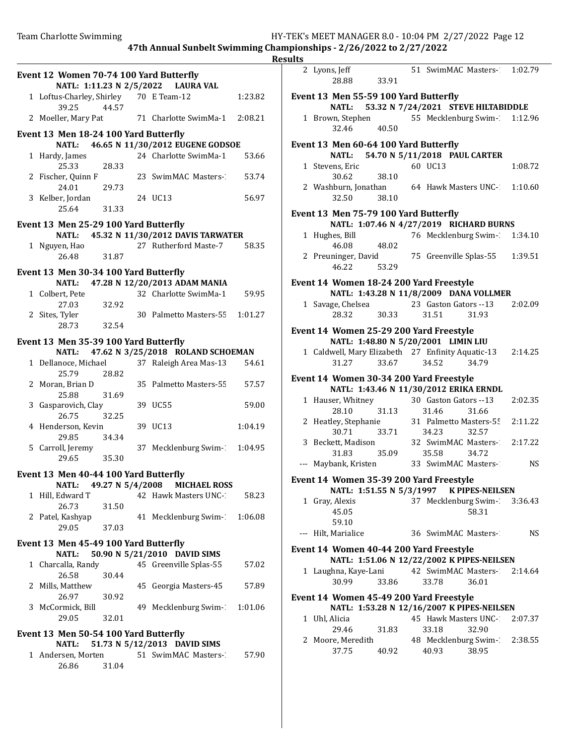| Event 12 Women 70-74 100 Yard Butterfly<br>NATL: 1:11.23 N 2/5/2022 LAURA VAL |                                                 |       |  |                                         |         |
|-------------------------------------------------------------------------------|-------------------------------------------------|-------|--|-----------------------------------------|---------|
|                                                                               | 1 Loftus-Charley, Shirley 70 E Team-12<br>39.25 | 44.57 |  |                                         | 1:23.82 |
|                                                                               | 2 Moeller, Mary Pat                             |       |  | 71 Charlotte SwimMa-1                   | 2:08.21 |
|                                                                               | Event 13 Men 18-24 100 Yard Butterfly           |       |  |                                         |         |
|                                                                               |                                                 |       |  | NATL: 46.65 N 11/30/2012 EUGENE GODSOE  |         |
|                                                                               | 1 Hardy, James<br>25.33                         | 28.33 |  | 24 Charlotte SwimMa-1                   | 53.66   |
|                                                                               | 2 Fischer, Quinn F<br>24.01                     | 29.73 |  | 23 SwimMAC Masters-                     | 53.74   |
|                                                                               | 3 Kelber, Jordan                                |       |  | 24 UC13                                 | 56.97   |
|                                                                               | 25.64                                           | 31.33 |  |                                         |         |
|                                                                               | Event 13 Men 25-29 100 Yard Butterfly           |       |  | NATL: 45.32 N 11/30/2012 DAVIS TARWATER |         |
|                                                                               | 1 Nguyen, Hao                                   |       |  | 27 Rutherford Maste-7                   | 58.35   |
|                                                                               | 26.48                                           | 31.87 |  |                                         |         |
|                                                                               | Event 13 Men 30-34 100 Yard Butterfly           |       |  |                                         |         |
|                                                                               | <b>NATL:</b>                                    |       |  | 47.28 N 12/20/2013 ADAM MANIA           |         |
|                                                                               | 1 Colbert, Pete<br>27.03                        | 32.92 |  | 32 Charlotte SwimMa-1                   | 59.95   |
|                                                                               | 2 Sites, Tyler<br>28.73                         | 32.54 |  | 30 Palmetto Masters-55                  | 1:01.27 |
|                                                                               | Event 13 Men 35-39 100 Yard Butterfly           |       |  |                                         |         |
|                                                                               | NATL:                                           |       |  | 47.62 N 3/25/2018 ROLAND SCHOEMAN       |         |
|                                                                               | 1 Dellanoce, Michael                            |       |  | 37 Raleigh Area Mas-13                  | 54.61   |
|                                                                               | 25.79                                           | 28.82 |  |                                         |         |
|                                                                               | 2 Moran, Brian D<br>25.88                       | 31.69 |  | 35 Palmetto Masters-55                  | 57.57   |
|                                                                               | 3 Gasparovich, Clay<br>26.75                    | 32.25 |  | 39 UC55                                 | 59.00   |
|                                                                               | 4 Henderson, Kevin<br>29.85                     | 34.34 |  | 39 UC13                                 | 1:04.19 |
|                                                                               | 5 Carroll, Jeremy<br>29.65                      | 35.30 |  | 37 Mecklenburg Swim-1                   | 1:04.95 |
|                                                                               | Event 13 Men 40-44 100 Yard Butterfly           |       |  |                                         |         |
|                                                                               |                                                 |       |  |                                         |         |
|                                                                               | <b>NATL:</b>                                    |       |  | 49.27 N 5/4/2008 MICHAEL ROSS           |         |
|                                                                               | 1 Hill, Edward T<br>26.73                       | 31.50 |  | 42 Hawk Masters UNC-1                   | 58.23   |
|                                                                               | 2 Patel, Kashyap                                |       |  | 41 Mecklenburg Swim-1                   | 1:06.08 |
|                                                                               | 29.05                                           | 37.03 |  |                                         |         |
|                                                                               | Event 13 Men 45-49 100 Yard Butterfly           |       |  |                                         |         |
|                                                                               | <b>NATL:</b>                                    |       |  | 50.90 N 5/21/2010 DAVID SIMS            |         |
|                                                                               | 1 Charcalla, Randy                              |       |  | 45 Greenville Splas-55                  | 57.02   |
|                                                                               | 26.58<br>2 Mills, Matthew                       | 30.44 |  | 45 Georgia Masters-45                   | 57.89   |
|                                                                               | 26.97<br>3 McCormick, Bill                      | 30.92 |  | 49 Mecklenburg Swim-1                   | 1:01.06 |
|                                                                               | 29.05                                           | 32.01 |  |                                         |         |
|                                                                               | Event 13 Men 50-54 100 Yard Butterfly           |       |  |                                         |         |
|                                                                               | <b>NATL:</b>                                    |       |  | 51.73 N 5/12/2013 DAVID SIMS            |         |
|                                                                               | 1 Andersen, Morten<br>26.86                     | 31.04 |  | 51 SwimMAC Masters-                     | 57.90   |

| ılts |                                                                                   |             |                        |                                        |           |
|------|-----------------------------------------------------------------------------------|-------------|------------------------|----------------------------------------|-----------|
|      | 2 Lyons, Jeff<br>28.88                                                            | 33.91       |                        | 51 SwimMAC Masters- 1:02.79            |           |
|      | Event 13 Men 55-59 100 Yard Butterfly                                             |             |                        |                                        |           |
|      | NATL: 53.32 N 7/24/2021 STEVE HILTABIDDLE                                         |             |                        |                                        |           |
|      | 1 Brown, Stephen 55 Mecklenburg Swim-1:12.96<br>32.46                             | 40.50       |                        |                                        |           |
|      |                                                                                   |             |                        |                                        |           |
|      | Event 13 Men 60-64 100 Yard Butterfly<br>NATL: 54.70 N 5/11/2018 PAUL CARTER      |             |                        |                                        |           |
|      | 1 Stevens, Eric<br>30.62                                                          | 38.10       | 60 UC13                |                                        | 1:08.72   |
|      | 2 Washburn, Jonathan<br>32.50                                                     | 38.10       |                        | 64 Hawk Masters UNC- 1:10.60           |           |
|      |                                                                                   |             |                        |                                        |           |
|      | Event 13 Men 75-79 100 Yard Butterfly                                             |             |                        |                                        |           |
|      | NATL: 1:07.46 N 4/27/2019 RICHARD BURNS<br>1 Hughes, Bill                         |             |                        | 76 Mecklenburg Swim-1:34.10            |           |
|      | 46.08                                                                             | 48.02       |                        |                                        |           |
|      | 2 Preuninger, David<br>46.22                                                      | 53.29       |                        | 75 Greenville Splas-55                 | 1:39.51   |
|      |                                                                                   |             |                        |                                        |           |
|      | Event 14 Women 18-24 200 Yard Freestyle<br>NATL: 1:43.28 N 11/8/2009 DANA VOLLMER |             |                        |                                        |           |
|      |                                                                                   |             |                        |                                        | 2:02.09   |
|      | 1 Savage, Chelsea 23 Gaston Gators -- 13<br>28.32                                 | 30.33       | 31.51                  | 31.93                                  |           |
|      |                                                                                   |             |                        |                                        |           |
|      | Event 14 Women 25-29 200 Yard Freestyle<br>NATL: 1:48.80 N 5/20/2001 LIMIN LIU    |             |                        |                                        |           |
|      | 1 Caldwell, Mary Elizabeth 27 Enfinity Aquatic-13                                 |             |                        |                                        | 2:14.25   |
|      | 31.27                                                                             | 33.67       | 34.52                  | 34.79                                  |           |
|      | Event 14 Women 30-34 200 Yard Freestyle                                           |             |                        |                                        |           |
|      | NATL: 1:43.46 N 11/30/2012 ERIKA ERNDL                                            |             |                        |                                        |           |
|      | 1 Hauser, Whitney                                                                 |             | 30 Gaston Gators -- 13 |                                        | 2:02.35   |
|      | 28.10                                                                             | 31.13       | 31.46                  | 31.66                                  |           |
|      | 2 Heatley, Stephanie<br>30.71                                                     | 33.71 34.23 |                        | 31 Palmetto Masters-55<br>32.57        | 2:11.22   |
|      | 3 Beckett, Madison                                                                |             |                        | 32 SwimMAC Masters-2:17.22             |           |
|      | 31.83                                                                             | 35.09 35.58 |                        | 34.72                                  |           |
|      | --- Maybank, Kristen                                                              |             | 33 SwimMAC Masters-1   |                                        | <b>NS</b> |
|      | Event 14 Women 35-39 200 Yard Freestyle                                           |             |                        |                                        |           |
|      | NATL: 1:51.55 N 5/3/1997                                                          |             |                        | <b>K PIPES-NEILSEN</b>                 |           |
|      | 1 Gray, Alexis<br>45.05                                                           |             |                        | 37 Mecklenburg Swim-23:36.43<br>58.31  |           |
|      | 59.10<br>--- Hilt, Marialice                                                      |             | 36 SwimMAC Masters-    |                                        | NS.       |
|      | Event 14 Women 40-44 200 Yard Freestyle                                           |             |                        |                                        |           |
|      | NATL: 1:51.06 N 12/22/2002 K PIPES-NEILSEN                                        |             |                        |                                        |           |
|      | 1 Laughna, Kaye-Lani 42 SwimMAC Masters-2<br>30.99                                | 33.86       | 33.78                  | 36.01                                  | 2:14.64   |
|      | Event 14 Women 45-49 200 Yard Freestyle                                           |             |                        |                                        |           |
|      | NATL: 1:53.28 N 12/16/2007 K PIPES-NEILSEN                                        |             |                        |                                        |           |
| 1    | Uhl, Alicia                                                                       |             |                        | 45 Hawk Masters UNC-2:07.37            |           |
|      | 29.46                                                                             | 31.83       | 33.18                  | 32.90                                  |           |
|      | 2 Moore, Meredith<br>37.75                                                        | 40.92       | 40.93                  | 48 Mecklenburg Swim-1 2:38.55<br>38.95 |           |
|      |                                                                                   |             |                        |                                        |           |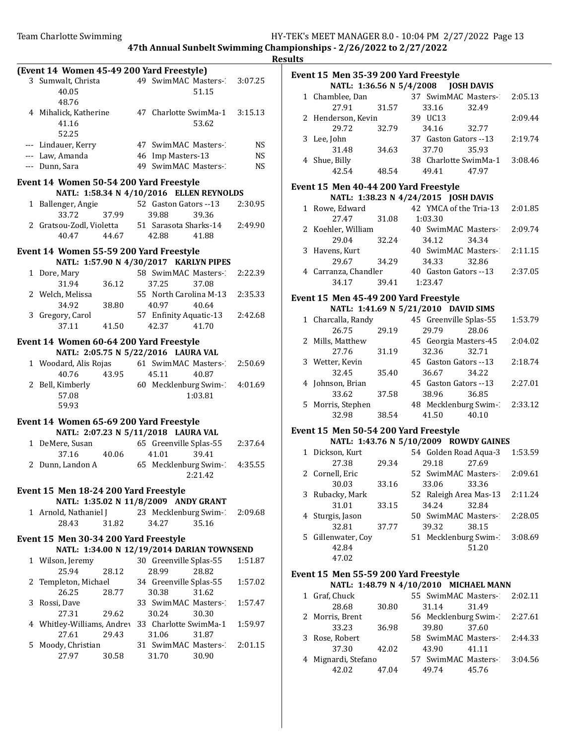|              | (Event 14 Women 45-49 200 Yard Freestyle)      |       |                        |                               |           |
|--------------|------------------------------------------------|-------|------------------------|-------------------------------|-----------|
|              | 3 Sumwalt, Christa                             |       |                        | 49 SwimMAC Masters-           | 3:07.25   |
|              | 40.05                                          |       |                        | 51.15                         |           |
|              | 48.76                                          |       |                        |                               |           |
|              |                                                |       |                        | 47 Charlotte SwimMa-1 3:15.13 |           |
|              | 4 Mihalick, Katherine                          |       |                        |                               |           |
|              | 41.16                                          |       |                        | 53.62                         |           |
|              | 52.25                                          |       |                        |                               |           |
|              | --- Lindauer, Kerry                            |       | 47 SwimMAC Masters-    |                               | <b>NS</b> |
|              | --- Law, Amanda                                |       | 46 Imp Masters-13      |                               | <b>NS</b> |
|              | --- Dunn, Sara                                 |       | 49 SwimMAC Masters-    |                               | <b>NS</b> |
|              |                                                |       |                        |                               |           |
|              | Event 14 Women 50-54 200 Yard Freestyle        |       |                        |                               |           |
|              | NATL: 1:58.34 N 4/10/2016 ELLEN REYNOLDS       |       |                        |                               |           |
| $\mathbf{1}$ | Ballenger, Angie                               |       | 52 Gaston Gators --13  |                               | 2:30.95   |
|              | 33.72                                          | 37.99 | 39.88                  | 39.36                         |           |
|              | 2 Gratsou-Zodl, Violetta 51 Sarasota Sharks-14 |       |                        |                               | 2:49.90   |
|              | 40.47                                          | 44.67 | 42.88                  | 41.88                         |           |
|              |                                                |       |                        |                               |           |
|              | Event 14 Women 55-59 200 Yard Freestyle        |       |                        |                               |           |
|              | NATL: 1:57.90 N 4/30/2017 KARLYN PIPES         |       |                        |                               |           |
| $\mathbf{1}$ | Dore, Mary                                     |       | 58 SwimMAC Masters-    |                               | 2:22.39   |
|              | 31.94                                          | 36.12 | 37.25                  | 37.08                         |           |
|              | 2 Welch, Melissa                               |       | 55 North Carolina M-13 |                               | 2:35.33   |
|              |                                                |       |                        |                               |           |
|              | 34.92                                          | 38.80 | 40.97                  | 40.64                         |           |
|              | 3 Gregory, Carol                               |       | 57 Enfinity Aquatic-13 |                               | 2:42.68   |
|              | 37.11                                          | 41.50 | 42.37                  | 41.70                         |           |
|              | Event 14 Women 60-64 200 Yard Freestyle        |       |                        |                               |           |
|              | NATL: 2:05.75 N 5/22/2016 LAURA VAL            |       |                        |                               |           |
|              |                                                |       |                        |                               |           |
|              | 1 Woodard, Alis Rojas 61 SwimMAC Masters-      |       |                        |                               | 2:50.69   |
|              | 40.76                                          | 43.95 | 45.11                  | 40.87                         |           |
|              | 2 Bell, Kimberly                               |       |                        | 60 Mecklenburg Swim-1         | 4:01.69   |
|              | 57.08                                          |       |                        | 1:03.81                       |           |
|              | 59.93                                          |       |                        |                               |           |
|              |                                                |       |                        |                               |           |
|              | Event 14 Women 65-69 200 Yard Freestyle        |       |                        |                               |           |
|              | NATL: 2:07.23 N 5/11/2018 LAURA VAL            |       |                        |                               |           |
|              | 1 DeMere, Susan                                |       | 65 Greenville Splas-55 |                               | 2:37.64   |
|              | 37.16                                          | 40.06 | 41.01                  | 39.41                         |           |
|              | 2 Dunn, Landon A                               |       |                        | 65 Mecklenburg Swim-1         | 4:35.55   |
|              |                                                |       |                        | 2:21.42                       |           |
|              |                                                |       |                        |                               |           |
|              | Event 15 Men 18-24 200 Yard Freestyle          |       |                        |                               |           |
|              | NATL: 1:35.02 N 11/8/2009 ANDY GRANT           |       |                        |                               |           |
|              | 1 Arnold, Nathaniel J                          |       |                        | 23 Mecklenburg Swim-1         | 2:09.68   |
|              | 28.43                                          | 31.82 | 34.27                  | 35.16                         |           |
|              |                                                |       |                        |                               |           |
|              | Event 15 Men 30-34 200 Yard Freestyle          |       |                        |                               |           |
|              | NATL: 1:34.00 N 12/19/2014 DARIAN TOWNSEND     |       |                        |                               |           |
| 1            | Wilson, Jeremy                                 |       | 30 Greenville Splas-55 |                               | 1:51.87   |
|              | 25.94                                          | 28.12 | 28.99                  | 28.82                         |           |
| 2            | Templeton, Michael                             |       | 34 Greenville Splas-55 |                               | 1:57.02   |
|              | 26.25                                          | 28.77 | 30.38                  | 31.62                         |           |
| 3            | Rossi, Dave                                    |       | 33 SwimMAC Masters-    |                               | 1:57.47   |
|              |                                                |       |                        |                               |           |
|              | 27.31                                          | 29.62 | 30.24                  | 30.30                         |           |
| 4            | Whitley-Williams, Andrey                       |       | 33 Charlotte SwimMa-1  |                               | 1:59.97   |
|              | 27.61                                          | 29.43 | 31.06                  | 31.87                         |           |
| 5            | Moody, Christian                               |       |                        | 31 SwimMAC Masters-           | 2:01.15   |
|              | 27.97                                          | 30.58 | 31.70                  | 30.90                         |           |
|              |                                                |       |                        |                               |           |

| ılts |                                                                              |       |                               |                                        |         |
|------|------------------------------------------------------------------------------|-------|-------------------------------|----------------------------------------|---------|
|      | Event 15 Men 35-39 200 Yard Freestyle<br>NATL: 1:36.56 N 5/4/2008 JOSH DAVIS |       |                               |                                        |         |
|      |                                                                              |       |                               |                                        |         |
|      | 1 Chamblee, Dan<br>27.91                                                     | 31.57 | 37 SwimMAC Masters-1<br>33.16 | 32.49                                  | 2:05.13 |
|      | 2 Henderson, Kevin                                                           |       | 39 UC13                       |                                        | 2:09.44 |
|      | 29.72                                                                        | 32.79 | 34.16                         | 32.77                                  |         |
|      | 3 Lee, John                                                                  |       | 37 Gaston Gators -- 13        |                                        | 2:19.74 |
|      | 31.48                                                                        | 34.63 | 37.70                         | 35.93                                  |         |
|      | 4 Shue, Billy                                                                |       |                               | 38 Charlotte SwimMa-1 3:08.46          |         |
|      | 42.54                                                                        | 48.54 | 49.41                         | 47.97                                  |         |
|      | Event 15 Men 40-44 200 Yard Freestyle                                        |       |                               |                                        |         |
|      | NATL: 1:38.23 N 4/24/2015 JOSH DAVIS                                         |       |                               |                                        |         |
|      | 1 Rowe, Edward                                                               |       |                               | 42 YMCA of the Tria-13 2:01.85         |         |
|      | 27.47                                                                        | 31.08 | 1:03.30                       |                                        |         |
|      | 2 Koehler, William                                                           |       | 40 SwimMAC Masters-           |                                        | 2:09.74 |
|      | 29.04                                                                        | 32.24 | 34.12                         | 34.34                                  |         |
|      | 3 Havens, Kurt                                                               |       |                               | 40 SwimMAC Masters-2:11.15             |         |
|      | 29.67                                                                        | 34.29 | 34.33                         | 32.86                                  |         |
|      | 4 Carranza, Chandler                                                         |       | 40 Gaston Gators --13         |                                        | 2:37.05 |
|      | 34.17                                                                        | 39.41 | 1:23.47                       |                                        |         |
|      |                                                                              |       |                               |                                        |         |
|      | Event 15 Men 45-49 200 Yard Freestyle                                        |       |                               |                                        |         |
|      | NATL: 1:41.69 N 5/21/2010 DAVID SIMS                                         |       |                               |                                        |         |
|      | 1 Charcalla, Randy                                                           |       | 45 Greenville Splas-55        |                                        | 1:53.79 |
|      | 26.75                                                                        | 29.19 | 29.79                         | 28.06                                  |         |
|      | 2 Mills, Matthew                                                             |       | 45 Georgia Masters-45         |                                        | 2:04.02 |
|      | 27.76                                                                        | 31.19 | 32.36                         | 32.71                                  |         |
|      | 3 Wetter, Kevin                                                              |       | 45 Gaston Gators --13         |                                        | 2:18.74 |
|      | 32.45                                                                        | 35.40 | 36.67                         | 34.22                                  |         |
|      | 4 Johnson, Brian                                                             |       | 45 Gaston Gators -- 13        |                                        | 2:27.01 |
|      | 33.62                                                                        | 37.58 | 38.96                         | 36.85                                  |         |
|      | 5 Morris, Stephen                                                            |       | 48 Mecklenburg Swim-1         |                                        | 2:33.12 |
|      | 32.98                                                                        | 38.54 | 41.50                         | 40.10                                  |         |
|      | Event 15 Men 50-54 200 Yard Freestyle                                        |       |                               |                                        |         |
|      |                                                                              |       |                               | NATL: 1:43.76 N 5/10/2009 ROWDY GAINES |         |
|      | 1 Dickson, Kurt                                                              |       |                               | 54 Golden Road Aqua-3                  | 1:53.59 |
|      | 27.38                                                                        | 29.34 | 29.18                         | 27.69                                  |         |
|      | 2 Cornell, Eric                                                              |       | 52 SwimMAC Masters-1          |                                        | 2:09.61 |
|      | 30.03                                                                        | 33.16 | 33.06                         | 33.36                                  |         |
| 3    | Rubacky, Mark                                                                |       | 52 Raleigh Area Mas-13        |                                        | 2:11.24 |
|      | 31.01                                                                        | 33.15 | 34.24                         | 32.84                                  |         |
|      | 4 Sturgis, Jason                                                             |       | 50 SwimMAC Masters-1          |                                        | 2:28.05 |
|      | 32.81                                                                        | 37.77 | 39.32                         | 38.15                                  |         |
| 5    | Gillenwater, Coy                                                             |       | 51 Mecklenburg Swim-1         |                                        | 3:08.69 |
|      | 42.84                                                                        |       |                               | 51.20                                  |         |
|      | 47.02                                                                        |       |                               |                                        |         |
|      | Event 15 Men 55-59 200 Yard Freestyle                                        |       |                               |                                        |         |
|      |                                                                              |       |                               | NATL: 1:48.79 N 4/10/2010 MICHAEL MANN |         |
| 1    | Graf, Chuck                                                                  |       | 55 SwimMAC Masters-1          |                                        | 2:02.11 |
|      | 28.68                                                                        | 30.80 | 31.14                         | 31.49                                  |         |
|      | 2 Morris, Brent                                                              |       | 56 Mecklenburg Swim-1         |                                        | 2:27.61 |
|      | 33.23                                                                        | 36.98 | 39.80                         | 37.60                                  |         |
| 3    | Rose, Robert                                                                 |       | 58 SwimMAC Masters-1          |                                        | 2:44.33 |
|      | 37.30                                                                        | 42.02 | 43.90                         | 41.11                                  |         |
|      |                                                                              |       |                               |                                        |         |

| 37.30               | 42.02 | 43.90                       | 41.11 |  |
|---------------------|-------|-----------------------------|-------|--|
| 4 Mignardi, Stefano |       | 57 SwimMAC Masters- 3:04.56 |       |  |
| 42.02               | 47.04 | 49.74                       | 45.76 |  |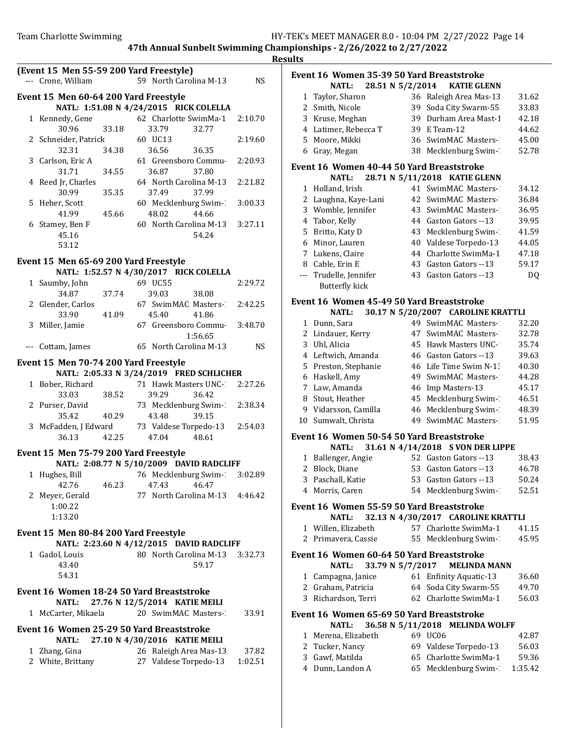|                                                               |       |                                          |         |           | <b>Results</b> |
|---------------------------------------------------------------|-------|------------------------------------------|---------|-----------|----------------|
| (Event 15 Men 55-59 200 Yard Freestyle)<br>--- Crone, William |       | 59 North Carolina M-13                   |         | <b>NS</b> | Eve            |
|                                                               |       |                                          |         |           |                |
| Event 15 Men 60-64 200 Yard Freestyle                         |       |                                          |         |           |                |
|                                                               |       | NATL: 1:51.08 N 4/24/2015 RICK COLELLA   |         |           |                |
| 1 Kennedy, Gene<br>30.96                                      | 33.18 | 62 Charlotte SwimMa-1<br>33.79           | 32.77   | 2:10.70   |                |
| 2 Schneider, Patrick                                          |       | 60 UC13                                  |         | 2:19.60   |                |
| 32.31                                                         | 34.38 | 36.56                                    | 36.35   |           |                |
| 3 Carlson, Eric A                                             |       | 61 Greensboro Commu-                     |         | 2:20.93   |                |
| 31.71                                                         | 34.55 | 36.87                                    | 37.80   |           | Eve            |
| 4 Reed Jr, Charles                                            |       | 64 North Carolina M-13                   |         | 2:21.82   |                |
| 30.99                                                         | 35.35 | 37.49                                    | 37.99   |           |                |
| 5 Heher, Scott                                                |       | 60 Mecklenburg Swim-1                    |         | 3:00.33   |                |
| 41.99                                                         | 45.66 | 48.02                                    | 44.66   |           |                |
| 6 Stamey, Ben F                                               |       | 60 North Carolina M-13 3:27.11           |         |           |                |
| 45.16<br>53.12                                                |       |                                          | 54.24   |           |                |
|                                                               |       |                                          |         |           |                |
| Event 15 Men 65-69 200 Yard Freestyle                         |       |                                          |         |           |                |
|                                                               |       | NATL: 1:52.57 N 4/30/2017 RICK COLELLA   |         |           |                |
| 1 Saumby, John                                                |       | 69 UC55                                  |         | 2:29.72   |                |
| 34.87                                                         | 37.74 | 39.03                                    | 38.08   |           | Eve            |
| 2 Glender, Carlos<br>33.90                                    | 41.09 | 67 SwimMAC Masters-2:42.25<br>45.40      | 41.86   |           |                |
| 3 Miller, Jamie                                               |       | 67 Greensboro Commu 3:48.70              |         |           |                |
|                                                               |       |                                          | 1:56.65 |           |                |
| --- Cottam, James                                             |       | 65 North Carolina M-13                   |         | <b>NS</b> |                |
|                                                               |       |                                          |         |           |                |
| Event 15 Men 70-74 200 Yard Freestyle                         |       | NATL: 2:05.33 N 3/24/2019 FRED SCHLICHER |         |           |                |
| 1 Bober, Richard                                              |       | 71 Hawk Masters UNC-2 2:27.26            |         |           |                |
| 33.03                                                         | 38.52 | 39.29                                    | 36.42   |           |                |
| 2 Purser, David                                               |       | 73 Mecklenburg Swim-2:38.34              |         |           |                |
| 35.42                                                         | 40.29 | 43.48                                    | 39.15   |           | 1(             |
| 3 McFadden, J Edward 73 Valdese Torpedo-13 2:54.03            |       |                                          |         |           |                |
| 36.13                                                         | 42.25 | 47.04                                    | 48.61   |           | Eve            |
| Event 15 Men 75-79 200 Yard Freestyle                         |       |                                          |         |           |                |
|                                                               |       | NATL: 2:08.77 N 5/10/2009 DAVID RADCLIFF |         |           |                |
| 1 Hughes, Bill 76 Mecklenburg Swim- 3:02.89                   |       |                                          |         |           |                |
| 42.76                                                         | 46.23 | 47.43                                    | 46.47   |           |                |
| 2 Meyer, Gerald                                               |       | 77 North Carolina M-13                   |         | 4:46.42   |                |
| 1:00.22                                                       |       |                                          |         |           | Eve            |
| 1:13.20                                                       |       |                                          |         |           |                |
| Event 15 Men 80-84 200 Yard Freestyle                         |       |                                          |         |           |                |
|                                                               |       | NATL: 2:23.60 N 4/12/2015 DAVID RADCLIFF |         |           |                |
| 1 Gadol, Louis                                                |       | 80 North Carolina M-13                   |         | 3:32.73   | Eve            |
| 43.40                                                         |       |                                          | 59.17   |           |                |
| 54.31                                                         |       |                                          |         |           |                |
| Event 16 Women 18-24 50 Yard Breaststroke                     |       |                                          |         |           |                |
| NATL:                                                         |       | 27.76 N 12/5/2014 KATIE MEILI            |         |           |                |
| 1 McCarter, Mikaela                                           |       | 20 SwimMAC Masters-                      |         | 33.91     | Eve            |
| Event 16 Women 25-29 50 Yard Breaststroke<br><b>NATL:</b>     |       | 27.10 N 4/30/2016 KATIE MEILI            |         |           |                |
| 1 Zhang, Gina                                                 |       | 26 Raleigh Area Mas-13                   |         | 37.82     |                |
| 2 White, Brittany                                             |       | 27 Valdese Torpedo-13                    |         | 1:02.51   |                |
|                                                               |       |                                          |         |           |                |
|                                                               |       |                                          |         |           |                |

| แเร            |                                                           |    |                                    |         |
|----------------|-----------------------------------------------------------|----|------------------------------------|---------|
|                | Event 16 Women 35-39 50 Yard Breaststroke                 |    |                                    |         |
|                | 28.51 N 5/2/2014<br><b>NATL:</b>                          |    | <b>KATIE GLENN</b>                 |         |
| $\mathbf{1}$   | Taylor, Sharon                                            |    | 36 Raleigh Area Mas-13             | 31.62   |
|                | 2 Smith, Nicole                                           | 39 | Soda City Swarm-55                 | 33.83   |
| 3              | Kruse, Meghan                                             | 39 | Durham Area Mast-1                 | 42.18   |
|                | 4 Latimer, Rebecca T                                      | 39 | E Team-12                          | 44.62   |
| 5              | Moore, Mikki                                              |    | 36 SwimMAC Masters-1               | 45.00   |
| 6              | Gray, Megan                                               |    | 38 Mecklenburg Swim-1              | 52.78   |
|                | Event 16 Women 40-44 50 Yard Breaststroke<br><b>NATL:</b> |    | 28.71 N 5/11/2018 KATIE GLENN      |         |
| 1              | Holland, Irish                                            |    | 41 SwimMAC Masters-1               | 34.12   |
| 2              | Laughna, Kaye-Lani                                        |    | 42 SwimMAC Masters-1               | 36.84   |
| 3              | Womble, Jennifer                                          |    | 43 SwimMAC Masters-1               | 36.95   |
| $\overline{4}$ | Tabor, Kelly                                              |    | 44 Gaston Gators --13              | 39.95   |
| 5              | Britto, Katy D                                            | 43 | Mecklenburg Swim-1                 | 41.59   |
| 6              | Minor, Lauren                                             | 40 | Valdese Torpedo-13                 | 44.05   |
|                | 7 Lukens, Claire                                          | 44 | Charlotte SwimMa-1                 | 47.18   |
|                | 8 Cable, Erin E                                           | 43 | Gaston Gators --13                 | 59.17   |
| $---$          | Trudelle, Jennifer                                        | 43 | Gaston Gators --13                 | DQ      |
|                | <b>Butterfly kick</b>                                     |    |                                    |         |
|                | Event 16 Women 45-49 50 Yard Breaststroke                 |    |                                    |         |
|                | <b>NATL:</b>                                              |    | 30.17 N 5/20/2007 CAROLINE KRATTLI |         |
| 1              | Dunn, Sara                                                |    | 49 SwimMAC Masters-1               | 32.20   |
|                | 2 Lindauer, Kerry                                         |    | 47 SwimMAC Masters-1               | 32.78   |
| 3              | Uhl, Alicia                                               | 45 | Hawk Masters UNC-                  | 35.74   |
| $\overline{4}$ | Leftwich, Amanda                                          |    | 46 Gaston Gators --13              | 39.63   |
| 5              | Preston, Stephanie                                        | 46 | Life Time Swim N-13                | 40.30   |
| 6              | Haskell, Amy                                              | 49 | SwimMAC Masters-                   | 44.28   |
| 7              | Law, Amanda                                               | 46 | Imp Masters-13                     | 45.17   |
| 8              | Stout, Heather                                            | 45 | Mecklenburg Swim-1                 | 46.51   |
|                | 9 Vidarsson, Camilla                                      | 46 | Mecklenburg Swim-1                 | 48.39   |
| 10             | Sumwalt, Christa                                          | 49 | SwimMAC Masters-                   | 51.95   |
|                | Event 16 Women 50-54 50 Yard Breaststroke                 |    |                                    |         |
|                | <b>NATL:</b>                                              |    | 31.61 N 4/14/2018 S VON DER LIPPE  |         |
| 1              | Ballenger, Angie                                          |    | 52 Gaston Gators --13              | 38.43   |
| $\overline{2}$ | Block, Diane                                              |    | 53 Gaston Gators --13              | 46.78   |
|                | 3 Paschall, Katie                                         |    | 53 Gaston Gators -- 13             | 50.24   |
|                | 4 Morris, Caren                                           |    | 54 Mecklenburg Swim-1              | 52.51   |
|                | Event 16 Women 55-59 50 Yard Breaststroke                 |    |                                    |         |
|                | NATL:                                                     |    | 32.13 N 4/30/2017 CAROLINE KRATTLI |         |
|                | 1 Willen, Elizabeth                                       |    | 57 Charlotte SwimMa-1              | 41.15   |
| 2              | Primavera, Cassie                                         |    | 55 Mecklenburg Swim-1              | 45.95   |
|                | Event 16 Women 60-64 50 Yard Breaststroke                 |    |                                    |         |
|                | 33.79 N 5/7/2017<br>NATL:                                 |    | <b>MELINDA MANN</b>                |         |
|                | 1 Campagna, Janice                                        |    | 61 Enfinity Aquatic-13             | 36.60   |
|                | 2 Graham, Patricia                                        |    | 64 Soda City Swarm-55              | 49.70   |
|                | 3 Richardson, Terri                                       |    | 62 Charlotte SwimMa-1              | 56.03   |
|                | Event 16 Women 65-69 50 Yard Breaststroke                 |    |                                    |         |
|                | NATL:                                                     |    | 36.58 N 5/11/2018 MELINDA WOLFF    |         |
|                | 1 Merena, Elizabeth                                       |    | 69 UC06                            | 42.87   |
|                | 2 Tucker, Nancy                                           |    | 69 Valdese Torpedo-13              | 56.03   |
|                | 3 Gawf, Matilda                                           |    | 65 Charlotte SwimMa-1              | 59.36   |
|                | 4 Dunn, Landon A                                          |    | 65 Mecklenburg Swim-1              | 1:35.42 |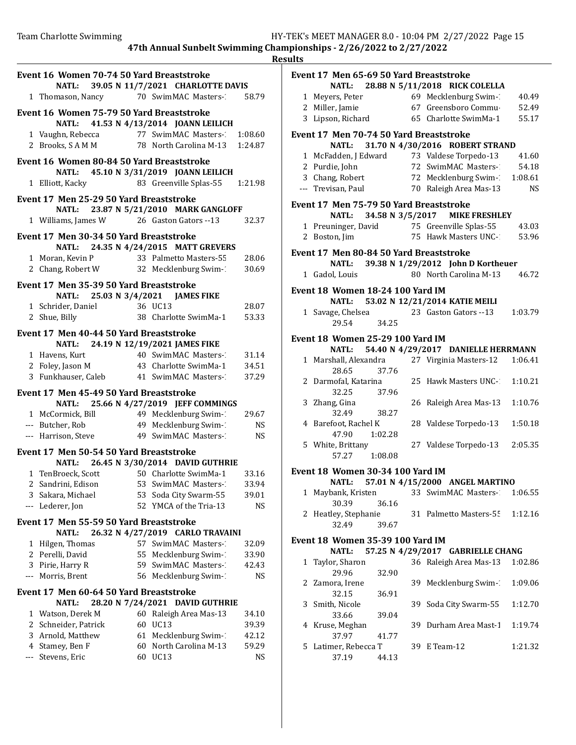|       | Event 16 Women 70-74 50 Yard Breaststroke                                        |    |                                                                |                |
|-------|----------------------------------------------------------------------------------|----|----------------------------------------------------------------|----------------|
|       |                                                                                  |    | NATL: 39.05 N 11/7/2021 CHARLOTTE DAVIS                        |                |
|       | 1 Thomason, Nancy 70 SwimMAC Masters- 58.79                                      |    |                                                                |                |
|       | Event 16 Women 75-79 50 Yard Breaststroke                                        |    |                                                                |                |
|       |                                                                                  |    | NATL: 41.53 N 4/13/2014 JOANN LEILICH                          |                |
|       | 1 Vaughn, Rebecca                                                                |    | 77 SwimMAC Masters-                                            | 1:08.60        |
|       | 2 Brooks, SAMM 78 North Carolina M-13                                            |    |                                                                | 1:24.87        |
|       | Event 16 Women 80-84 50 Yard Breaststroke                                        |    |                                                                |                |
|       |                                                                                  |    | NATL: 45.10 N 3/31/2019 JOANN LEILICH                          |                |
|       | 1 Elliott, Kacky                                                                 |    | 83 Greenville Splas-55 1:21.98                                 |                |
|       | Event 17 Men 25-29 50 Yard Breaststroke                                          |    |                                                                |                |
|       |                                                                                  |    | NATL: 23.87 N 5/21/2010 MARK GANGLOFF                          |                |
|       | 1 Williams, James W 26 Gaston Gators -- 13 32.37                                 |    |                                                                |                |
|       | Event 17 Men 30-34 50 Yard Breaststroke                                          |    |                                                                |                |
|       | 1 Moran, Kevin P                                                                 |    | NATL: 24.35 N 4/24/2015 MATT GREVERS<br>33 Palmetto Masters-55 |                |
|       | 2 Chang, Robert W 32 Mecklenburg Swim-1                                          |    |                                                                | 28.06<br>30.69 |
|       |                                                                                  |    |                                                                |                |
|       | Event 17 Men 35-39 50 Yard Breaststroke                                          |    | NATL: 25.03 N 3/4/2021 JAMES FIKE                              |                |
|       |                                                                                  |    |                                                                | 28.07          |
|       | 1 Schrider, Daniel 36 UC13<br>2 Shue, Billy 38 Charlotte SwimMa-1                |    |                                                                | 53.33          |
|       | Event 17 Men 40-44 50 Yard Breaststroke                                          |    |                                                                |                |
|       |                                                                                  |    | NATL: 24.19 N 12/19/2021 JAMES FIKE                            |                |
|       | 1 Havens, Kurt 40 SwimMAC Masters-2 31.14                                        |    |                                                                |                |
|       | 2 Foley, Jason M 43 Charlotte SwimMa-1 34.51                                     |    |                                                                |                |
|       | 3 Funkhauser, Caleb 41 SwimMAC Masters-                                          |    |                                                                | 37.29          |
|       | Event 17 Men 45-49 50 Yard Breaststroke                                          |    |                                                                |                |
|       |                                                                                  |    | NATL: 25.66 N 4/27/2019 JEFF COMMINGS                          |                |
|       | 1 McCormick, Bill 49 Mecklenburg Swim-1<br>-- Butcher, Rob 49 Mecklenburg Swim-1 |    |                                                                | 29.67          |
|       | --- Butcher, Rob                                                                 |    |                                                                | NS             |
|       | --- Harrison, Steve 49 SwimMAC Masters-                                          |    |                                                                | NS             |
|       | Event 17 Men 50-54 50 Yard Breaststroke                                          |    |                                                                |                |
|       |                                                                                  |    | NATL: 26.45 N 3/30/2014 DAVID GUTHRIE                          |                |
|       | 1 TenBroeck, Scott 50 Charlotte SwimMa-1 33.16                                   |    |                                                                |                |
|       | 2 Sandrini, Edison                                                               |    | 53 SwimMAC Masters-1                                           | 33.94          |
|       | 3 Sakara, Michael                                                                | 53 | Soda City Swarm-55                                             | 39.01          |
| $---$ | Lederer, Jon                                                                     | 52 | YMCA of the Tria-13                                            | NS             |
|       | Event 17 Men 55-59 50 Yard Breaststroke                                          |    |                                                                |                |
|       | <b>NATL:</b>                                                                     |    | 26.32 N 4/27/2019 CARLO TRAVAINI                               |                |
| 1     | Hilgen, Thomas<br>2 Perelli, David                                               | 55 | 57 SwimMAC Masters-<br>Mecklenburg Swim-1                      | 32.09<br>33.90 |
|       | 3 Pirie, Harry R                                                                 |    | 59 SwimMAC Masters-                                            | 42.43          |
|       | --- Morris, Brent                                                                |    | 56 Mecklenburg Swim-1                                          | NS             |
|       |                                                                                  |    |                                                                |                |
|       | Event 17 Men 60-64 50 Yard Breaststroke<br><b>NATL:</b>                          |    | 28.20 N 7/24/2021 DAVID GUTHRIE                                |                |
|       | 1 Watson, Derek M                                                                |    | 60 Raleigh Area Mas-13                                         | 34.10          |
|       | 2 Schneider, Patrick                                                             | 60 | <b>UC13</b>                                                    | 39.39          |
|       | 3 Arnold, Matthew                                                                | 61 | Mecklenburg Swim-1                                             | 42.12          |
|       | 4 Stamey, Ben F                                                                  | 60 | North Carolina M-13                                            | 59.29          |
|       | Stevens, Eric                                                                    |    | 60 UC13                                                        | <b>NS</b>      |
|       |                                                                                  |    |                                                                |                |

| <b>Results</b> |                                              |         |              |                                          |           |
|----------------|----------------------------------------------|---------|--------------|------------------------------------------|-----------|
|                | Event 17 Men 65-69 50 Yard Breaststroke      |         |              |                                          |           |
|                |                                              |         |              | NATL: 28.88 N 5/11/2018 RICK COLELLA     |           |
|                | 1 Meyers, Peter                              |         |              | 69 Mecklenburg Swim-1                    | 40.49     |
|                | 2 Miller, Jamie                              |         |              | 67 Greensboro Commu-                     | 52.49     |
|                | 3 Lipson, Richard 65 Charlotte SwimMa-1      |         |              |                                          | 55.17     |
|                | Event 17 Men 70-74 50 Yard Breaststroke      |         |              |                                          |           |
|                | <b>NATL:</b>                                 |         |              | 31.70 N 4/30/2016 ROBERT STRAND          |           |
|                | 1 McFadden, J Edward                         |         |              | 73 Valdese Torpedo-13                    | 41.60     |
|                | 2 Purdie, John                               |         |              | 72 SwimMAC Masters-2                     | 54.18     |
|                | 3 Chang, Robert                              |         |              | 72 Mecklenburg Swim-1:08.61              |           |
|                | --- Trevisan, Paul                           |         |              | 70 Raleigh Area Mas-13                   | <b>NS</b> |
|                | Event 17 Men 75-79 50 Yard Breaststroke      |         |              |                                          |           |
|                | NATL:                                        |         |              | 34.58 N 3/5/2017 MIKE FRESHLEY           |           |
|                | 1 Preuninger, David 75 Greenville Splas-55   |         |              |                                          | 43.03     |
|                | 2 Boston, Jim                                |         |              | 75 Hawk Masters UNC-1                    | 53.96     |
|                | Event 17 Men 80-84 50 Yard Breaststroke      |         |              |                                          |           |
|                |                                              |         |              | NATL: 39.38 N 1/29/2012 John D Kortheuer |           |
|                | 1 Gadol, Louis                               |         |              | 80 North Carolina M-13                   | 46.72     |
|                | Event 18 Women 18-24 100 Yard IM             |         |              |                                          |           |
|                | <b>NATL:</b>                                 |         |              | 53.02 N 12/21/2014 KATIE MEILI           |           |
|                | 1 Savage, Chelsea                            |         |              | 23 Gaston Gators --13                    | 1:03.79   |
|                | 29.54                                        | 34.25   |              |                                          |           |
|                | Event 18 Women 25-29 100 Yard IM             |         |              |                                          |           |
|                | <b>NATL:</b>                                 |         |              | 54.40 N 4/29/2017 DANIELLE HERRMANN      |           |
|                | 1 Marshall, Alexandra 27 Virginia Masters-12 |         |              |                                          | 1:06.41   |
|                | 28.65                                        | 37.76   |              |                                          |           |
|                | 2 Darmofal, Katarina                         |         |              | 25 Hawk Masters UNC-                     | 1:10.21   |
|                | 32.25 37.96                                  |         |              |                                          |           |
|                | 3 Zhang, Gina                                |         |              | 26 Raleigh Area Mas-13                   | 1:10.76   |
|                | 32.49                                        | 38.27   |              |                                          |           |
|                | 4 Barefoot, Rachel K                         |         |              | 28 Valdese Torpedo-13                    | 1:50.18   |
|                | 47.90                                        | 1:02.28 |              |                                          |           |
|                | 5 White, Brittany                            |         |              | 27 Valdese Torpedo-13                    | 2:05.35   |
|                | 57.27 1:08.08                                |         |              |                                          |           |
|                | Event 18 Women 30-34 100 Yard IM             |         |              |                                          |           |
|                | <b>NATL:</b>                                 |         |              | 57.01 N 4/15/2000 ANGEL MARTINO          |           |
|                | 1 Maybank, Kristen                           |         |              | 33 SwimMAC Masters-                      | 1:06.55   |
|                | 30.39                                        | 36.16   |              |                                          |           |
|                | 2 Heatley, Stephanie                         |         |              | 31 Palmetto Masters-55                   | 1:12.16   |
|                | 32.49                                        | 39.67   |              |                                          |           |
|                | <b>Event 18 Women 35-39 100 Yard IM</b>      |         |              |                                          |           |
|                | <b>NATL:</b>                                 |         |              | 57.25 N 4/29/2017 GABRIELLE CHANG        |           |
|                | 1 Taylor, Sharon                             |         |              | 36 Raleigh Area Mas-13                   | 1:02.86   |
|                | 29.96                                        | 32.90   |              |                                          |           |
|                | 2 Zamora, Irene                              | 39      |              | Mecklenburg Swim-1                       | 1:09.06   |
|                | 32.15                                        | 36.91   |              |                                          |           |
|                | 3 Smith, Nicole                              |         |              | 39 Soda City Swarm-55                    | 1:12.70   |
|                | 33.66                                        | 39.04   |              |                                          |           |
|                | 4 Kruse, Meghan                              |         |              | 39 Durham Area Mast-1                    | 1:19.74   |
|                | 37.97                                        | 41.77   |              |                                          |           |
|                | 5 Latimer, Rebecca T                         |         | 39 E Team-12 |                                          | 1:21.32   |

37.19 44.13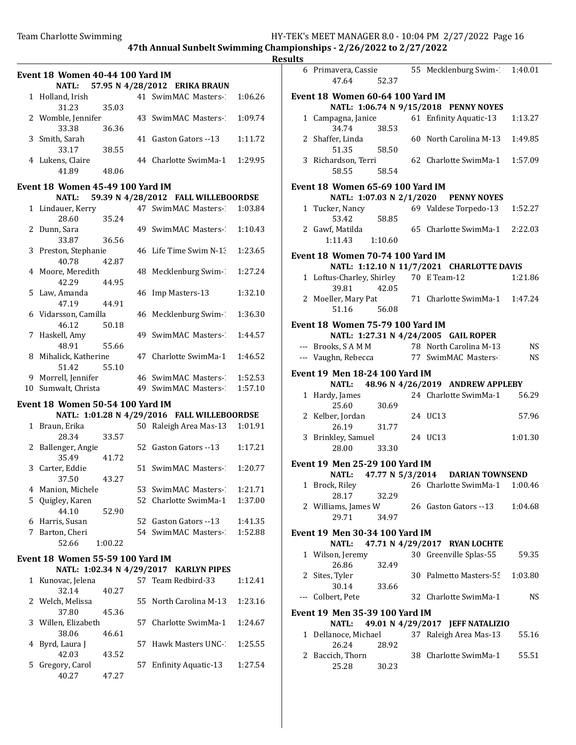# **Results**

|   |                                         |         |                                             |         | kesi |
|---|-----------------------------------------|---------|---------------------------------------------|---------|------|
|   | Event 18 Women 40-44 100 Yard IM        |         |                                             |         |      |
|   |                                         |         | NATL: 57.95 N 4/28/2012 ERIKA BRAUN         |         |      |
|   | 1 Holland, Irish                        |         | 41 SwimMAC Masters- 1:06.26                 |         |      |
|   | 31.23                                   | 35.03   |                                             |         |      |
|   | 2 Womble, Jennifer                      |         | 43 SwimMAC Masters- 1:09.74                 |         |      |
|   | 33.38                                   | 36.36   |                                             |         |      |
|   | 3 Smith, Sarah                          |         | 41 Gaston Gators --13                       | 1:11.72 |      |
|   | 33.17                                   | 38.55   |                                             |         |      |
|   | 4 Lukens, Claire                        |         | 44 Charlotte SwimMa-1 1:29.95               |         |      |
|   | 41.89                                   | 48.06   |                                             |         |      |
|   |                                         |         |                                             |         |      |
|   | Event 18 Women 45-49 100 Yard IM        |         |                                             |         |      |
|   | <b>NATL:</b>                            |         | 59.39 N 4/28/2012 FALL WILLEBOORDSE         |         |      |
|   | 1 Lindauer, Kerry                       |         | 47 SwimMAC Masters-                         | 1:03.84 |      |
|   | 28.60                                   | 35.24   |                                             |         |      |
|   | 2 Dunn, Sara                            |         | 49 SwimMAC Masters-                         | 1:10.43 |      |
|   | 33.87                                   | 36.56   |                                             |         |      |
|   | 3 Preston, Stephanie                    |         | 46 Life Time Swim N-1:                      | 1:23.65 |      |
|   | 40.78 42.87                             |         |                                             |         |      |
|   | 4 Moore, Meredith                       |         | 48 Mecklenburg Swim-1                       | 1:27.24 |      |
|   | 42.29                                   | 44.95   |                                             |         |      |
|   | 5 Law, Amanda                           |         | 46 Imp Masters-13                           | 1:32.10 |      |
|   | 47.19                                   | 44.91   |                                             |         |      |
|   | 6 Vidarsson, Camilla                    |         | 46 Mecklenburg Swim-1                       | 1:36.30 |      |
|   | 46.12                                   |         |                                             |         |      |
|   |                                         | 50.18   |                                             |         |      |
|   | 7 Haskell, Amy                          |         | 49 SwimMAC Masters-                         | 1:44.57 |      |
|   | 48.91                                   | 55.66   |                                             |         |      |
|   | 8 Mihalick, Katherine                   |         | 47 Charlotte SwimMa-1                       | 1:46.52 |      |
|   | 51.42                                   | 55.10   |                                             |         |      |
|   | 9 Morrell, Jennifer                     |         | 46 SwimMAC Masters-                         | 1:52.53 |      |
|   | 10 Sumwalt, Christa                     |         | 49 SwimMAC Masters-                         | 1:57.10 |      |
|   | Event 18 Women 50-54 100 Yard IM        |         |                                             |         |      |
|   |                                         |         | NATL: 1:01.28 N 4/29/2016 FALL WILLEBOORDSE |         |      |
|   | 1 Braun, Erika                          |         | 50 Raleigh Area Mas-13 1:01.91              |         |      |
|   | 28.34                                   | 33.57   |                                             |         |      |
|   |                                         |         |                                             | 1:17.21 |      |
|   | 2 Ballenger, Angie                      |         | 52 Gaston Gators --13                       |         |      |
|   | 35.49                                   | 41.72   |                                             |         |      |
|   | 3 Carter, Eddie                         |         | 51 SwimMAC Masters- 1:20.77                 |         |      |
|   | 37.50                                   | 43.27   |                                             |         |      |
|   | 4 Manion, Michele                       |         | 53 SwimMAC Masters-1                        | 1:21.71 |      |
|   | 5 Quigley, Karen                        |         | 52 Charlotte SwimMa-1                       | 1:37.00 |      |
|   | 44.10                                   | 52.90   |                                             |         |      |
|   | 6 Harris, Susan                         |         | 52 Gaston Gators --13                       | 1:41.35 |      |
|   | 7 Barton, Cheri                         |         | 54 SwimMAC Masters-                         | 1:52.88 |      |
|   | 52.66                                   | 1:00.22 |                                             |         |      |
|   |                                         |         |                                             |         |      |
|   | <b>Event 18 Women 55-59 100 Yard IM</b> |         |                                             |         |      |
|   |                                         |         | NATL: 1:02.34 N 4/29/2017 KARLYN PIPES      |         |      |
|   | 1 Kunovac, Jelena                       |         | 57 Team Redbird-33                          | 1:12.41 |      |
|   | 32.14                                   | 40.27   |                                             |         |      |
|   | 2 Welch, Melissa                        |         | 55 North Carolina M-13                      | 1:23.16 |      |
|   | 37.80                                   | 45.36   |                                             |         |      |
| 3 | Willen, Elizabeth                       |         | 57 Charlotte SwimMa-1                       | 1:24.67 |      |
|   | 38.06                                   | 46.61   |                                             |         |      |
| 4 | Byrd, Laura J                           |         | 57 Hawk Masters UNC-                        | 1:25.55 |      |
|   | 42.03                                   | 43.52   |                                             |         |      |
| 5 | Gregory, Carol                          |         | 57 Enfinity Aquatic-13                      | 1:27.54 |      |
|   | 40.27                                   | 47.27   |                                             |         |      |
|   |                                         |         |                                             |         |      |
|   |                                         |         |                                             |         |      |

| 6 Primavera, Cassie<br>47.64                    | 52.37          | 55 Mecklenburg Swim-1:40.01                                                            |           |
|-------------------------------------------------|----------------|----------------------------------------------------------------------------------------|-----------|
| Event 18 Women 60-64 100 Yard IM                |                | NATL: 1:06.74 N 9/15/2018 PENNY NOYES                                                  |           |
| 1 Campagna, Janice<br>34.74                     |                | 61 Enfinity Aquatic-13                                                                 | 1:13.27   |
| 2 Shaffer, Linda                                | 38.53          | 60 North Carolina M-13                                                                 | 1:49.85   |
| 51.35<br>3 Richardson, Terri<br>58.55           | 58.50<br>58.54 | 62 Charlotte SwimMa-1 1:57.09                                                          |           |
| Event 18 Women 65-69 100 Yard IM                |                |                                                                                        |           |
|                                                 |                | NATL: 1:07.03 N 2/1/2020 PENNY NOYES                                                   |           |
| 1 Tucker, Nancy<br>53.42                        | 58.85          | 69 Valdese Torpedo-13                                                                  | 1:52.27   |
| 2 Gawf, Matilda<br>1:11.43                      | 1:10.60        | 65 Charlotte SwimMa-1 2:22.03                                                          |           |
| Event 18 Women 70-74 100 Yard IM                |                |                                                                                        |           |
|                                                 |                | NATL: 1:12.10 N 11/7/2021 CHARLOTTE DAVIS                                              |           |
| 1 Loftus-Charley, Shirley 70 E Team-12<br>39.81 | 42.05          |                                                                                        | 1:21.86   |
| 51.16                                           | 56.08          | 2 Moeller, Mary Pat 71 Charlotte SwimMa-1 1:47.24                                      |           |
| Event 18 Women 75-79 100 Yard IM                |                |                                                                                        |           |
|                                                 |                | NATL: 1:27.31 N 4/24/2005 GAIL ROPER                                                   |           |
|                                                 |                |                                                                                        |           |
|                                                 |                | --- Brooks, S A M M 78 North Carolina M-13<br>--- Vaughn, Rebecca 77 SwimMAC Masters-2 | NS<br>NS. |
|                                                 |                |                                                                                        |           |
| Event 19 Men 18-24 100 Yard IM                  |                |                                                                                        |           |
|                                                 |                | NATL: 48.96 N 4/26/2019 ANDREW APPLEBY                                                 |           |
| 1 Hardy, James                                  |                | 24 Charlotte SwimMa-1                                                                  | 56.29     |
| 25.60                                           | 30.69          |                                                                                        |           |
| 2 Kelber, Jordan                                |                | 24 UC13                                                                                | 57.96     |
| 26.19                                           | 31.77          |                                                                                        |           |
| 3 Brinkley, Samuel<br>28.00                     | 33.30          | 24 UC13                                                                                | 1:01.30   |
|                                                 |                |                                                                                        |           |
| Event 19 Men 25-29 100 Yard IM                  |                |                                                                                        |           |
|                                                 |                | NATL: 47.77 N 5/3/2014 DARIAN TOWNSEND                                                 |           |
| 28.17                                           | 32.29          | 1 Brock, Riley 26 Charlotte SwimMa-1 1:00.46                                           |           |
| 2 Williams, James W<br>29.71                    | 34.97          | 26 Gaston Gators --13                                                                  | 1:04.68   |
|                                                 |                |                                                                                        |           |
| Event 19 Men 30-34 100 Yard IM                  |                |                                                                                        |           |
| <b>NATL:</b>                                    |                | 47.71 N 4/29/2017 RYAN LOCHTE                                                          |           |
| 1 Wilson, Jeremy                                |                | 30 Greenville Splas-55                                                                 | 59.35     |
| 26.86<br>2 Sites, Tyler                         | 32.49          | 30 Palmetto Masters-55                                                                 | 1:03.80   |
| 30.14                                           | 33.66          |                                                                                        |           |
| --- Colbert, Pete                               |                | 32 Charlotte SwimMa-1                                                                  | NS.       |
| <b>Event 19 Men 35-39 100 Yard IM</b>           |                |                                                                                        |           |
| <b>NATL:</b>                                    |                | 49.01 N 4/29/2017 JEFF NATALIZIO                                                       |           |
| 1 Dellanoce, Michael                            |                | 37 Raleigh Area Mas-13                                                                 | 55.16     |
| 26.24<br>2 Baccich, Thorn                       | 28.92          | 38 Charlotte SwimMa-1                                                                  | 55.51     |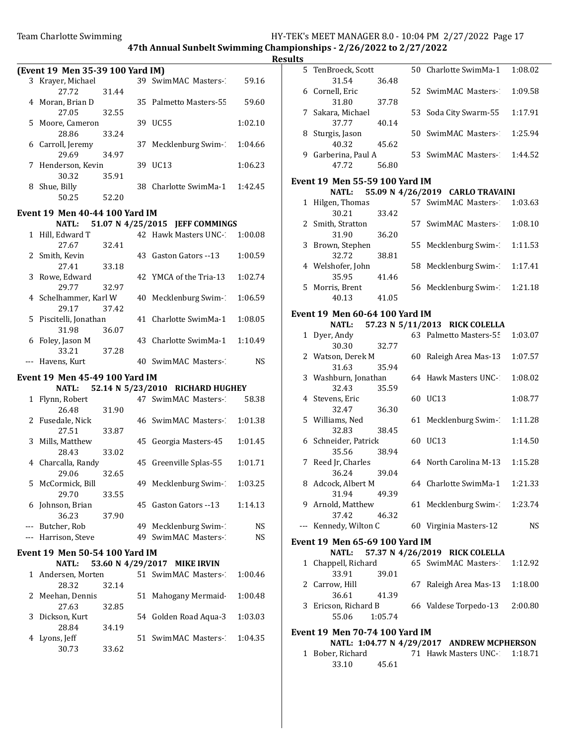(Event 19 Men 35-39 100 Yard IM) 3 Krayer, Michael 39 SwimMAC Masters-13 59.16 27.72 31.44 4 Moran, Brian D 35 Palmetto Masters-55 59.60 27.05 32.55 5 1:02.10 Moore, Cameron 39 UC55 28.86 33.24 6 Carroll, Jeremy 37 Mecklenburg Swim-1:04.66 29.69 34.97 7 1:06.23 Henderson, Kevin 39 UC13 30.32 35.91 8 Shue, Billy 38 Charlotte SwimMa-1 1:42.45 50.25 52.20 Event 19 Men 40-44 100 Yard IM NATL: 51.07 N 4/25/2015 JEFF COMMINGS 1 Hill, Edward T 42 Hawk Masters UNC-1300.08 27.67 32.41 2 Smith, Kevin 43 Gaston Gators -- 13 1:00.59 27.41 33.18 3 1:02.74 Rowe, Edward 42 YMCA of the Tria-13 29.77 32.97 4 Schelhammer, Karl W 40 Mecklenburg Swim-1:06.59 29.17 37.42 5 Piscitelli, Jonathan 41 Charlotte SwimMa-1 1:08.05 31.98 36.07 6 Foley, Jason M 43 Charlotte SwimMa-1 1:10.49 33.21 37.28 --- Havens, Kurt 10 40 SwimMAC Masters-13 NS Event 19 Men 45-49 100 Yard IM NATL: 52.14 N 5/23/2010 RICHARD HUGHEY 1 Flynn, Robert 47 SwimMAC Masters-158.38 26.48 31.90 2 Fusedale, Nick 46 SwimMAC Masters-1:01.38 27.51 33.87 3 Mills, Matthew 45 Georgia Masters-45 1:01.45 28.43 33.02 4 Charcalla, Randy 45 Greenville Splas-55 1:01.71 29.06 32.65 5 McCormick, Bill 49 Mecklenburg Swim-1:03.25 29.70 33.55

## 6 Johnson, Brian 45 Gaston Gators -- 13 1:14.13 36.23 37.90 --- Butcher, Rob 49 Mecklenburg Swim-13 NS --- Harrison, Steve 49 SwimMAC Masters-13 NS

#### Event 19 Men 50-54 100 Yard IM

#### NATL: 53.60 N 4/29/2017 MIKE IRVIN

| 1 Andersen, Morten |       | 51 SwimMAC Masters- 1:00.46 |         |
|--------------------|-------|-----------------------------|---------|
| 28.32              | 32.14 |                             |         |
| 2 Meehan, Dennis   |       | 51 Mahogany Mermaid         | 1:00.48 |
| 27.63              | 32.85 |                             |         |
| 3 Dickson, Kurt    |       | 54 Golden Road Agua-3       | 1:03.03 |
| 28.84              | 34.19 |                             |         |
| 4 Lyons, Jeff      |       | 51 SwimMAC Masters- 1:04.35 |         |
| 30.73              | 33.62 |                             |         |

| <b>Results</b> |                                                |         |                                            |         |
|----------------|------------------------------------------------|---------|--------------------------------------------|---------|
|                | 5 TenBroeck, Scott<br>31.54                    | 36.48   | 50 Charlotte SwimMa-1                      | 1:08.02 |
|                | 6 Cornell, Eric                                |         | 52 SwimMAC Masters-2                       | 1:09.58 |
|                | 31.80<br>7 Sakara, Michael                     | 37.78   | 53 Soda City Swarm-55                      | 1:17.91 |
|                | 37.77<br>8 Sturgis, Jason                      | 40.14   | 50 SwimMAC Masters-                        | 1:25.94 |
|                | 40.32                                          | 45.62   |                                            |         |
|                | 9 Garberina, Paul A<br>47.72                   | 56.80   | 53 SwimMAC Masters-1                       | 1:44.52 |
|                | <b>Event 19 Men 55-59 100 Yard IM</b>          |         |                                            |         |
|                | <b>NATL:</b>                                   |         | 55.09 N 4/26/2019 CARLO TRAVAINI           |         |
|                | 1 Hilgen, Thomas<br>30.21                      | 33.42   | 57 SwimMAC Masters-2                       | 1:03.63 |
|                | 2 Smith, Stratton<br>31.90                     | 36.20   | 57 SwimMAC Masters-1                       | 1:08.10 |
|                | 3 Brown, Stephen                               |         | 55 Mecklenburg Swim-1                      | 1:11.53 |
|                | 32.72<br>4 Welshofer, John                     | 38.81   | 58 Mecklenburg Swim-1                      | 1:17.41 |
|                | 35.95<br>5 Morris, Brent                       | 41.46   | 56 Mecklenburg Swim-1                      | 1:21.18 |
|                | 40.13                                          | 41.05   |                                            |         |
|                | <b>Event 19 Men 60-64 100 Yard IM</b>          |         |                                            |         |
|                | <b>NATL:</b>                                   |         | 57.23 N 5/11/2013 RICK COLELLA             |         |
|                | 1 Dyer, Andy                                   |         | 63 Palmetto Masters-55                     | 1:03.07 |
|                | 30.30<br>2 Watson, Derek M                     | 32.77   | 60 Raleigh Area Mas-13                     | 1:07.57 |
|                | 31.63                                          | 35.94   |                                            |         |
|                | 3 Washburn, Jonathan<br>32.43                  | 35.59   | 64 Hawk Masters UNC-                       | 1:08.02 |
|                | 4 Stevens, Eric<br>32.47                       | 36.30   | 60 UC13                                    | 1:08.77 |
|                | 5 Williams, Ned<br>32.83                       | 38.45   | 61 Mecklenburg Swim-1                      | 1:11.28 |
|                | 6 Schneider, Patrick                           |         | 60 UC13                                    | 1:14.50 |
|                | 35.56<br>7 Reed Jr, Charles                    | 38.94   | 64 North Carolina M-13                     | 1:15.28 |
|                | 36.24<br>8 Adcock, Albert M                    | 39.04   | 64 Charlotte SwimMa-1                      | 1:21.33 |
|                | 31.94                                          | 49.39   |                                            |         |
|                | 9 Arnold, Matthew<br>37.42                     | 46.32   | 61 Mecklenburg Swim-1                      | 1:23.74 |
|                | --- Kennedy, Wilton C                          |         | 60 Virginia Masters-12                     | NS.     |
|                | <b>Event 19 Men 65-69 100 Yard IM</b><br>NATL: |         | 57.37 N 4/26/2019 RICK COLELLA             |         |
|                | 1 Chappell, Richard<br>33.91                   | 39.01   | 65 SwimMAC Masters-1                       | 1:12.92 |
|                | 2 Carrow, Hill                                 |         | 67 Raleigh Area Mas-13                     | 1:18.00 |
|                | 36.61<br>3 Ericson, Richard B                  | 41.39   | 66 Valdese Torpedo-13                      | 2:00.80 |
|                | 55.06                                          | 1:05.74 |                                            |         |
|                | <b>Event 19 Men 70-74 100 Yard IM</b>          |         |                                            |         |
|                |                                                |         | NATL: 1:04.77 N 4/29/2017 ANDREW MCPHERSON | 1.10.71 |

1 Bober, Richard 71 Hawk Masters UNC-1:18.71 33.10 45.61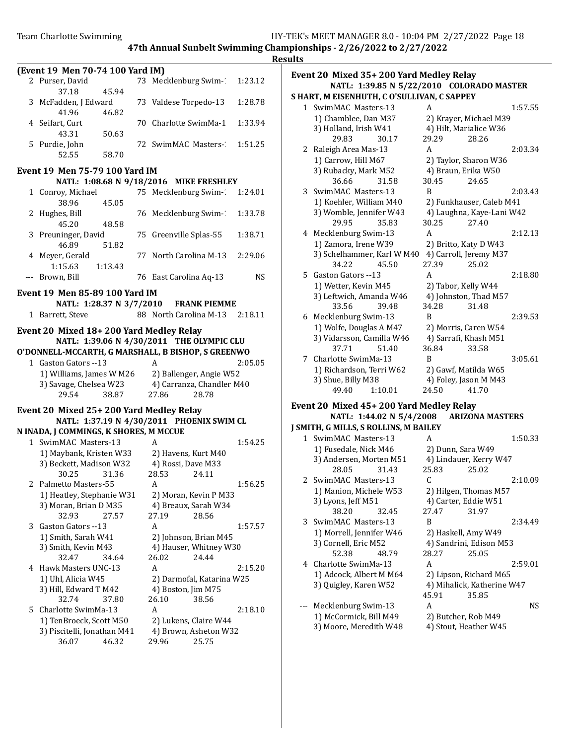|    | (Event 19 Men 70-74 100 Yard IM)                   |                                           |         |
|----|----------------------------------------------------|-------------------------------------------|---------|
|    | 2 Purser, David                                    | 73 Mecklenburg Swim-1                     | 1:23.12 |
|    | 37.18<br>45.94                                     |                                           |         |
|    | 3 McFadden, J Edward                               | 73 Valdese Torpedo-13                     | 1:28.78 |
|    | 41.96<br>46.82                                     |                                           |         |
|    | 4 Seifart, Curt                                    | 70 Charlotte SwimMa-1                     | 1:33.94 |
|    | 43.31<br>50.63                                     |                                           |         |
|    | 5 Purdie, John                                     | 72 SwimMAC Masters-                       | 1:51.25 |
|    | 52.55<br>58.70                                     |                                           |         |
|    |                                                    |                                           |         |
|    | <b>Event 19 Men 75-79 100 Yard IM</b>              |                                           |         |
|    |                                                    | NATL: 1:08.68 N 9/18/2016 MIKE FRESHLEY   |         |
|    | 1 Conroy, Michael                                  | 75 Mecklenburg Swim-1:24.01               |         |
|    | 38.96<br>45.05                                     |                                           |         |
|    | 2 Hughes, Bill                                     | 76 Mecklenburg Swim-1                     | 1:33.78 |
|    | 45.20<br>48.58                                     |                                           |         |
|    | 3 Preuninger, David                                | 75 Greenville Splas-55                    | 1:38.71 |
|    | 46.89<br>51.82                                     |                                           |         |
|    | 4 Meyer, Gerald                                    | 77 North Carolina M-13 2:29.06            |         |
|    | 1:15.63<br>1:13.43                                 |                                           |         |
|    | --- Brown, Bill                                    | 76 East Carolina Aq-13                    | NS      |
|    | Event 19 Men 85-89 100 Yard IM                     |                                           |         |
|    |                                                    | NATL: 1:28.37 N 3/7/2010 FRANK PIEMME     |         |
|    | 1 Barrett, Steve                                   | 88 North Carolina M-13 2:18.11            |         |
|    | Event 20 Mixed 18+200 Yard Medley Relay            |                                           |         |
|    |                                                    | NATL: 1:39.06 N 4/30/2011 THE OLYMPIC CLU |         |
|    | O'DONNELL-MCCARTH, G MARSHALL, B BISHOP, S GREENWO |                                           |         |
|    | 1 Gaston Gators --13                               | A                                         | 2:05.05 |
|    | 1) Williams, James W M26 2) Ballenger, Angie W52   |                                           |         |
|    | 3) Savage, Chelsea W23                             | 4) Carranza, Chandler M40                 |         |
|    | 29.54<br>38.87                                     | 27.86<br>28.78                            |         |
|    |                                                    |                                           |         |
|    | Event 20 Mixed 25+200 Yard Medley Relay            |                                           |         |
|    |                                                    | NATL: 1:37.19 N 4/30/2011 PHOENIX SWIM CL |         |
|    | N INADA, J COMMINGS, K SHORES, M MCCUE             |                                           |         |
|    | 1 SwimMAC Masters-13                               | A                                         | 1:54.25 |
|    | 1) Maybank, Kristen W33 2) Havens, Kurt M40        |                                           |         |
|    | 3) Beckett, Madison W32 4) Rossi, Dave M33         |                                           |         |
|    | 30.25<br>31.36                                     | 28.53<br>24.11                            |         |
|    | 2 Palmetto Masters-55                              | A                                         | 1:56.25 |
|    | 1) Heatley, Stephanie W31                          | 2) Moran, Kevin P M33                     |         |
|    | 3) Moran, Brian D M35                              | 4) Breaux, Sarah W34                      |         |
|    | 32.93<br>27.57                                     | 27.19<br>28.56                            |         |
| 3  | Gaston Gators --13                                 | A                                         | 1:57.57 |
|    | 1) Smith, Sarah W41                                | 2) Johnson, Brian M45                     |         |
|    | 3) Smith, Kevin M43                                | 4) Hauser, Whitney W30                    |         |
|    | 32.47<br>34.64                                     | 26.02<br>24.44                            |         |
| 4  | Hawk Masters UNC-13                                | A                                         | 2:15.20 |
|    | 1) Uhl, Alicia W45                                 | 2) Darmofal, Katarina W25                 |         |
|    | 3) Hill, Edward T M42<br>32.74                     | 4) Boston, Jim M75<br>26.10               |         |
|    | 37.80<br>Charlotte SwimMa-13                       | 38.56<br>A                                |         |
| 5. |                                                    |                                           | 2:18.10 |
|    | 1) TenBroeck, Scott M50                            | 2) Lukens, Claire W44                     |         |
|    | 3) Piscitelli, Jonathan M41<br>36.07<br>46.32      | 4) Brown, Asheton W32<br>25.75<br>29.96   |         |
|    |                                                    |                                           |         |

#### Event 20 Mixed 35+ 200 Yard Medley Relay NATL: 1:39.85 N 5/22/2010 COLORADO MASTER S HART, M EISENHUTH, C O'SULLIVAN, C SAPPEY

|   | $\frac{1}{1}$ Ensemino 1.11, $\sigma$ |         |       |                           |         |
|---|---------------------------------------|---------|-------|---------------------------|---------|
|   | 1 SwimMAC Masters-13                  |         | A     |                           | 1:57.55 |
|   | 1) Chamblee, Dan M37                  |         |       | 2) Krayer, Michael M39    |         |
|   | 3) Holland, Irish W41                 |         |       | 4) Hilt, Marialice W36    |         |
|   | 29.83                                 | 30.17   | 29.29 | 28.26                     |         |
| 2 | Raleigh Area Mas-13                   |         | A     |                           | 2:03.34 |
|   | 1) Carrow, Hill M67                   |         |       | 2) Taylor, Sharon W36     |         |
|   | 3) Rubacky, Mark M52                  |         |       | 4) Braun, Erika W50       |         |
|   | 36.66                                 | 31.58   | 30.45 | 24.65                     |         |
| 3 | SwimMAC Masters-13                    |         | B     |                           | 2:03.43 |
|   | 1) Koehler, William M40               |         |       | 2) Funkhauser, Caleb M41  |         |
|   | 3) Womble, Jennifer W43               |         |       | 4) Laughna, Kaye-Lani W42 |         |
|   | 29.95                                 | 35.83   | 30.25 | 27.40                     |         |
|   | 4 Mecklenburg Swim-13                 |         | A     |                           | 2:12.13 |
|   | 1) Zamora, Irene W39                  |         |       | 2) Britto, Katy D W43     |         |
|   | 3) Schelhammer, Karl W M40            |         |       | 4) Carroll, Jeremy M37    |         |
|   | 34.22                                 | 45.50   | 27.39 | 25.02                     |         |
| 5 | Gaston Gators --13                    |         | A     |                           | 2:18.80 |
|   | 1) Wetter, Kevin M45                  |         |       | 2) Tabor, Kelly W44       |         |
|   | 3) Leftwich, Amanda W46               |         |       | 4) Johnston, Thad M57     |         |
|   | 33.56                                 | 39.48   | 34.28 | 31.48                     |         |
| 6 | Mecklenburg Swim-13                   |         | B     |                           | 2:39.53 |
|   | 1) Wolfe, Douglas A M47               |         |       | 2) Morris, Caren W54      |         |
|   | 3) Vidarsson, Camilla W46             |         |       | 4) Sarrafi, Khash M51     |         |
|   | 37.71                                 | 51.40   | 36.84 | 33.58                     |         |
| 7 | Charlotte SwimMa-13                   |         | B     |                           | 3:05.61 |
|   | 1) Richardson, Terri W62              |         |       | 2) Gawf, Matilda W65      |         |
|   | 3) Shue, Billy M38                    |         |       | 4) Foley, Jason M M43     |         |
|   | 49.40                                 | 1:10.01 | 24.50 | 41.70                     |         |

## Event 20 Mixed 45+ 200 Yard Medley Relay NATL: 1:44.02 N 5/4/2008 ARIZONA MASTERS J SMITH, G MILLS, S ROLLINS, M BAILEY

|   | MITH, G MILLS, S ROLLINS, M BAILEY! |       |                            |         |
|---|-------------------------------------|-------|----------------------------|---------|
|   | 1 SwimMAC Masters-13                | A     |                            | 1:50.33 |
|   | 1) Fusedale, Nick M46               |       | 2) Dunn, Sara W49          |         |
|   | 3) Andersen, Morten M51             |       | 4) Lindauer, Kerry W47     |         |
|   | 28.05<br>31.43                      | 25.83 | 25.02                      |         |
|   | 2 SwimMAC Masters-13                | C     |                            | 2:10.09 |
|   | 1) Manion, Michele W53              |       | 2) Hilgen, Thomas M57      |         |
|   | 3) Lyons, Jeff M51                  |       | 4) Carter, Eddie W51       |         |
|   | 38.20<br>32.45                      | 27.47 | 31.97                      |         |
|   | 3 SwimMAC Masters-13                | B     |                            | 2:34.49 |
|   | 1) Morrell, Jennifer W46            |       | 2) Haskell, Amy W49        |         |
|   | 3) Cornell, Eric M52                |       | 4) Sandrini, Edison M53    |         |
|   | 52.38<br>48.79                      | 28.27 | 25.05                      |         |
| 4 | Charlotte SwimMa-13                 | A     |                            | 2:59.01 |
|   | 1) Adcock, Albert M M64             |       | 2) Lipson, Richard M65     |         |
|   | 3) Quigley, Karen W52               |       | 4) Mihalick, Katherine W47 |         |
|   |                                     | 45.91 | 35.85                      |         |
|   | Mecklenburg Swim-13                 | A     |                            | NS.     |
|   | 1) McCormick, Bill M49              |       | 2) Butcher, Rob M49        |         |
|   | 3) Moore, Meredith W48              |       | 4) Stout, Heather W45      |         |
|   |                                     |       |                            |         |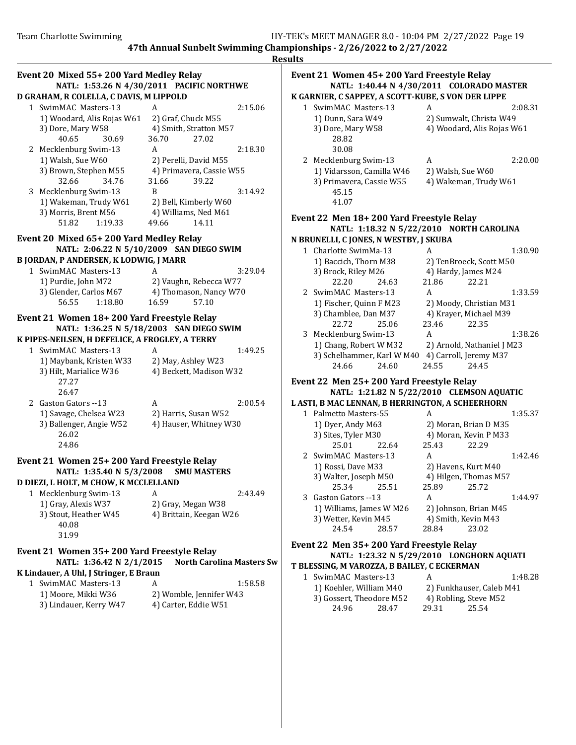|                                                                        |                                                | <b>Results</b> |                |
|------------------------------------------------------------------------|------------------------------------------------|----------------|----------------|
| Event 20 Mixed 55+200 Yard Medley Relay                                |                                                |                | Eve            |
|                                                                        | NATL: 1:53.26 N 4/30/2011 PACIFIC NORTHWE      |                |                |
| D GRAHAM, R COLELLA, C DAVIS, M LIPPOLD                                |                                                |                | K G            |
| 1 SwimMAC Masters-13                                                   | A                                              | 2:15.06        |                |
| 1) Woodard, Alis Rojas W61                                             | 2) Graf, Chuck M55                             |                |                |
| 3) Dore, Mary W58                                                      | 4) Smith, Stratton M57                         |                |                |
| 40.65<br>30.69                                                         | 36.70<br>27.02                                 |                |                |
| 2 Mecklenburg Swim-13<br>1) Walsh, Sue W60                             | A<br>2) Perelli, David M55                     | 2:18.30        |                |
| 3) Brown, Stephen M55                                                  | 4) Primavera, Cassie W55                       |                |                |
| 32.66<br>34.76                                                         | 31.66<br>39.22                                 |                |                |
| 3 Mecklenburg Swim-13                                                  | B                                              | 3:14.92        |                |
| 1) Wakeman, Trudy W61                                                  | 2) Bell, Kimberly W60                          |                |                |
| 3) Morris, Brent M56                                                   | 4) Williams, Ned M61                           |                |                |
| 51.82<br>1:19.33                                                       | 49.66<br>14.11                                 |                | Eve            |
| Event 20 Mixed 65+200 Yard Medley Relay                                |                                                |                | N B            |
|                                                                        | NATL: 2:06.22 N 5/10/2009 SAN DIEGO SWIM       |                |                |
| <b>B JORDAN, P ANDERSEN, K LODWIG, J MARR</b>                          |                                                |                |                |
| 1 SwimMAC Masters-13                                                   | A                                              | 3:29.04        |                |
| 1) Purdie, John M72                                                    | 2) Vaughn, Rebecca W77                         |                |                |
| 3) Glender, Carlos M67                                                 | 4) Thomason, Nancy W70                         |                |                |
| 56.55<br>1:18.80                                                       | 16.59<br>57.10                                 |                |                |
| Event 21 Women 18+200 Yard Freestyle Relay                             |                                                |                |                |
|                                                                        | NATL: 1:36.25 N 5/18/2003 SAN DIEGO SWIM       |                |                |
| K PIPES-NEILSEN, H DEFELICE, A FROGLEY, A TERRY                        |                                                |                |                |
| 1 SwimMAC Masters-13                                                   | A                                              | 1:49.25        |                |
| 1) Maybank, Kristen W33                                                | 2) May, Ashley W23                             |                |                |
| 3) Hilt, Marialice W36                                                 | 4) Beckett, Madison W32                        |                |                |
| 27.27                                                                  |                                                |                | Eve            |
| 26.47                                                                  |                                                |                |                |
| 2 Gaston Gators --13                                                   | A                                              | 2:00.54        | L AS           |
| 1) Savage, Chelsea W23<br>3) Ballenger, Angie W52                      | 2) Harris, Susan W52<br>4) Hauser, Whitney W30 |                |                |
| 26.02                                                                  |                                                |                |                |
| 24.86                                                                  |                                                |                |                |
|                                                                        |                                                |                |                |
| Event 21 Women 25+200 Yard Freestyle Relay                             |                                                |                |                |
| NATL: 1:35.40 N 5/3/2008<br>D DIEZI, L HOLT, M CHOW, K MCCLELLAND      | <b>SMU MASTERS</b>                             |                |                |
| 1 Mecklenburg Swim-13                                                  | A                                              | 2:43.49        |                |
| 1) Gray, Alexis W37                                                    | 2) Gray, Megan W38                             |                |                |
| 3) Stout, Heather W45                                                  | 4) Brittain, Keegan W26                        |                |                |
| 40.08                                                                  |                                                |                |                |
| 31.99                                                                  |                                                |                |                |
|                                                                        |                                                |                | Eve            |
| Event 21 Women 35+200 Yard Freestyle Relay<br>NATL: 1:36.42 N 2/1/2015 | <b>North Carolina Masters Sw</b>               |                |                |
| K Lindauer, A Uhl, J Stringer, E Braun                                 |                                                |                | T <sub>B</sub> |
| 1 SwimMAC Masters-13                                                   | A                                              | 1:58.58        |                |
| 1) Moore, Mikki W36                                                    | 2) Womble, Jennifer W43                        |                |                |
| 3) Lindauer, Kerry W47                                                 | 4) Carter, Eddie W51                           |                |                |
|                                                                        |                                                |                |                |
|                                                                        |                                                |                |                |
|                                                                        |                                                |                |                |

## Event 21 Women 45+ 200 Yard Freestyle Relay NATL: 1:40.44 N 4/30/2011 COLORADO MASTER K GARNIER, C SAPPEY, A SCOTT-KUBE, S VON DER LIPPE 1 2:08.31 SwimMAC Masters-13 A 1) Dunn, Sara W49 2) Sumwalt, Christa W49 3) Dore, Mary W58 4) Woodard, Alis Rojas W61 28.82 30.08 2 Mecklenburg Swim-13 A 2:20.00 1) Vidarsson, Camilla W46 2) Walsh, Sue W60 3) Primavera, Cassie W55 4) Wakeman, Trudy W61 45.15 41.07 Event 22 Men 18+ 200 Yard Freestyle Relay NATL: 1:18.32 N 5/22/2010 NORTH CAROLINA N BRUNELLI, C JONES, N WESTBY, J SKUBA 1 Charlotte SwimMa-13 A 1:30.90 1) Baccich, Thorn M38 2) TenBroeck, Scott M50 3) Brock, Riley M26 4) Hardy, James M24 22.20 24.63 21.86 22.21 2 SwimMAC Masters-13 A 1:33.59

| 1) Fischer, Quinn F M23    |       |       | 2) Moody, Christian M31    |         |
|----------------------------|-------|-------|----------------------------|---------|
| 3) Chamblee, Dan M37       |       |       | 4) Krayer, Michael M39     |         |
| 22.72                      | 25.06 | 23.46 | 22.35                      |         |
| 3 Mecklenburg Swim-13      |       | А     |                            | 1:38.26 |
| 1) Chang, Robert W M32     |       |       | 2) Arnold, Nathaniel J M23 |         |
| 3) Schelhammer, Karl W M40 |       |       | 4) Carroll, Jeremy M37     |         |
| 24.66                      | 24.60 | 24.55 | 24.45                      |         |
|                            |       |       |                            |         |

# Event 22 Men 25+ 200 Yard Freestyle Relay NATL: 1:21.82 N 5/22/2010 CLEMSON AQUATIC

| L ASTI, B MAC LENNAN, B HERRINGTON, A SCHEERHORN |       |       |                       |         |
|--------------------------------------------------|-------|-------|-----------------------|---------|
| 1 Palmetto Masters-55                            |       | А     |                       | 1:35.37 |
| 1) Dyer, Andy M63                                |       |       | 2) Moran, Brian D M35 |         |
| 3) Sites, Tyler M30                              |       |       | 4) Moran, Kevin P M33 |         |
| 25.01                                            | 22.64 | 25.43 | 22.29                 |         |
| 2 SwimMAC Masters-13                             |       | A     |                       | 1:42.46 |
| 1) Rossi, Dave M33                               |       |       | 2) Havens, Kurt M40   |         |
| 3) Walter, Joseph M50                            |       |       | 4) Hilgen, Thomas M57 |         |
| 25.34 25.51                                      |       | 25.89 | 25.72                 |         |
| 3 Gaston Gators --13                             |       | A     |                       | 1:44.97 |
| 1) Williams, James W M26                         |       |       | 2) Johnson, Brian M45 |         |
| 3) Wetter, Kevin M45                             |       |       | 4) Smith, Kevin M43   |         |
| 24.54                                            | 28.57 | 28.84 | 23.02                 |         |

# Event 22 Men 35+ 200 Yard Freestyle Relay NATL: 1:23.32 N 5/29/2010 LONGHORN AQUATI

## T BLESSING, M VAROZZA, B BAILEY, C ECKERMAN

| 1 SwimMAC Masters-13     |       | А     | 1:48.28                  |  |
|--------------------------|-------|-------|--------------------------|--|
| 1) Koehler, William M40  |       |       | 2) Funkhauser, Caleb M41 |  |
| 3) Gossert, Theodore M52 |       |       | 4) Robling, Steve M52    |  |
| 24.96                    | 28.47 | 29.31 | 25.54                    |  |
|                          |       |       |                          |  |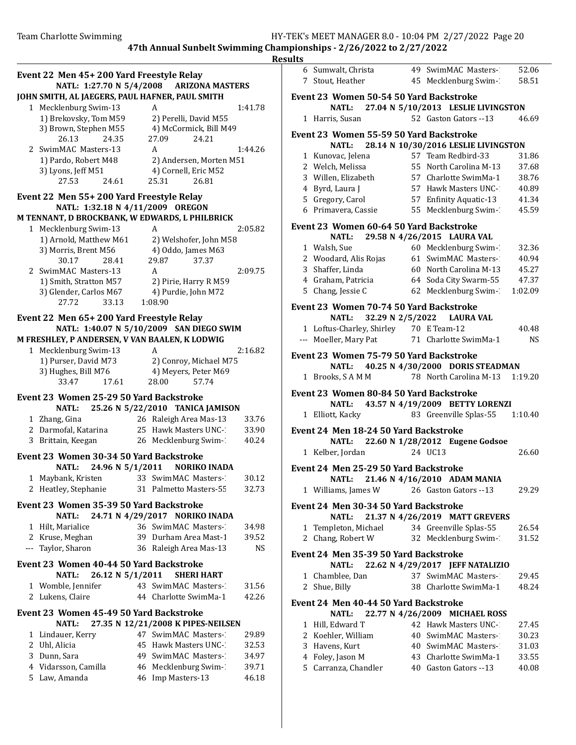|                                                 |                                        |           | <b>Results</b>                                        |                                                           |           |
|-------------------------------------------------|----------------------------------------|-----------|-------------------------------------------------------|-----------------------------------------------------------|-----------|
| Event 22 Men 45+200 Yard Freestyle Relay        |                                        |           | 6 Sumwalt, Christa                                    | 49 SwimMAC Masters-1                                      | 52.06     |
| NATL: 1:27.70 N 5/4/2008 ARIZONA MASTERS        |                                        |           | 7 Stout, Heather                                      | 45 Mecklenburg Swim-1                                     | 58.51     |
| JOHN SMITH, AL JAEGERS, PAUL HAFNER, PAUL SMITH |                                        |           | Event 23 Women 50-54 50 Yard Backstroke               |                                                           |           |
| 1 Mecklenburg Swim-13                           | A                                      | 1:41.78   | <b>NATL:</b>                                          | 27.04 N 5/10/2013 LESLIE LIVINGSTON                       |           |
| 1) Brekovsky, Tom M59                           | 2) Perelli, David M55                  |           | 1 Harris, Susan                                       | 52 Gaston Gators --13                                     | 46.69     |
| 3) Brown, Stephen M55                           | 4) McCormick, Bill M49                 |           | Event 23 Women 55-59 50 Yard Backstroke               |                                                           |           |
| 26.13<br>24.35                                  | 27.09<br>24.21                         |           | <b>NATL:</b>                                          | 28.14 N 10/30/2016 LESLIE LIVINGSTON                      |           |
| 2 SwimMAC Masters-13                            | A                                      | 1:44.26   | 1 Kunovac, Jelena                                     | 57 Team Redbird-33                                        | 31.86     |
| 1) Pardo, Robert M48                            | 2) Andersen, Morten M51                |           | 2 Welch, Melissa                                      | 55 North Carolina M-13                                    | 37.68     |
| 3) Lyons, Jeff M51<br>27.53<br>24.61            | 4) Cornell, Eric M52<br>26.81<br>25.31 |           | 3 Willen, Elizabeth                                   | 57 Charlotte SwimMa-1                                     | 38.76     |
|                                                 |                                        |           | Byrd, Laura J<br>$\overline{4}$                       | 57 Hawk Masters UNC-1                                     | 40.89     |
| Event 22 Men 55+200 Yard Freestyle Relay        |                                        |           | 5 Gregory, Carol                                      | 57 Enfinity Aquatic-13                                    | 41.34     |
| NATL: 1:32.18 N 4/11/2009 OREGON                |                                        |           | 6 Primavera, Cassie                                   | 55 Mecklenburg Swim-1                                     | 45.59     |
| M TENNANT, D BROCKBANK, W EDWARDS, L PHILBRICK  |                                        |           | Event 23 Women 60-64 50 Yard Backstroke               |                                                           |           |
| 1 Mecklenburg Swim-13<br>1) Arnold, Matthew M61 | A<br>2) Welshofer, John M58            | 2:05.82   | <b>NATL:</b>                                          | 29.58 N 4/26/2015 LAURA VAL                               |           |
| 3) Morris, Brent M56                            | 4) Oddo, James M63                     |           | 1 Walsh, Sue                                          | 60 Mecklenburg Swim-1                                     | 32.36     |
| 30.17<br>28.41                                  | 37.37<br>29.87                         |           | 2 Woodard, Alis Rojas                                 | 61 SwimMAC Masters-1                                      | 40.94     |
| 2 SwimMAC Masters-13                            | A                                      | 2:09.75   | 3 Shaffer, Linda                                      | 60 North Carolina M-13                                    | 45.27     |
| 1) Smith, Stratton M57                          | 2) Pirie, Harry R M59                  |           | 4 Graham, Patricia                                    | 64 Soda City Swarm-55                                     | 47.37     |
| 3) Glender, Carlos M67                          | 4) Purdie, John M72                    |           | 5 Chang, Jessie C                                     | 62 Mecklenburg Swim-1                                     | 1:02.09   |
| 27.72<br>33.13                                  | 1:08.90                                |           | Event 23 Women 70-74 50 Yard Backstroke               |                                                           |           |
| Event 22 Men 65+200 Yard Freestyle Relay        |                                        |           | <b>NATL:</b>                                          | 32.29 N 2/5/2022<br><b>LAURA VAL</b>                      |           |
| NATL: 1:40.07 N 5/10/2009 SAN DIEGO SWIM        |                                        |           | 1 Loftus-Charley, Shirley                             | 70 E Team-12                                              | 40.48     |
| M FRESHLEY, P ANDERSEN, V VAN BAALEN, K LODWIG  |                                        |           | --- Moeller, Mary Pat                                 | 71 Charlotte SwimMa-1                                     | <b>NS</b> |
| 1 Mecklenburg Swim-13                           | A                                      | 2:16.82   | Event 23 Women 75-79 50 Yard Backstroke               |                                                           |           |
| 1) Purser, David M73                            | 2) Conroy, Michael M75                 |           | <b>NATL:</b>                                          | 40.25 N 4/30/2000 DORIS STEADMAN                          |           |
| 3) Hughes, Bill M76                             | 4) Meyers, Peter M69                   |           | 1 Brooks, SAMM                                        | 78 North Carolina M-13                                    | 1:19.20   |
| 33.47<br>17.61                                  | 28.00<br>57.74                         |           |                                                       |                                                           |           |
| Event 23 Women 25-29 50 Yard Backstroke         |                                        |           | Event 23 Women 80-84 50 Yard Backstroke               |                                                           |           |
| <b>NATL:</b>                                    | 25.26 N 5/22/2010 TANICA JAMISON       |           | <b>NATL:</b><br>1 Elliott, Kacky                      | 43.57 N 4/19/2009 BETTY LORENZI<br>83 Greenville Splas-55 | 1:10.40   |
| 1 Zhang, Gina                                   | 26 Raleigh Area Mas-13                 | 33.76     |                                                       |                                                           |           |
| 2 Darmofal, Katarina                            | 25 Hawk Masters UNC-1                  | 33.90     | Event 24 Men 18-24 50 Yard Backstroke                 |                                                           |           |
| 3 Brittain, Keegan                              | 26 Mecklenburg Swim-                   | 40.24     | <b>NATL:</b>                                          | 22.60 N 1/28/2012 Eugene Godsoe                           |           |
| Event 23 Women 30-34 50 Yard Backstroke         |                                        |           | 1 Kelber, Jordan                                      | 24 UC13                                                   | 26.60     |
| 24.96 N 5/1/2011<br><b>NATL:</b>                | <b>NORIKO INADA</b>                    |           | Event 24 Men 25-29 50 Yard Backstroke                 |                                                           |           |
| 1 Maybank, Kristen                              | 33 SwimMAC Masters-                    | 30.12     | NATL:                                                 | 21.46 N 4/16/2010 ADAM MANIA                              |           |
| 2 Heatley, Stephanie                            | 31 Palmetto Masters-55                 | 32.73     | 1 Williams, James W                                   | 26 Gaston Gators --13                                     | 29.29     |
| Event 23 Women 35-39 50 Yard Backstroke         |                                        |           | Event 24 Men 30-34 50 Yard Backstroke                 |                                                           |           |
| <b>NATL:</b>                                    | 24.71 N 4/29/2017 NORIKO INADA         |           | NATL:                                                 | 21.37 N 4/26/2019 MATT GREVERS                            |           |
| 1 Hilt, Marialice                               | 36 SwimMAC Masters-                    | 34.98     | 1 Templeton, Michael                                  | 34 Greenville Splas-55                                    | 26.54     |
| 2 Kruse, Meghan                                 | 39 Durham Area Mast-1                  | 39.52     | 2 Chang, Robert W                                     | 32 Mecklenburg Swim-1                                     | 31.52     |
| --- Taylor, Sharon                              | 36 Raleigh Area Mas-13                 | <b>NS</b> | Event 24 Men 35-39 50 Yard Backstroke                 |                                                           |           |
| Event 23 Women 40-44 50 Yard Backstroke         |                                        |           | <b>NATL:</b>                                          | 22.62 N 4/29/2017 JEFF NATALIZIO                          |           |
| <b>NATL:</b><br>26.12 N 5/1/2011                | <b>SHERI HART</b>                      |           | 1 Chamblee, Dan                                       | 37 SwimMAC Masters-1                                      | 29.45     |
| 1 Womble, Jennifer                              | 43 SwimMAC Masters-                    | 31.56     | 2 Shue, Billy                                         | 38 Charlotte SwimMa-1                                     | 48.24     |
| 2 Lukens, Claire                                | 44 Charlotte SwimMa-1                  | 42.26     |                                                       |                                                           |           |
| Event 23 Women 45-49 50 Yard Backstroke         |                                        |           | Event 24 Men 40-44 50 Yard Backstroke<br><b>NATL:</b> | 22.77 N 4/26/2009 MICHAEL ROSS                            |           |
| <b>NATL:</b>                                    | 27.35 N 12/21/2008 K PIPES-NEILSEN     |           | 1 Hill, Edward T                                      | 42 Hawk Masters UNC-1                                     | 27.45     |
| 1 Lindauer, Kerry                               | 47 SwimMAC Masters-                    | 29.89     | Koehler, William<br>2                                 | 40 SwimMAC Masters-1                                      | 30.23     |
| 2 Uhl, Alicia                                   | 45 Hawk Masters UNC-1                  | 32.53     | Havens, Kurt<br>3                                     | 40 SwimMAC Masters-1                                      | 31.03     |
| 3 Dunn, Sara                                    | 49 SwimMAC Masters-                    | 34.97     | Foley, Jason M<br>4                                   | 43 Charlotte SwimMa-1                                     | 33.55     |
| 4 Vidarsson, Camilla                            | 46 Mecklenburg Swim-1                  | 39.71     | 5 Carranza, Chandler                                  | 40 Gaston Gators --13                                     | 40.08     |
| 5 Law, Amanda                                   | 46 Imp Masters-13                      | 46.18     |                                                       |                                                           |           |
|                                                 |                                        |           |                                                       |                                                           |           |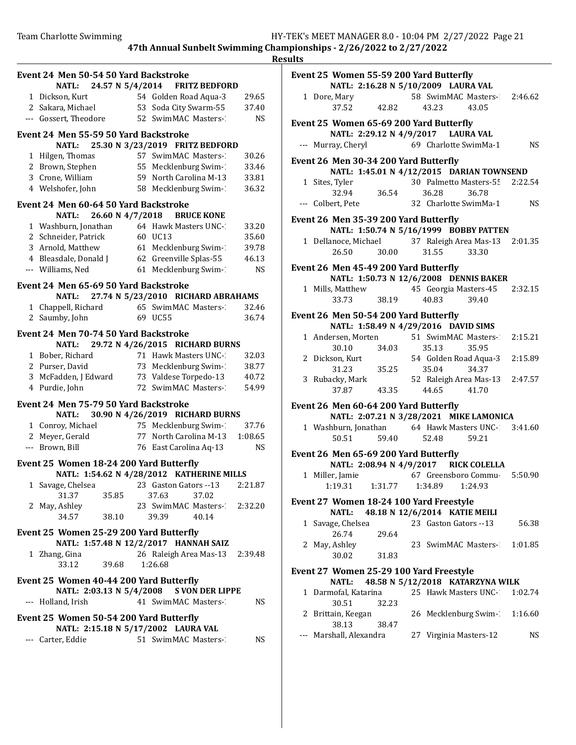**Results** Event 24 Men 50-54 50 Yard Backstroke NATL: 24.57 N 5/4/2014 FRITZ BEDFORD 1 Dickson, Kurt 54 Golden Road Aqua-3 29.65 2 Sakara, Michael 53 Soda City Swarm-55 37.40 --- Gossert, Theodore 52 SwimMAC Masters-13 NS Event 24 Men 55-59 50 Yard Backstroke NATL: 25.30 N 3/23/2019 FRITZ BEDFORD 1 Hilgen, Thomas 57 SwimMAC Masters-130.26 2 Brown, Stephen 55 Mecklenburg Swim-133.46 3 Crone, William 59 North Carolina M-13 33.81 4 Welshofer, John 58 Mecklenburg Swim- 36.32 Event 24 Men 60-64 50 Yard Backstroke NATL: 26.60 N 4/7/2018 BRUCE KONE 1 Washburn, Jonathan 64 Hawk Masters UNC-133.20 2 Schneider, Patrick 60 UC13 (35.60)<br>3 Arnold, Matthew 61 Mecklenburg Swim-7 (39.78) 3 Arnold, Matthew 61 Mecklenburg Swim-139.78 4 Bleasdale, Donald J 62 Greenville Splas-55 46.13 --- Williams, Ned 61 Mecklenburg Swim-13 NS Event 24 Men 65-69 50 Yard Backstroke NATL: 27.74 N 5/23/2010 RICHARD ABRAHAMS 1 Chappell, Richard 65 SwimMAC Masters-132.46 2 36.74 Saumby, John 69 UC55 Event 24 Men 70-74 50 Yard Backstroke NATL: 29.72 N 4/26/2015 RICHARD BURNS 1 Bober, Richard 71 Hawk Masters UNC-132.03 2 Purser, David 73 Mecklenburg Swim-138.77 3 McFadden, J Edward 73 Valdese Torpedo-13 40.72 4 Purdie, John 72 SwimMAC Masters-134.99 Event 24 Men 75-79 50 Yard Backstroke NATL: 30.90 N 4/26/2019 RICHARD BURNS 1 Conroy, Michael 75 Mecklenburg Swim-137.76 2 Meyer, Gerald 77 North Carolina M-13 1:08.65 --- Brown, Bill 76 East Carolina Aq-13 NS Event 25 Women 18-24 200 Yard Butterfly NATL: 1:54.62 N 4/28/2012 KATHERINE MILLS 1 2:21.87 Savage, Chelsea 23 Gaston Gators --13 31.37 35.85 37.63 37.02 2 May, Ashley 23 SwimMAC Masters-12:32.20 34.57 38.10 39.39 40.14 Event 25 Women 25-29 200 Yard Butterfly NATL: 1:57.48 N 12/2/2017 HANNAH SAIZ 1 Zhang, Gina 26 Raleigh Area Mas-13 2:39.48 33.12 39.68 1:26.68 Event 25 Women 40-44 200 Yard Butterfly NATL: 2:03.13 N 5/4/2008 S VON DER LIPPE --- Holland, Irish 41 SwimMAC Masters-13 NS Event 25 Women 50-54 200 Yard Butterfly NATL: 2:15.18 N 5/17/2002 LAURA VAL --- Carter, Eddie 51 SwimMAC Masters-13 NS

# Event 25 Women 55-59 200 Yard Butterfly NATL: 2:16.28 N 5/10/2009 LAURA VAL 1 Dore, Mary 58 SwimMAC Masters-12:46.62 37.52 42.82 43.23 43.05 Event 25 Women 65-69 200 Yard Butterfly NATL: 2:29.12 N 4/9/2017 LAURA VAL --- Murray, Cheryl 69 Charlotte SwimMa-1 NS Event 26 Men 30-34 200 Yard Butterfly NATL: 1:45.01 N 4/12/2015 DARIAN TOWNSEND 1 Sites, Tyler 30 Palmetto Masters-55 2:22.54 32.94 36.54 36.28 36.78 --- Colbert, Pete 32 Charlotte SwimMa-1 NS Event 26 Men 35-39 200 Yard Butterfly NATL: 1:50.74 N 5/16/1999 BOBBY PATTEN 1 2:01.35 Dellanoce, Michael 37 Raleigh Area Mas-13 26.50 30.00 31.55 33.30 Event 26 Men 45-49 200 Yard Butterfly NATL: 1:50.73 N 12/6/2008 DENNIS BAKER 1 Mills, Matthew 45 Georgia Masters-45 2:32.15 33.73 38.19 40.83 39.40 Event 26 Men 50-54 200 Yard Butterfly NATL: 1:58.49 N 4/29/2016 DAVID SIMS 1 Andersen, Morten 51 SwimMAC Masters-12:15.21 30.10 34.03 35.13 35.95 2 Dickson, Kurt 54 Golden Road Aqua-3 2:15.89 31.23 35.25 35.04 34.37 3 Rubacky, Mark 52 Raleigh Area Mas-13 2:47.57 37.87 43.35 44.65 41.70 Event 26 Men 60-64 200 Yard Butterfly NATL: 2:07.21 N 3/28/2021 MIKE LAMONICA 1 Washburn, Jonathan 64 Hawk Masters UNC-1 3:41.60 50.51 59.40 52.48 59.21 Event 26 Men 65-69 200 Yard Butterfly NATL: 2:08.94 N 4/9/2017 RICK COLELLA 1 Miller, Jamie 67 Greensboro Commu-5:50.90 1:19.31 1:31.77 1:34.89 1:24.93 Event 27 Women 18-24 100 Yard Freestyle NATL: 48.18 N 12/6/2014 KATIE MEILI 1 56.38 Savage, Chelsea 23 Gaston Gators --13 26.74 29.64 2 May, Ashley 23 SwimMAC Masters-1:01.85 30.02 31.83 Event 27 Women 25-29 100 Yard Freestyle NATL: 48.58 N 5/12/2018 KATARZYNA WILK 1 Darmofal, Katarina 25 Hawk Masters UNC-1 1:02.74 30.51 32.23 2 Brittain, Keegan 26 Mecklenburg Swim-1:16.60 38.13 38.47 --- Marshall, Alexandra 27 Virginia Masters-12 NS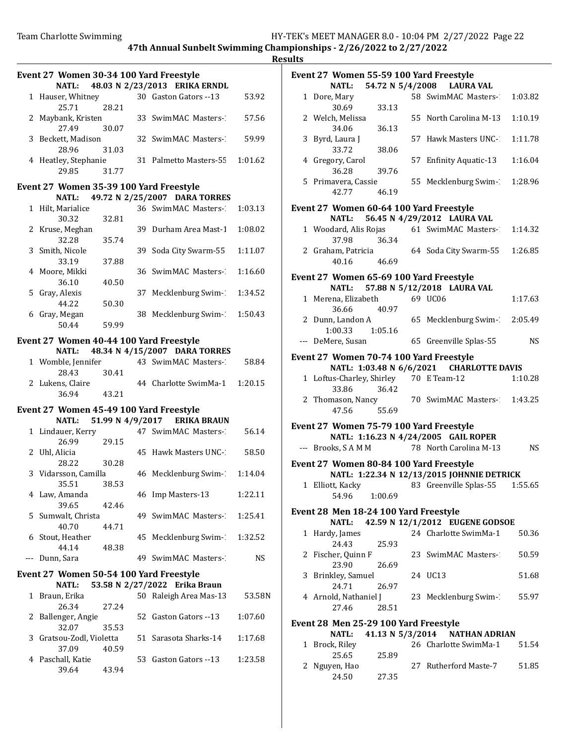|       | Event 27 Women 30-34 100 Yard Freestyle<br><b>NATL:</b> |       | 48.03 N 2/23/2013 ERIKA ERNDL       |         |
|-------|---------------------------------------------------------|-------|-------------------------------------|---------|
|       |                                                         |       | 30 Gaston Gators -- 13              |         |
|       | 1 Hauser, Whitney                                       |       |                                     | 53.92   |
|       | 25.71                                                   | 28.21 |                                     |         |
|       | 2 Maybank, Kristen                                      |       | 33 SwimMAC Masters-                 | 57.56   |
|       | 27.49                                                   | 30.07 |                                     |         |
|       | 3 Beckett, Madison                                      |       | 32 SwimMAC Masters-                 | 59.99   |
|       | 28.96                                                   | 31.03 |                                     |         |
|       | 4 Heatley, Stephanie                                    |       | 31 Palmetto Masters-55              | 1:01.62 |
|       |                                                         |       |                                     |         |
|       | 29.85                                                   | 31.77 |                                     |         |
|       | Event 27 Women 35-39 100 Yard Freestyle                 |       |                                     |         |
|       |                                                         |       | NATL: 49.72 N 2/25/2007 DARA TORRES |         |
|       |                                                         |       |                                     |         |
|       | 1 Hilt, Marialice                                       |       | 36 SwimMAC Masters-                 | 1:03.13 |
|       | 30.32                                                   | 32.81 |                                     |         |
|       | 2 Kruse, Meghan                                         |       | 39 Durham Area Mast-1               | 1:08.02 |
|       | 32.28                                                   | 35.74 |                                     |         |
|       | 3 Smith, Nicole                                         |       | 39 Soda City Swarm-55               | 1:11.07 |
|       | 33.19                                                   | 37.88 |                                     |         |
|       |                                                         |       |                                     |         |
|       | 4 Moore, Mikki                                          |       | 36 SwimMAC Masters-                 | 1:16.60 |
|       | 36.10                                                   | 40.50 |                                     |         |
|       | 5 Gray, Alexis                                          |       | 37 Mecklenburg Swim-1               | 1:34.52 |
|       | 44.22                                                   | 50.30 |                                     |         |
|       | 6 Gray, Megan                                           |       | 38 Mecklenburg Swim-1               | 1:50.43 |
|       |                                                         |       |                                     |         |
|       | 50.44                                                   | 59.99 |                                     |         |
|       | Event 27 Women 40-44 100 Yard Freestyle                 |       |                                     |         |
|       | <b>NATL:</b>                                            |       | 48.34 N 4/15/2007 DARA TORRES       |         |
|       |                                                         |       |                                     |         |
|       | 1 Womble, Jennifer                                      |       | 43 SwimMAC Masters-                 | 58.84   |
|       | 28.43                                                   | 30.41 |                                     |         |
|       | 2 Lukens, Claire                                        |       | 44 Charlotte SwimMa-1               | 1:20.15 |
|       | 36.94                                                   | 43.21 |                                     |         |
|       |                                                         |       |                                     |         |
|       | Event 27 Women 45-49 100 Yard Freestyle                 |       |                                     |         |
|       |                                                         |       | NATL: 51.99 N 4/9/2017 ERIKA BRAUN  |         |
|       | 1 Lindauer, Kerry                                       |       | 47 SwimMAC Masters-                 | 56.14   |
|       | 26.99                                                   | 29.15 |                                     |         |
|       |                                                         |       | 45 Hawk Masters UNC-1               | 58.50   |
|       | 2 Uhl, Alicia                                           |       |                                     |         |
|       | 28.22                                                   | 30.28 |                                     |         |
|       | 3 Vidarsson, Camilla                                    |       | 46 Mecklenburg Swim-1               | 1:14.04 |
|       | 35.51                                                   | 38.53 |                                     |         |
|       | 4 Law, Amanda                                           |       | 46 Imp Masters-13                   | 1:22.11 |
|       | 39.65                                                   | 42.46 |                                     |         |
| 5.    | Sumwalt, Christa                                        |       | 49 SwimMAC Masters-                 | 1:25.41 |
|       |                                                         |       |                                     |         |
|       | 40.70                                                   | 44.71 |                                     |         |
| 6     | Stout, Heather                                          |       | 45 Mecklenburg Swim-1               | 1:32.52 |
|       | 44.14                                                   | 48.38 |                                     |         |
| $---$ | Dunn, Sara                                              |       | 49 SwimMAC Masters-                 | NS      |
|       |                                                         |       |                                     |         |
|       | Event 27 Women 50-54 100 Yard Freestyle                 |       |                                     |         |
|       | <b>NATL:</b>                                            |       | 53.58 N 2/27/2022 Erika Braun       |         |
| 1     | Braun, Erika                                            |       | 50 Raleigh Area Mas-13              | 53.58N  |
|       | 26.34                                                   | 27.24 |                                     |         |
|       |                                                         |       |                                     |         |
| 2     | Ballenger, Angie                                        |       | 52 Gaston Gators --13               | 1:07.60 |
|       | 32.07                                                   | 35.53 |                                     |         |
| 3     | Gratsou-Zodl, Violetta                                  |       | 51 Sarasota Sharks-14               | 1:17.68 |
|       | 37.09                                                   | 40.59 |                                     |         |
| 4     | Paschall, Katie                                         |       | 53 Gaston Gators --13               | 1:23.58 |
|       | 39.64                                                   | 43.94 |                                     |         |
|       |                                                         |       |                                     |         |
|       |                                                         |       |                                     |         |

|              | Event 27 Women 55-59 100 Yard Freestyle         |                  |                                            |           |
|--------------|-------------------------------------------------|------------------|--------------------------------------------|-----------|
|              | <b>NATL:</b>                                    |                  | 54.72 N 5/4/2008 LAURA VAL                 |           |
|              | 1 Dore, Mary<br>30.69                           | 33.13            | 58 SwimMAC Masters-2                       | 1:03.82   |
|              | 2 Welch, Melissa<br>34.06                       | 36.13            | 55 North Carolina M-13                     | 1:10.19   |
|              | 3 Byrd, Laura J<br>33.72                        | 38.06            | 57 Hawk Masters UNC-                       | 1:11.78   |
|              | 4 Gregory, Carol                                | 39.76            | 57 Enfinity Aquatic-13                     | 1:16.04   |
|              | 36.28<br>5 Primavera, Cassie<br>42.77           | 46.19            | 55 Mecklenburg Swim-1                      | 1:28.96   |
|              | Event 27 Women 60-64 100 Yard Freestyle         |                  |                                            |           |
|              | <b>NATL:</b>                                    |                  | 56.45 N 4/29/2012 LAURA VAL                |           |
|              |                                                 | 37.98 36.34      | 1 Woodard, Alis Rojas 61 SwimMAC Masters-2 | 1:14.32   |
|              | 2 Graham, Patricia<br>40.16                     | 46.69            | 64 Soda City Swarm-55                      | 1:26.85   |
|              | Event 27 Women 65-69 100 Yard Freestyle         |                  | NATL: 57.88 N 5/12/2018 LAURA VAL          |           |
|              | 1 Merena, Elizabeth                             |                  | 69 UC06                                    | 1:17.63   |
|              |                                                 | 36.66 40.97      |                                            |           |
|              | 2 Dunn, Landon A<br>1:00.33 1:05.16             |                  | 65 Mecklenburg Swim-1                      | 2:05.49   |
|              | --- DeMere, Susan                               |                  | 65 Greenville Splas-55                     | <b>NS</b> |
|              | Event 27 Women 70-74 100 Yard Freestyle         |                  |                                            |           |
|              |                                                 |                  | NATL: 1:03.48 N 6/6/2021 CHARLOTTE DAVIS   |           |
|              | 1 Loftus-Charley, Shirley 70 E Team-12<br>33.86 | 36.42            |                                            | 1:10.28   |
|              | 47.56                                           | 55.69            | 2 Thomason, Nancy 70 SwimMAC Masters-2     | 1:43.25   |
|              | Event 27 Women 75-79 100 Yard Freestyle         |                  | NATL: 1:16.23 N 4/24/2005 GAIL ROPER       |           |
|              | --- Brooks, S A M M                             |                  | 78 North Carolina M-13                     | <b>NS</b> |
|              | Event 27 Women 80-84 100 Yard Freestyle         |                  |                                            |           |
|              |                                                 |                  | NATL: 1:22.34 N 12/13/2015 JOHNNIE DETRICK |           |
|              | 1 Elliott, Kacky<br>54.96                       | 1:00.69          | 83 Greenville Splas-55                     | 1:55.65   |
|              | Event 28 Men 18-24 100 Yard Freestyle           |                  | 42.59 N 12/1/2012 EUGENE GODSOE            |           |
| 1            | <b>NATL:</b><br>Hardy, James                    |                  | 24 Charlotte SwimMa-1                      | 50.36     |
|              | 24.43                                           | 25.93            |                                            |           |
|              | 2 Fischer, Quinn F<br>23.90                     | 26.69            | 23 SwimMAC Masters-2                       | 50.59     |
|              | 3 Brinkley, Samuel<br>24.71                     | 26.97            | 24 UC13                                    | 51.68     |
|              | 4 Arnold, Nathaniel J<br>27.46                  | 28.51            | 23 Mecklenburg Swim-                       | 55.97     |
|              |                                                 |                  |                                            |           |
|              | Event 28 Men 25-29 100 Yard Freestyle<br>NATL:  | 41.13 N 5/3/2014 | <b>NATHAN ADRIAN</b>                       |           |
| $\mathbf{1}$ | Brock, Riley                                    |                  | 26 Charlotte SwimMa-1                      | 51.54     |
|              | 25.65                                           | 25.89            |                                            |           |
|              | 2 Nguyen, Hao<br>24.50                          | 27.35            | 27 Rutherford Maste-7                      | 51.85     |
|              |                                                 |                  |                                            |           |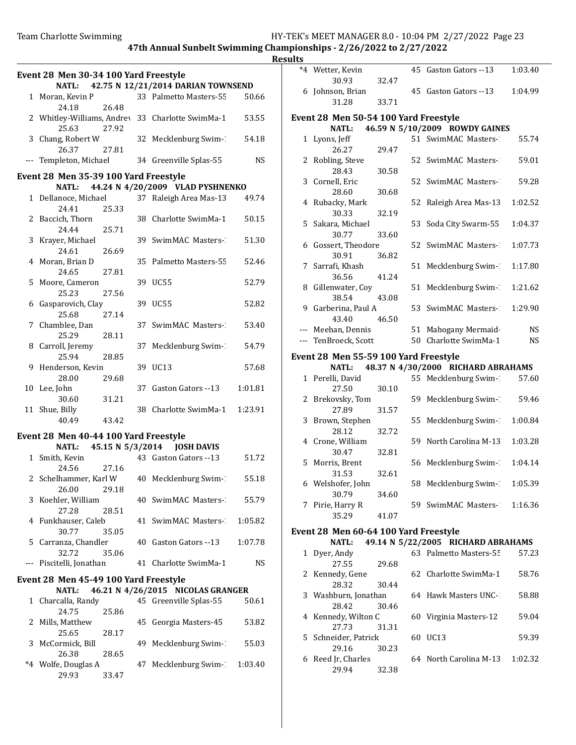pionships - 2/26/2022 to 2/27/2022

|                                       |       |                                                  | Resu    |
|---------------------------------------|-------|--------------------------------------------------|---------|
| Event 28 Men 30-34 100 Yard Freestyle |       |                                                  |         |
|                                       |       | NATL: 42.75 N 12/21/2014 DARIAN TOWNSEND         |         |
| 1 Moran, Kevin P                      |       | 33 Palmetto Masters-55                           | 50.66   |
| 24.18                                 | 26.48 |                                                  |         |
|                                       |       | 2 Whitley-Williams, Andrey 33 Charlotte SwimMa-1 | 53.55   |
| 25.63                                 | 27.92 |                                                  |         |
| 3 Chang, Robert W                     |       | 32 Mecklenburg Swim-1                            | 54.18   |
| 26.37                                 | 27.81 |                                                  |         |
|                                       |       | --- Templeton, Michael 34 Greenville Splas-55    | NS.     |
|                                       |       |                                                  |         |
| Event 28 Men 35-39 100 Yard Freestyle |       |                                                  |         |
|                                       |       | NATL: 44.24 N 4/20/2009 VLAD PYSHNENKO           |         |
| 1 Dellanoce, Michael                  |       | 37 Raleigh Area Mas-13                           | 49.74   |
| 24.41                                 | 25.33 |                                                  |         |
| 2 Baccich, Thorn                      |       | 38 Charlotte SwimMa-1                            | 50.15   |
| 24.44                                 | 25.71 |                                                  |         |
| 3 Krayer, Michael                     |       | 39 SwimMAC Masters-                              | 51.30   |
| 24.61                                 | 26.69 |                                                  |         |
| 4 Moran, Brian D                      |       | 35 Palmetto Masters-55                           | 52.46   |
| 24.65                                 | 27.81 |                                                  |         |
| 5 Moore, Cameron                      |       | 39 UC55                                          | 52.79   |
| 25.23                                 | 27.56 |                                                  |         |
| 6 Gasparovich, Clay                   |       | 39 UC55                                          | 52.82   |
| 25.68<br>27.14                        |       |                                                  |         |
| 7 Chamblee, Dan                       |       | 37 SwimMAC Masters-                              | 53.40   |
| 25.29                                 | 28.11 |                                                  |         |
| 8 Carroll, Jeremy                     |       | 37 Mecklenburg Swim-1                            | 54.79   |
| 25.94                                 | 28.85 |                                                  |         |
| 9 Henderson, Kevin                    |       | 39 UC13                                          | 57.68   |
| 28.00                                 | 29.68 |                                                  |         |
| 10 Lee, John                          |       | 37 Gaston Gators --13                            | 1:01.81 |
| 30.60                                 | 31.21 |                                                  |         |
| 11 Shue, Billy                        |       | 38 Charlotte SwimMa-1 1:23.91                    |         |
| 40.49                                 | 43.42 |                                                  |         |
|                                       |       |                                                  |         |
| Event 28 Men 40-44 100 Yard Freestyle |       |                                                  |         |
|                                       |       | NATL: 45.15 N 5/3/2014 JOSH DAVIS                |         |
| 1 Smith, Kevin                        |       | 43 Gaston Gators --13                            | 51.72   |
| 24.56 27.16                           |       |                                                  |         |
| 2 Schelhammer, Karl W                 |       | 40 Mecklenburg Swim-1                            | 55.18   |
| 26.00                                 | 29.18 |                                                  |         |
| 3 Koehler, William                    |       | 40 SwimMAC Masters-1                             | 55.79   |
| 27.28                                 | 28.51 |                                                  |         |
| 4 Funkhauser, Caleb                   |       | 41 SwimMAC Masters-                              | 1:05.82 |
| 30.77                                 | 35.05 |                                                  |         |
| 5 Carranza, Chandler                  |       | 40 Gaston Gators --13                            | 1:07.78 |
| 32.72                                 | 35.06 |                                                  |         |
| --- Piscitelli, Jonathan              |       | 41 Charlotte SwimMa-1                            | NS      |
|                                       |       |                                                  |         |
| Event 28 Men 45-49 100 Yard Freestyle |       |                                                  |         |
| <b>NATL:</b>                          |       | 46.21 N 4/26/2015 NICOLAS GRANGER                |         |
| 1 Charcalla, Randy                    |       | 45 Greenville Splas-55                           | 50.61   |
| 24.75                                 | 25.86 |                                                  |         |
| 2 Mills, Matthew                      |       | 45 Georgia Masters-45                            | 53.82   |
| 25.65                                 | 28.17 |                                                  |         |
| 3 McCormick, Bill                     |       | 49 Mecklenburg Swim-1                            | 55.03   |
| 26.38                                 | 28.65 |                                                  |         |
|                                       |       |                                                  |         |

29.93 33.47

| ults         |                                                                                  |       |    |                                    |         |  |  |  |  |
|--------------|----------------------------------------------------------------------------------|-------|----|------------------------------------|---------|--|--|--|--|
|              | *4 Wetter, Kevin<br>30.93                                                        | 32.47 |    | 45 Gaston Gators --13              | 1:03.40 |  |  |  |  |
|              | 6 Johnson, Brian                                                                 |       |    | 45 Gaston Gators --13              | 1:04.99 |  |  |  |  |
|              | 31.28                                                                            | 33.71 |    |                                    |         |  |  |  |  |
|              | Event 28 Men 50-54 100 Yard Freestyle<br>46.59 N 5/10/2009 ROWDY GAINES<br>NATL: |       |    |                                    |         |  |  |  |  |
| $\mathbf{1}$ | Lyons, Jeff                                                                      |       |    | 51 SwimMAC Masters-1               | 55.74   |  |  |  |  |
|              | 26.27                                                                            | 29.47 |    |                                    |         |  |  |  |  |
|              | 2 Robling, Steve<br>28.43                                                        | 30.58 |    | 52 SwimMAC Masters-1               | 59.01   |  |  |  |  |
|              | 3 Cornell, Eric<br>28.60                                                         | 30.68 |    | 52 SwimMAC Masters-1               | 59.28   |  |  |  |  |
|              | 4 Rubacky, Mark                                                                  |       | 52 | Raleigh Area Mas-13                | 1:02.52 |  |  |  |  |
|              | 30.33<br>5 Sakara, Michael                                                       | 32.19 | 53 | Soda City Swarm-55                 | 1:04.37 |  |  |  |  |
|              | 30.77                                                                            | 33.60 |    |                                    |         |  |  |  |  |
|              | 6 Gossert, Theodore<br>30.91                                                     | 36.82 |    | 52 SwimMAC Masters-1               | 1:07.73 |  |  |  |  |
|              | 7 Sarrafi, Khash<br>36.56                                                        | 41.24 | 51 | Mecklenburg Swim-1                 | 1:17.80 |  |  |  |  |
|              | 8 Gillenwater, Coy<br>38.54                                                      | 43.08 | 51 | Mecklenburg Swim-1                 | 1:21.62 |  |  |  |  |
|              | 9 Garberina, Paul A<br>43.40                                                     | 46.50 |    | 53 SwimMAC Masters-                | 1:29.90 |  |  |  |  |
|              | --- Meehan, Dennis                                                               |       |    | 51 Mahogany Mermaid                | NS      |  |  |  |  |
|              | --- TenBroeck, Scott                                                             |       |    | 50 Charlotte SwimMa-1              | NS      |  |  |  |  |
|              |                                                                                  |       |    |                                    |         |  |  |  |  |
|              | Event 28 Men 55-59 100 Yard Freestyle                                            |       |    | 48.37 N 4/30/2000 RICHARD ABRAHAMS |         |  |  |  |  |
|              | NATL:                                                                            |       |    |                                    |         |  |  |  |  |
|              | 1 Perelli, David<br>27.50                                                        | 30.10 |    | 55 Mecklenburg Swim-1              | 57.60   |  |  |  |  |
|              | 2 Brekovsky, Tom                                                                 |       | 59 | Mecklenburg Swim-1                 | 59.46   |  |  |  |  |
|              | 27.89<br>3 Brown, Stephen                                                        | 31.57 |    | 55 Mecklenburg Swim-1              | 1:00.84 |  |  |  |  |
|              | 28.12                                                                            | 32.72 |    |                                    |         |  |  |  |  |
|              | 4 Crone, William                                                                 | 32.81 |    | 59 North Carolina M-13             | 1:03.28 |  |  |  |  |
|              | 30.47<br>5 Morris, Brent                                                         |       |    | 56 Mecklenburg Swim-1              | 1:04.14 |  |  |  |  |
|              | 31.53                                                                            | 32.61 |    |                                    |         |  |  |  |  |
|              | 6 Welshofer, John<br>30.79                                                       | 34.60 |    | 58 Mecklenburg Swim-1              | 1:05.39 |  |  |  |  |
|              | 7 Pirie, Harry R<br>35.29                                                        | 41.07 |    | 59 SwimMAC Masters- 1:16.36        |         |  |  |  |  |
|              |                                                                                  |       |    |                                    |         |  |  |  |  |
|              | Event 28 Men 60-64 100 Yard Freestyle<br>NATL:                                   |       |    |                                    |         |  |  |  |  |
|              |                                                                                  |       |    | 49.14 N 5/22/2005 RICHARD ABRAHAMS |         |  |  |  |  |
| 1            | Dyer, Andy<br>27.55                                                              | 29.68 |    | 63 Palmetto Masters-55             | 57.23   |  |  |  |  |
|              | 2 Kennedy, Gene<br>28.32                                                         | 30.44 |    | 62 Charlotte SwimMa-1              | 58.76   |  |  |  |  |
|              | 3 Washburn, Jonathan                                                             |       |    | 64 Hawk Masters UNC-1              | 58.88   |  |  |  |  |
|              | 28.42<br>4 Kennedy, Wilton C                                                     | 30.46 |    | 60 Virginia Masters-12             | 59.04   |  |  |  |  |
|              | 27.73<br>5 Schneider, Patrick                                                    | 31.31 |    | 60 UC13                            | 59.39   |  |  |  |  |
|              |                                                                                  |       |    |                                    |         |  |  |  |  |
|              | 29.16                                                                            | 30.23 |    |                                    |         |  |  |  |  |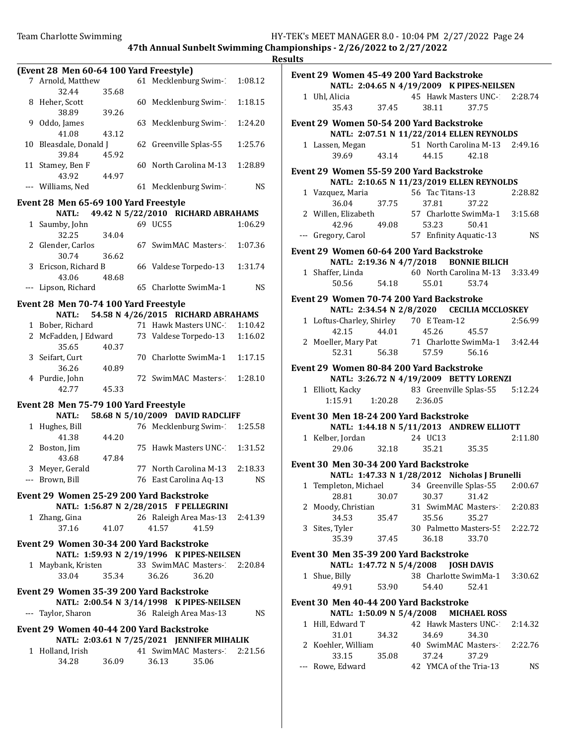|                                               |       |                                            |       |         | <b>Results</b> |
|-----------------------------------------------|-------|--------------------------------------------|-------|---------|----------------|
| (Event 28 Men 60-64 100 Yard Freestyle)       |       |                                            |       |         | Eve            |
| 7 Arnold, Matthew                             |       | 61 Mecklenburg Swim- 1:08.12               |       |         |                |
| 32.44                                         | 35.68 |                                            |       |         |                |
| 8 Heher, Scott                                |       | 60 Mecklenburg Swim-1                      |       | 1:18.15 |                |
| 38.89                                         | 39.26 |                                            |       |         |                |
| 9 Oddo, James                                 |       | 63 Mecklenburg Swim-1                      |       | 1:24.20 | Eve            |
| 41.08                                         | 43.12 |                                            |       |         |                |
| 10 Bleasdale, Donald J                        |       | 62 Greenville Splas-55                     |       | 1:25.76 |                |
| 39.84                                         | 45.92 |                                            |       |         |                |
| 11 Stamey, Ben F                              |       | 60 North Carolina M-13                     |       | 1:28.89 | Eve            |
| 43.92                                         | 44.97 |                                            |       |         |                |
| --- Williams, Ned                             |       | 61 Mecklenburg Swim-1                      |       | NS      |                |
| Event 28 Men 65-69 100 Yard Freestyle         |       |                                            |       |         |                |
| <b>NATL:</b>                                  |       | 49.42 N 5/22/2010 RICHARD ABRAHAMS         |       |         |                |
| 1 Saumby, John                                |       | 69 UC55                                    |       | 1:06.29 |                |
| 32.25                                         | 34.04 |                                            |       |         |                |
| 2 Glender, Carlos                             |       | 67 SwimMAC Masters-                        |       | 1:07.36 |                |
| 30.74                                         | 36.62 |                                            |       |         | Eve            |
| 3 Ericson, Richard B                          |       | 66 Valdese Torpedo-13                      |       | 1:31.74 |                |
| 43.06                                         | 48.68 |                                            |       |         |                |
| --- Lipson, Richard                           |       | 65 Charlotte SwimMa-1                      |       | NS.     |                |
|                                               |       |                                            |       |         | Eve            |
| Event 28 Men 70-74 100 Yard Freestyle         |       |                                            |       |         |                |
| <b>NATL:</b>                                  |       | 54.58 N 4/26/2015 RICHARD ABRAHAMS         |       |         |                |
| 1 Bober, Richard                              |       | 71 Hawk Masters UNC-                       |       | 1:10.42 |                |
| 2 McFadden, J Edward                          |       | 73 Valdese Torpedo-13                      |       | 1:16.02 |                |
| 35.65                                         | 40.37 |                                            |       |         |                |
| 3 Seifart, Curt                               |       | 70 Charlotte SwimMa-1                      |       | 1:17.15 |                |
| 36.26                                         | 40.89 |                                            |       |         | Eve            |
| 4 Purdie, John                                |       | 72 SwimMAC Masters-                        |       | 1:28.10 |                |
| 42.77                                         | 45.33 |                                            |       |         |                |
| Event 28 Men 75-79 100 Yard Freestyle         |       |                                            |       |         |                |
| NATL:                                         |       | 58.68 N 5/10/2009 DAVID RADCLIFF           |       |         | Eve            |
| 1 Hughes, Bill                                |       | 76 Mecklenburg Swim-2 1:25.58              |       |         |                |
| 41.38                                         | 44.20 |                                            |       |         |                |
| 2 Boston, Jim                                 |       | 75 Hawk Masters UNC-                       |       | 1:31.52 |                |
| 43.68                                         | 47.84 |                                            |       |         |                |
| 3 Meyer, Gerald                               |       | 77 North Carolina M-13                     |       | 2:18.33 | Eve            |
| --- Brown, Bill                               |       | 76   East Carolina Aq-13                   |       | NS.     |                |
|                                               |       |                                            |       |         |                |
| Event 29 Women 25-29 200 Yard Backstroke      |       |                                            |       |         |                |
|                                               |       | NATL: 1:56.87 N 2/28/2015 F PELLEGRINI     |       |         |                |
| 1 Zhang, Gina                                 |       | 26 Raleigh Area Mas-13 2:41.39             |       |         |                |
| 37.16                                         | 41.07 | 41.57                                      | 41.59 |         |                |
| Event 29 Women 30-34 200 Yard Backstroke      |       |                                            |       |         |                |
|                                               |       | NATL: 1:59.93 N 2/19/1996 K PIPES-NEILSEN  |       |         | Eve            |
| 1 Maybank, Kristen 33 SwimMAC Masters-2:20.84 |       |                                            |       |         |                |
| 33.04                                         | 35.34 | 36.26                                      | 36.20 |         |                |
|                                               |       |                                            |       |         |                |
| Event 29 Women 35-39 200 Yard Backstroke      |       |                                            |       |         |                |
|                                               |       | NATL: 2:00.54 N 3/14/1998 K PIPES-NEILSEN  |       |         | Eve            |
| --- Taylor, Sharon                            |       | 36 Raleigh Area Mas-13                     |       | NS.     |                |
| Event 29 Women 40-44 200 Yard Backstroke      |       |                                            |       |         |                |
|                                               |       | NATL: 2:03.61 N 7/25/2021 JENNIFER MIHALIK |       |         |                |
| 1 Holland, Irish                              |       | 41 SwimMAC Masters- 2:21.56                |       |         |                |
| 34.28                                         | 36.09 | 36.13                                      | 35.06 |         |                |
|                                               |       |                                            |       |         |                |

|       | Event 29 Women 45-49 200 Yard Backstroke<br>NATL: 2:04.65 N 4/19/2009 K PIPES-NEILSEN                |             |                               |                                                                                         |           |
|-------|------------------------------------------------------------------------------------------------------|-------------|-------------------------------|-----------------------------------------------------------------------------------------|-----------|
|       | 1 Uhl, Alicia                                                                                        | 45<br>37.45 | 38.11                         | 45 Hawk Masters UNC- 2:28.74<br>37.75                                                   |           |
|       | Event 29 Women 50-54 200 Yard Backstroke                                                             |             |                               |                                                                                         |           |
|       | NATL: 2:07.51 N 11/22/2014 ELLEN REYNOLDS                                                            |             |                               |                                                                                         |           |
|       | 1 Lassen, Megan 51 North Carolina M-13 2:49.16<br>39.69 43.14                                        |             | 44.15                         | 42.18                                                                                   |           |
|       | Event 29 Women 55-59 200 Yard Backstroke<br>NATL: 2:10.65 N 11/23/2019 ELLEN REYNOLDS                |             |                               |                                                                                         |           |
|       | 1 Vazquez, Maria<br>36.04                                                                            |             |                               | ria 56 Tac Titans-13 2:28.82<br>37.75 37.81 37.22<br>beth 57 Charlotte SwimMa-1 3:15.68 |           |
|       | 2 Willen, Elizabeth                                                                                  |             | 42.96 49.08 53.23             | 50.41                                                                                   |           |
|       | --- Gregory, Carol                                                                                   |             | 57 Enfinity Aquatic-13        |                                                                                         | <b>NS</b> |
|       | Event 29 Women 60-64 200 Yard Backstroke                                                             |             |                               |                                                                                         |           |
|       | NATL: 2:19.36 N 4/7/2018 BONNIE BILICH                                                               |             |                               |                                                                                         |           |
|       | 1 Shaffer, Linda<br>50.56                                                                            | 54.18       | 55.01                         | 60 North Carolina M-13 3:33.49<br>53.74                                                 |           |
|       | Event 29 Women 70-74 200 Yard Backstroke                                                             |             |                               |                                                                                         |           |
|       | NATL: 2:34.54 N 2/8/2020 CECILIA MCCLOSKEY                                                           |             |                               |                                                                                         |           |
|       | 1 Loftus-Charley, Shirley 70 E Team-12                                                               |             |                               |                                                                                         | 2:56.99   |
|       | 42.15 44.01 45.26<br>2 Moeller, Mary Pat 71 Charlotte SwimMa-1 3:42.44                               |             |                               | 45.57                                                                                   |           |
|       |                                                                                                      |             | 52.31   56.38   57.59   56.16 |                                                                                         |           |
|       |                                                                                                      |             |                               |                                                                                         |           |
|       | Event 29 Women 80-84 200 Yard Backstroke                                                             |             |                               |                                                                                         |           |
|       | NATL: 3:26.72 N 4/19/2009 BETTY LORENZI                                                              |             |                               |                                                                                         |           |
|       | 1 Elliott, Kacky 83 Greenville Splas-55 5:12.24<br>1:15.91   1:20.28   2:36.05                       |             |                               |                                                                                         |           |
|       |                                                                                                      |             |                               |                                                                                         |           |
|       | Event 30 Men 18-24 200 Yard Backstroke                                                               |             |                               |                                                                                         |           |
|       | NATL: 1:44.18 N 5/11/2013 ANDREW ELLIOTT<br>1 Kelber, Jordan 24 UC13                                 |             |                               |                                                                                         | 2:11.80   |
|       | 29.06 32.18                                                                                          |             | 35.21                         | 35.35                                                                                   |           |
|       |                                                                                                      |             |                               |                                                                                         |           |
|       | Event 30 Men 30-34 200 Yard Backstroke                                                               |             |                               |                                                                                         |           |
|       | NATL: 1:47.33 N 1/28/2012 Nicholas J Brunelli<br>1 Templeton, Michael 34 Greenville Splas-55 2:00.67 |             |                               |                                                                                         |           |
|       | 28.81                                                                                                | 30.07       | 30.37                         | 31.42                                                                                   |           |
| 2     | Moody, Christian                                                                                     |             | 31 SwimMAC Masters-1          |                                                                                         | 2:20.83   |
|       | 34.53                                                                                                | 35.47       | 35.56                         | 35.27                                                                                   |           |
|       | 3 Sites, Tyler                                                                                       |             | 30 Palmetto Masters-55        |                                                                                         | 2:22.72   |
|       | 35.39                                                                                                | 37.45       | 36.18                         | 33.70                                                                                   |           |
|       | Event 30 Men 35-39 200 Yard Backstroke<br>NATL: 1:47.72 N 5/4/2008                                   |             |                               | <b>JOSH DAVIS</b>                                                                       |           |
|       | 1 Shue, Billy                                                                                        |             | 38 Charlotte SwimMa-1         |                                                                                         | 3:30.62   |
|       | 49.91                                                                                                | 53.90       | 54.40                         | 52.41                                                                                   |           |
|       | Event 30 Men 40-44 200 Yard Backstroke                                                               |             |                               |                                                                                         |           |
|       | NATL: 1:50.09 N 5/4/2008 MICHAEL ROSS                                                                |             |                               |                                                                                         |           |
|       | 1 Hill, Edward T                                                                                     |             | 42 Hawk Masters UNC-1         |                                                                                         | 2:14.32   |
|       | 31.01                                                                                                | 34.32       | 34.69                         | 34.30                                                                                   |           |
|       | 2 Koehler, William                                                                                   |             |                               | 40 SwimMAC Masters-2:22.76                                                              |           |
|       | 33.15                                                                                                | 35.08       | 37.24                         | 37.29                                                                                   |           |
| $---$ | Rowe, Edward                                                                                         |             | 42 YMCA of the Tria-13        |                                                                                         | NS        |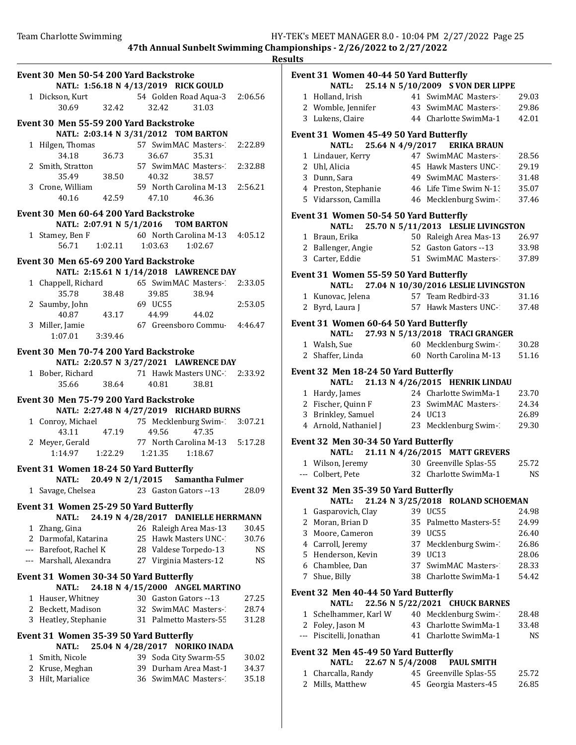| Event 30 Men 50-54 200 Yard Backstroke                 |                                                                           |
|--------------------------------------------------------|---------------------------------------------------------------------------|
|                                                        | NATL: 1:56.18 N 4/13/2019 RICK GOULD                                      |
| 32.42<br>30.69                                         | 1 Dickson, Kurt 54 Golden Road Aqua-3 2:06.56<br>32.42<br>31.03           |
| Event 30 Men 55-59 200 Yard Backstroke                 |                                                                           |
| 1 Hilgen, Thomas                                       | NATL: 2:03.14 N 3/31/2012 TOM BARTON<br>57 SwimMAC Masters-<br>2:22.89    |
| 36.73<br>34.18                                         | 36.67<br>35.31                                                            |
| 2 Smith, Stratton<br>38.50<br>35.49                    | 57 SwimMAC Masters- 2:32.88                                               |
| 3 Crone, William                                       | 40.32<br>38.57<br>59 North Carolina M-13 2:56.21                          |
| 42.59<br>40.16                                         | 47.10 46.36                                                               |
| Event 30 Men 60-64 200 Yard Backstroke                 | NATL: 2:07.91 N 5/1/2016 TOM BARTON                                       |
| 1 Stamey, Ben F                                        | 60 North Carolina M-13 4:05.12                                            |
|                                                        | 56.71  1:02.11  1:03.63  1:02.67                                          |
| Event 30 Men 65-69 200 Yard Backstroke                 |                                                                           |
| 1 Chappell, Richard                                    | NATL: 2:15.61 N 1/14/2018 LAWRENCE DAY<br>65 SwimMAC Masters-2:33.05      |
| 35.78<br>38.48                                         | 39.85<br>38.94                                                            |
| 2 Saumby, John                                         | 69 UC55<br>2:53.05                                                        |
| 40.87<br>43.17<br>3 Miller, Jamie                      | 44.99<br>44.02<br>67 Greensboro Commu 4:46.47                             |
| 1:07.01 3:39.46                                        |                                                                           |
| Event 30 Men 70-74 200 Yard Backstroke                 |                                                                           |
|                                                        | NATL: 2:20.57 N 3/27/2021 LAWRENCE DAY                                    |
| 1 Bober, Richard                                       | 71 Hawk Masters UNC- 2:33.92                                              |
| 35.66<br>38.64                                         | 40.81<br>38.81                                                            |
| Event 30 Men 75-79 200 Yard Backstroke                 | NATL: 2:27.48 N 4/27/2019 RICHARD BURNS                                   |
| 1 Conroy, Michael<br>43.11 47.19                       | 75 Mecklenburg Swim-2 3:07.21                                             |
|                                                        | 49.56 47.35                                                               |
| 2 Meyer, Gerald                                        | 77 North Carolina M-13 5:17.28<br>$1:14.97$ $1:22.29$ $1:21.35$ $1:18.67$ |
| Event 31 Women 18-24 50 Yard Butterfly                 |                                                                           |
| NATL:<br>1 Savage, Chelsea                             | 20.49 N 2/1/2015 Samantha Fulmer<br>23 Gaston Gators -- 13<br>28.09       |
|                                                        |                                                                           |
| Event 31 Women 25-29 50 Yard Butterfly<br><b>NATL:</b> | 24.19 N 4/28/2017 DANIELLE HERRMANN                                       |
| 1 Zhang, Gina                                          | 26 Raleigh Area Mas-13<br>30.45                                           |
| 2 Darmofal, Katarina                                   | 25 Hawk Masters UNC-1<br>30.76                                            |
| --- Barefoot, Rachel K<br>--- Marshall, Alexandra      | 28 Valdese Torpedo-13<br>NS<br>27 Virginia Masters-12<br>NS               |
| Event 31 Women 30-34 50 Yard Butterfly                 |                                                                           |
| NATL:                                                  | 24.18 N 4/15/2000 ANGEL MARTINO                                           |
| 1 Hauser, Whitney                                      | 30 Gaston Gators --13<br>27.25                                            |
| 2 Beckett, Madison<br>3 Heatley, Stephanie             | 32 SwimMAC Masters-<br>28.74<br>31 Palmetto Masters-55<br>31.28           |
|                                                        |                                                                           |
| Event 31 Women 35-39 50 Yard Butterfly<br><b>NATL:</b> | 25.04 N 4/28/2017 NORIKO INADA                                            |
| 1 Smith, Nicole                                        | 39 Soda City Swarm-55<br>30.02                                            |
| 2 Kruse, Meghan                                        | 39 Durham Area Mast-1<br>34.37                                            |
| Hilt, Marialice<br>3                                   | 36 SwimMAC Masters-<br>35.18                                              |
|                                                        |                                                                           |

|             | Event 31 Women 40-44 50 Yard Butterfly        |    | NATL: 25.14 N 5/10/2009 S VON DER LIPPE    |           |
|-------------|-----------------------------------------------|----|--------------------------------------------|-----------|
|             | 1 Holland, Irish                              |    | 41 SwimMAC Masters-1                       | 29.03     |
|             | 2 Womble, Jennifer                            |    | 43 SwimMAC Masters-1                       | 29.86     |
|             | 3 Lukens, Claire                              |    | 44 Charlotte SwimMa-1                      | 42.01     |
|             | Event 31  Women 45-49 50 Yard Butterfly       |    |                                            |           |
|             | <b>NATL:</b>                                  |    | 25.64 N 4/9/2017 ERIKA BRAUN               |           |
|             | 1 Lindauer, Kerry                             |    | 47 SwimMAC Masters-1                       | 28.56     |
|             | 2 Uhl, Alicia                                 |    | 45 Hawk Masters UNC-1                      | 29.19     |
|             | 3 Dunn, Sara                                  |    | 49 SwimMAC Masters-1                       | 31.48     |
|             | 4 Preston, Stephanie                          |    | 46 Life Time Swim N-1:                     | 35.07     |
|             | 5 Vidarsson, Camilla                          |    | 46 Mecklenburg Swim-1                      | 37.46     |
|             | <b>Event 31 Women 50-54 50 Yard Butterfly</b> |    |                                            |           |
|             |                                               |    | NATL: 25.70 N 5/11/2013 LESLIE LIVINGSTON  |           |
|             | 1 Braun, Erika                                |    | 50 Raleigh Area Mas-13                     | 26.97     |
|             | 2 Ballenger, Angie                            |    | 52 Gaston Gators --13                      | 33.98     |
|             | 3 Carter, Eddie                               |    | 51 SwimMAC Masters-                        | 37.89     |
|             | <b>Event 31 Women 55-59 50 Yard Butterfly</b> |    |                                            |           |
|             |                                               |    | NATL: 27.04 N 10/30/2016 LESLIE LIVINGSTON |           |
|             | 1 Kunovac, Jelena                             |    | 57 Team Redbird-33                         | 31.16     |
|             | 2 Byrd, Laura J                               |    | 57 Hawk Masters UNC-1                      | 37.48     |
|             |                                               |    |                                            |           |
|             | Event 31 Women 60-64 50 Yard Butterfly        |    | NATL: 27.93 N 5/13/2018 TRACI GRANGER      |           |
|             | 1 Walsh, Sue                                  |    | 60 Mecklenburg Swim-1                      | 30.28     |
|             | 2 Shaffer, Linda                              |    | 60 North Carolina M-13                     | 51.16     |
|             |                                               |    |                                            |           |
|             | Event 32 Men 18-24 50 Yard Butterfly          |    |                                            |           |
|             | <b>NATL:</b>                                  |    | 21.13 N 4/26/2015 HENRIK LINDAU            |           |
|             | 1 Hardy, James                                |    | 24 Charlotte SwimMa-1                      | 23.70     |
|             | 2 Fischer, Quinn F                            |    | 23 SwimMAC Masters-1                       | 24.34     |
|             | 3 Brinkley, Samuel                            |    | 24 UC13                                    | 26.89     |
|             | 4 Arnold, Nathaniel J                         |    | 23 Mecklenburg Swim-1                      | 29.30     |
|             | Event 32 Men 30-34 50 Yard Butterfly          |    |                                            |           |
|             |                                               |    | NATL: 21.11 N 4/26/2015 MATT GREVERS       |           |
|             | 1 Wilson, Jeremy 30 Greenville Splas-55       |    |                                            | 25.72     |
|             | --- Colbert, Pete                             |    | 32 Charlotte SwimMa-1                      | NS.       |
|             | Event 32 Men 35-39 50 Yard Butterfly          |    |                                            |           |
|             | NATL:                                         |    | 21.24 N 3/25/2018 ROLAND SCHOEMAN          |           |
|             | 1 Gasparovich, Clay                           |    | 39 UC55                                    | 24.98     |
|             | 2 Moran, Brian D                              |    | 35 Palmetto Masters-55                     | 24.99     |
|             | 3 Moore, Cameron                              |    | 39 UC55                                    | 26.40     |
|             | 4 Carroll, Jeremy                             | 37 | Mecklenburg Swim-1                         | 26.86     |
|             | 5 Henderson, Kevin                            | 39 | UC13                                       | 28.06     |
|             | 6 Chamblee, Dan                               |    | 37 SwimMAC Masters-1                       | 28.33     |
|             | 7 Shue, Billy                                 |    | 38 Charlotte SwimMa-1                      | 54.42     |
|             | Event 32 Men 40-44 50 Yard Butterfly          |    |                                            |           |
|             | <b>NATL:</b>                                  |    | 22.56 N 5/22/2021 CHUCK BARNES             |           |
|             | 1 Schelhammer, Karl W                         |    | 40 Mecklenburg Swim-1                      | 28.48     |
|             | 2 Foley, Jason M                              |    | 43 Charlotte SwimMa-1                      | 33.48     |
|             | --- Piscitelli, Jonathan                      |    | 41 Charlotte SwimMa-1                      | <b>NS</b> |
|             | Event 32 Men 45-49 50 Yard Butterfly          |    |                                            |           |
|             | 22.67 N 5/4/2008<br><b>NATL:</b>              |    | <b>PAUL SMITH</b>                          |           |
| $\mathbf 1$ | Charcalla, Randy                              |    | 45 Greenville Splas-55                     | 25.72     |

2 Mills, Matthew 45 Georgia Masters-45 26.85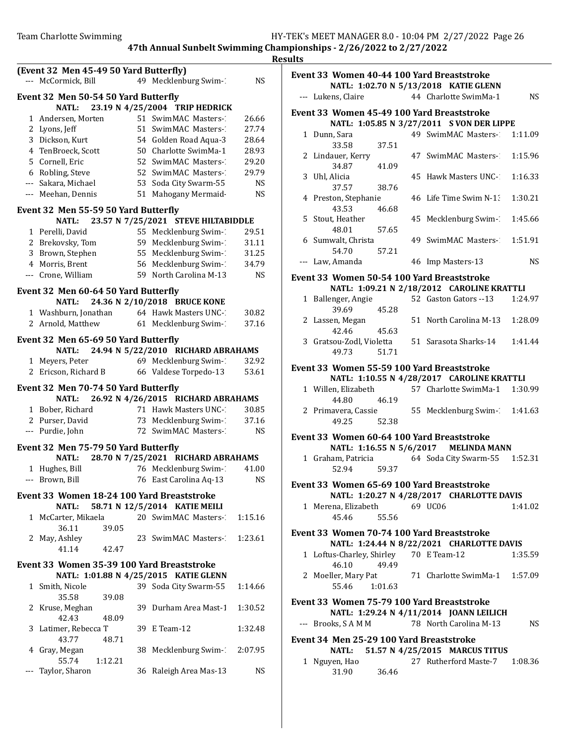|     | (Event 32 Men 45-49 50 Yard Butterfly)<br>--- McCormick, Bill |    | 49 Mecklenburg Swim-1                 | NS        |
|-----|---------------------------------------------------------------|----|---------------------------------------|-----------|
|     |                                                               |    |                                       |           |
|     | Event 32 Men 50-54 50 Yard Butterfly                          |    |                                       |           |
|     | NATL:                                                         |    | 23.19 N 4/25/2004 TRIP HEDRICK        |           |
|     | 1 Andersen, Morten                                            |    | 51 SwimMAC Masters-1                  | 26.66     |
|     | 2 Lyons, Jeff                                                 |    | 51 SwimMAC Masters-                   | 27.74     |
|     | 3 Dickson, Kurt                                               |    | 54 Golden Road Aqua-3                 | 28.64     |
|     | 4 TenBroeck, Scott                                            |    | 50 Charlotte SwimMa-1                 | 28.93     |
|     | 5 Cornell, Eric                                               |    | 52 SwimMAC Masters-1                  | 29.20     |
|     | 6 Robling, Steve                                              |    | 52 SwimMAC Masters-1                  | 29.79     |
|     | --- Sakara, Michael                                           |    | 53 Soda City Swarm-55                 | <b>NS</b> |
|     | --- Meehan, Dennis                                            |    | 51 Mahogany Mermaid                   | <b>NS</b> |
|     | Event 32 Men 55-59 50 Yard Butterfly                          |    |                                       |           |
|     | NATL:                                                         |    | 23.57 N 7/25/2021 STEVE HILTABIDDLE   |           |
|     | 1 Perelli, David                                              |    | 55 Mecklenburg Swim-1                 | 29.51     |
|     | 2 Brekovsky, Tom                                              |    | 59 Mecklenburg Swim-1                 | 31.11     |
|     | 3 Brown, Stephen                                              |    | 55 Mecklenburg Swim-                  | 31.25     |
|     | 4 Morris, Brent                                               |    | 56 Mecklenburg Swim-1                 | 34.79     |
|     | --- Crone, William                                            |    | 59 North Carolina M-13                | <b>NS</b> |
|     | Event 32 Men 60-64 50 Yard Butterfly                          |    |                                       |           |
|     | <b>NATL:</b>                                                  |    | 24.36 N 2/10/2018 BRUCE KONE          |           |
|     | 1 Washburn, Jonathan 64 Hawk Masters UNC-2                    |    |                                       | 30.82     |
|     | 2 Arnold, Matthew                                             |    | 61 Mecklenburg Swim-                  | 37.16     |
|     | Event 32 Men 65-69 50 Yard Butterfly                          |    |                                       |           |
|     | NATL:                                                         |    | 24.94 N 5/22/2010 RICHARD ABRAHAMS    |           |
|     | 1 Meyers, Peter                                               |    | 69 Mecklenburg Swim-                  | 32.92     |
|     | 2 Ericson, Richard B                                          |    | 66 Valdese Torpedo-13                 | 53.61     |
|     | Event 32 Men 70-74 50 Yard Butterfly                          |    |                                       |           |
|     | NATL:                                                         |    | 26.92 N 4/26/2015 RICHARD ABRAHAMS    |           |
|     | 1 Bober, Richard                                              |    | 71 Hawk Masters UNC-1                 | 30.85     |
|     | 2 Purser, David                                               |    | 73 Mecklenburg Swim-1                 | 37.16     |
|     | --- Purdie, John                                              |    | 72 SwimMAC Masters-                   | NS        |
|     | Event 32 Men 75-79 50 Yard Butterfly                          |    |                                       |           |
|     | NATL:                                                         |    | 28.70 N 7/25/2021 RICHARD ABRAHAMS    |           |
|     | 1 Hughes, Bill                                                |    | 76 Mecklenburg Swim-1                 | 41.00     |
|     | --- Brown, Bill                                               |    | 76 East Carolina Aq-13                | NS        |
|     |                                                               |    |                                       |           |
|     | Event 33 Women 18-24 100 Yard Breaststroke<br><b>NATL:</b>    |    | 58.71 N 12/5/2014 KATIE MEILI         |           |
|     | 1 McCarter, Mikaela                                           |    | 20 SwimMAC Masters-                   | 1:15.16   |
|     | 36.11<br>39.05                                                |    |                                       |           |
|     | 2 May, Ashley                                                 |    | 23 SwimMAC Masters-                   | 1:23.61   |
|     | 41.14<br>42.47                                                |    |                                       |           |
|     |                                                               |    |                                       |           |
|     | Event 33 Women 35-39 100 Yard Breaststroke                    |    | NATL: 1:01.88 N 4/25/2015 KATIE GLENN |           |
|     | 1 Smith, Nicole                                               |    | 39 Soda City Swarm-55                 | 1:14.66   |
|     | 35.58<br>39.08                                                |    |                                       |           |
|     | 2 Kruse, Meghan                                               |    | 39 Durham Area Mast-1                 | 1:30.52   |
|     | 42.43<br>48.09                                                |    |                                       |           |
| 3.  | Latimer, Rebecca T                                            |    | 39 E Team-12                          | 1:32.48   |
|     | 43.77<br>48.71                                                |    |                                       |           |
|     | 4 Gray, Megan                                                 | 38 | Mecklenburg Swim-2:07.95              |           |
|     | 55.74<br>1:12.21                                              |    |                                       |           |
| --- | Taylor, Sharon                                                |    | 36 Raleigh Area Mas-13                | NS.       |
|     |                                                               |    |                                       |           |
|     |                                                               |    |                                       |           |

|                                          |         | Event 33 Women 40-44 100 Yard Breaststroke<br>NATL: 1:02.70 N 5/13/2018 KATIE GLENN      |           |
|------------------------------------------|---------|------------------------------------------------------------------------------------------|-----------|
| --- Lukens, Claire                       |         | 44 Charlotte SwimMa-1                                                                    | <b>NS</b> |
|                                          |         | Event 33 Women 45-49 100 Yard Breaststroke                                               |           |
|                                          |         | NATL: 1:05.85 N 3/27/2011 S VON DER LIPPE                                                |           |
| 1 Dunn, Sara                             |         | 49 SwimMAC Masters- 1:11.09                                                              |           |
| 33.58<br>2 Lindauer, Kerry               | 37.51   | 47 SwimMAC Masters- 1:15.96                                                              |           |
| 34.87 41.09                              |         |                                                                                          |           |
| 3 Uhl, Alicia<br>37.57 38.76             |         | 45 Hawk Masters UNC-                                                                     | 1:16.33   |
| 4 Preston, Stephanie<br>43.53            | 46.68   | 46 Life Time Swim N-1:                                                                   | 1:30.21   |
| 5 Stout, Heather                         |         | 45 Mecklenburg Swim-1                                                                    | 1:45.66   |
| 48.01                                    | 57.65   |                                                                                          |           |
| 6 Sumwalt, Christa<br>54.70              | 57.21   | 49 SwimMAC Masters- 1:51.91                                                              |           |
| --- Law, Amanda                          |         | 46 Imp Masters-13                                                                        | <b>NS</b> |
|                                          |         | Event 33 Women 50-54 100 Yard Breaststroke                                               |           |
|                                          |         | NATL: 1:09.21 N 2/18/2012 CAROLINE KRATTLI                                               |           |
| 1 Ballenger, Angie                       |         | 52 Gaston Gators --13 1:24.97                                                            |           |
| 39.69                                    | 45.28   |                                                                                          |           |
| 2 Lassen, Megan                          |         | 51 North Carolina M-13                                                                   | 1:28.09   |
| 42.46                                    | 45.63   | 3 Gratsou-Zodl, Violetta 51 Sarasota Sharks-14                                           | 1:41.44   |
| 49.73                                    | 51.71   |                                                                                          |           |
|                                          |         |                                                                                          |           |
|                                          |         | Event 33 Women 55-59 100 Yard Breaststroke<br>NATL: 1:10.55 N 4/28/2017 CAROLINE KRATTLI |           |
| 1 Willen, Elizabeth                      |         | 57 Charlotte SwimMa-1 1:30.99                                                            |           |
| 44.80                                    | 46.19   |                                                                                          |           |
| 2 Primavera, Cassie                      |         | 55 Mecklenburg Swim-1:41.63                                                              |           |
| 49.25                                    | 52.38   |                                                                                          |           |
|                                          |         | Event 33 Women 60-64 100 Yard Breaststroke                                               |           |
|                                          |         | NATL: 1:16.55 N 5/6/2017 MELINDA MANN                                                    |           |
| 1 Graham, Patricia<br>52.94              | 59.37   | 64 Soda City Swarm-55 1:52.31                                                            |           |
|                                          |         | Event 33 Women 65-69 100 Yard Breaststroke                                               |           |
|                                          |         | NATL: 1:20.27 N 4/28/2017 CHARLOTTE DAVIS                                                |           |
| 1 Merena, Elizabeth 69 UC06              |         |                                                                                          | 1:41.02   |
| 45.46                                    | 55.56   |                                                                                          |           |
|                                          |         | Event 33 Women 70-74 100 Yard Breaststroke                                               |           |
|                                          |         | NATL: 1:24.44 N 8/22/2021 CHARLOTTE DAVIS                                                |           |
| 1 Loftus-Charley, Shirley 70 E Team-12   |         |                                                                                          | 1:35.59   |
| 46.10                                    | 49.49   |                                                                                          |           |
| 2 Moeller, Mary Pat                      |         | 71 Charlotte SwimMa-1 1:57.09                                                            |           |
| 55.46                                    | 1:01.63 |                                                                                          |           |
|                                          |         | Event 33 Women 75-79 100 Yard Breaststroke                                               |           |
|                                          |         | NATL: 1:29.24 N 4/11/2014 JOANN LEILICH                                                  |           |
| --- Brooks, SAMM                         |         | 78 North Carolina M-13                                                                   | NS.       |
| Event 34 Men 25-29 100 Yard Breaststroke |         |                                                                                          |           |
| NATL:                                    |         | 51.57 N 4/25/2015 MARCUS TITUS                                                           |           |
| 1 Nguyen, Hao<br>31.90                   | 36.46   | 27 Rutherford Maste-7                                                                    | 1:08.36   |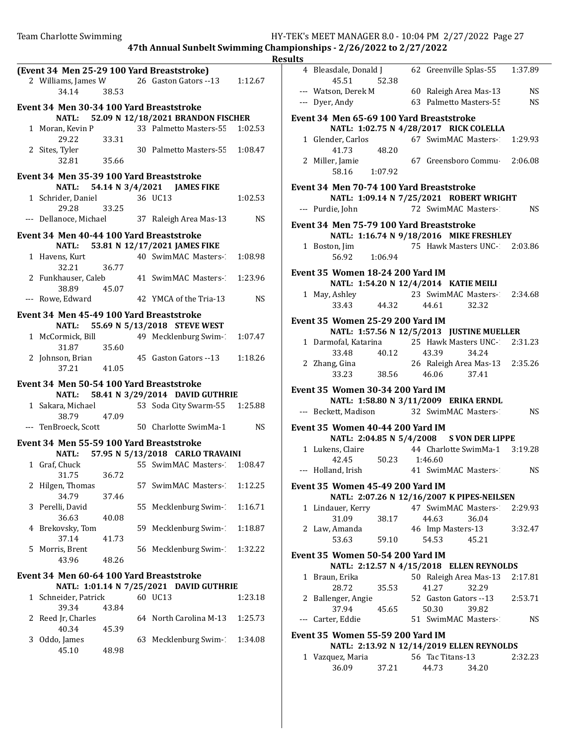|                                                           |       |    |                                                    | <u>Re</u> |
|-----------------------------------------------------------|-------|----|----------------------------------------------------|-----------|
| (Event 34 Men 25-29 100 Yard Breaststroke)<br>34.14 38.53 |       |    | 2 Williams, James W 26 Gaston Gators -- 13 1:12.67 |           |
| Event 34 Men 30-34 100 Yard Breaststroke                  |       |    |                                                    |           |
|                                                           |       |    | NATL: 52.09 N 12/18/2021 BRANDON FISCHER           |           |
| 1 Moran, Kevin P                                          |       |    | 33 Palmetto Masters-55 1:02.53                     |           |
| 29.22 33.31<br>2 Sites, Tyler<br>32.81 35.66              |       |    | 30 Palmetto Masters-55 1:08.47                     |           |
|                                                           |       |    |                                                    |           |
| Event 34 Men 35-39 100 Yard Breaststroke                  |       |    |                                                    |           |
|                                                           |       |    | NATL: 54.14 N 3/4/2021 JAMES FIKE                  |           |
| 1 Schrider, Daniel                                        |       |    | 36 UC13                                            | 1:02.53   |
| 29.28 33.25                                               |       |    |                                                    |           |
|                                                           |       |    | --- Dellanoce, Michael 37 Raleigh Area Mas-13      | NS NS     |
|                                                           |       |    |                                                    |           |
| Event 34 Men 40-44 100 Yard Breaststroke                  |       |    |                                                    |           |
|                                                           |       |    | NATL: 53.81 N 12/17/2021 JAMES FIKE                |           |
| 1 Havens, Kurt                                            |       |    | 40 SwimMAC Masters 1:08.98                         |           |
| 32.21                                                     | 36.77 |    |                                                    |           |
| 2 Funkhauser, Caleb                                       |       |    | 41 SwimMAC Masters- 1:23.96                        |           |
| 38.89 45.07                                               |       |    |                                                    |           |
|                                                           |       |    | --- Rowe, Edward 42 YMCA of the Tria-13            | NS        |
|                                                           |       |    |                                                    |           |
| Event 34 Men 45-49 100 Yard Breaststroke                  |       |    |                                                    |           |
|                                                           |       |    | NATL: 55.69 N 5/13/2018 STEVE WEST                 |           |
| 1 McCormick, Bill                                         |       |    | 49 Mecklenburg Swim-1                              | 1:07.47   |
| 31.87 35.60                                               |       |    |                                                    |           |
| 2 Johnson, Brian                                          |       |    | 45 Gaston Gators --13                              | 1:18.26   |
| 37.21 41.05                                               |       |    |                                                    |           |
|                                                           |       |    |                                                    |           |
| Event 34 Men 50-54 100 Yard Breaststroke                  |       |    |                                                    |           |
|                                                           |       |    | NATL: 58.41 N 3/29/2014 DAVID GUTHRIE              |           |
|                                                           |       |    | 1 Sakara, Michael 53 Soda City Swarm-55 1:25.88    |           |
| 38.79 47.09                                               |       |    |                                                    |           |
|                                                           |       |    | --- TenBroeck, Scott 50 Charlotte SwimMa-1 NS      |           |
|                                                           |       |    |                                                    |           |
| Event 34 Men 55-59 100 Yard Breaststroke                  |       |    |                                                    |           |
|                                                           |       |    | NATL: 57.95 N 5/13/2018 CARLO TRAVAINI             |           |
| 1 Graf, Chuck                                             |       |    | 55 SwimMAC Masters- 1:08.47                        |           |
|                                                           |       |    |                                                    |           |
| 31.75                                                     | 36.72 |    |                                                    |           |
| 2 Hilgen, Thomas                                          |       |    | 57 SwimMAC Masters-                                | 1:12.25   |
| 34.79                                                     | 37.46 |    |                                                    |           |
| 3 Perelli, David                                          |       | 55 | Mecklenburg Swim-1                                 | 1:16.71   |
| 36.63                                                     | 40.08 |    |                                                    |           |
| 4 Brekovsky, Tom                                          |       |    | 59 Mecklenburg Swim-1                              | 1:18.87   |
| 37.14                                                     | 41.73 |    |                                                    |           |
| 5 Morris, Brent                                           |       |    | 56 Mecklenburg Swim-                               | 1:32.22   |
| 43.96                                                     | 48.26 |    |                                                    |           |
|                                                           |       |    |                                                    |           |
| Event 34 Men 60-64 100 Yard Breaststroke                  |       |    |                                                    |           |
|                                                           |       |    | NATL: 1:01.14 N 7/25/2021 DAVID GUTHRIE            |           |
| 1 Schneider, Patrick                                      |       |    | 60 UC13                                            | 1:23.18   |
| 39.34                                                     | 43.84 |    |                                                    |           |
| 2 Reed Jr, Charles                                        |       |    | 64 North Carolina M-13                             | 1:25.73   |
|                                                           |       |    |                                                    |           |
| 40.34                                                     | 45.39 |    |                                                    |           |
| 3 Oddo, James                                             |       |    | 63 Mecklenburg Swim-1                              | 1:34.08   |
| 45.10                                                     | 48.98 |    |                                                    |           |
|                                                           |       |    |                                                    |           |
|                                                           |       |    |                                                    |           |

| ılts         |                                                                     |               |                        |                                           |           |
|--------------|---------------------------------------------------------------------|---------------|------------------------|-------------------------------------------|-----------|
|              | 4 Bleasdale, Donald J 62 Greenville Splas-55 1:37.89<br>45.51 52.38 |               |                        |                                           |           |
|              | --- Watson, Derek M 60 Raleigh Area Mas-13                          |               |                        |                                           | <b>NS</b> |
|              | --- Dyer, Andy                                                      |               | 63 Palmetto Masters-55 |                                           | <b>NS</b> |
|              | Event 34 Men 65-69 100 Yard Breaststroke                            |               |                        |                                           |           |
|              | NATL: 1:02.75 N 4/28/2017 RICK COLELLA                              |               |                        |                                           |           |
|              | 1 Glender, Carlos 67 SwimMAC Masters-1:29.93                        |               |                        |                                           |           |
|              | 41.73 48.20                                                         |               |                        |                                           |           |
|              | 2 Miller, Jamie                                                     |               |                        | 67 Greensboro Commu 2:06.08               |           |
|              | 58.16 1:07.92                                                       |               |                        |                                           |           |
|              | Event 34  Men 70-74 100 Yard Breaststroke                           |               |                        |                                           |           |
|              | NATL: 1:09.14 N 7/25/2021 ROBERT WRIGHT                             |               |                        |                                           |           |
|              | --- Purdie, John                                                    |               | 72 SwimMAC Masters-1   |                                           | NS        |
|              |                                                                     |               |                        |                                           |           |
|              | Event 34 Men 75-79 100 Yard Breaststroke                            |               |                        |                                           |           |
|              | NATL: 1:16.74 N 9/18/2016 MIKE FRESHLEY                             |               |                        | 75 Hawk Masters UNC-7 2:03.86             |           |
|              | 1 Boston, Jim<br>$56.92$ 1:06.94                                    |               |                        |                                           |           |
|              |                                                                     |               |                        |                                           |           |
|              | Event 35  Women 18-24 200 Yard IM                                   |               |                        |                                           |           |
|              | NATL: 1:54.20 N 12/4/2014 KATIE MEILI                               |               |                        |                                           |           |
|              | 1 May, Ashley 23 SwimMAC Masters-2:34.68                            |               |                        |                                           |           |
|              | 33.43 44.32                                                         |               | 44.61                  | 32.32                                     |           |
|              | Event 35 Women 25-29 200 Yard IM                                    |               |                        |                                           |           |
|              | NATL: 1:57.56 N 12/5/2013 JUSTINE MUELLER                           |               |                        |                                           |           |
|              | 1 Darmofal, Katarina 25 Hawk Masters UNC-1 2:31.23                  |               |                        |                                           |           |
|              | 33.48 40.12                                                         |               | 43.39                  | 34.24                                     |           |
|              | 2 Zhang, Gina 26 Raleigh Area Mas-13 2:35.26                        |               |                        |                                           |           |
|              | 33.23 38.56 46.06 37.41                                             |               |                        |                                           |           |
|              | <b>Event 35 Women 30-34 200 Yard IM</b>                             |               |                        |                                           |           |
|              | NATL: 1:58.80 N 3/11/2009 ERIKA ERNDL                               |               |                        |                                           |           |
|              | --- Beckett, Madison 32 SwimMAC Masters-2                           |               |                        |                                           | NS.       |
|              |                                                                     |               |                        |                                           |           |
|              | Event 35 Women 40-44 200 Yard IM                                    |               |                        |                                           |           |
|              | NATL: 2:04.85 N 5/4/2008 S VON DER LIPPE                            |               |                        |                                           |           |
|              | 1 Lukens, Claire                                                    | 50.23 1:46.60 |                        | 44 Charlotte SwimMa-1 3:19.28             |           |
|              | 42.45<br>--- Holland, Irish                                         |               | 41 SwimMAC Masters-1   |                                           | NS.       |
|              |                                                                     |               |                        |                                           |           |
|              | Event 35 Women 45-49 200 Yard IM                                    |               |                        |                                           |           |
|              | NATL: 2:07.26 N 12/16/2007 K PIPES-NEILSEN                          |               |                        |                                           |           |
|              | 1 Lindauer, Kerry                                                   |               |                        | 47 SwimMAC Masters-2:29.93                |           |
|              | 31.09                                                               | 38.17         | 44.63                  | 36.04                                     |           |
|              | 2 Law, Amanda                                                       |               | 46 Imp Masters-13      |                                           | 3:32.47   |
|              | 53.63                                                               | 59.10         | 54.53                  | 45.21                                     |           |
|              | <b>Event 35 Women 50-54 200 Yard IM</b>                             |               |                        |                                           |           |
|              | NATL: 2:12.57 N 4/15/2018 ELLEN REYNOLDS                            |               |                        |                                           |           |
| $\mathbf{1}$ | Braun, Erika                                                        |               |                        | 50 Raleigh Area Mas-13 2:17.81            |           |
|              | 28.72                                                               | 35.53         | 41.27                  | 32.29                                     |           |
|              | 2 Ballenger, Angie                                                  |               | 52 Gaston Gators --13  |                                           | 2:53.71   |
|              | 37.94                                                               | 45.65         | 50.30                  | 39.82                                     |           |
|              | --- Carter, Eddie                                                   |               | 51 SwimMAC Masters-1   |                                           | NS.       |
|              | Event 35 Women 55-59 200 Yard IM                                    |               |                        |                                           |           |
|              |                                                                     |               |                        | NATL: 2:13.92 N 12/14/2019 ELLEN REYNOLDS |           |
|              |                                                                     |               |                        |                                           |           |
|              | 1 Vazquez, Maria                                                    |               | 56 Tac Titans-13       |                                           | 2:32.23   |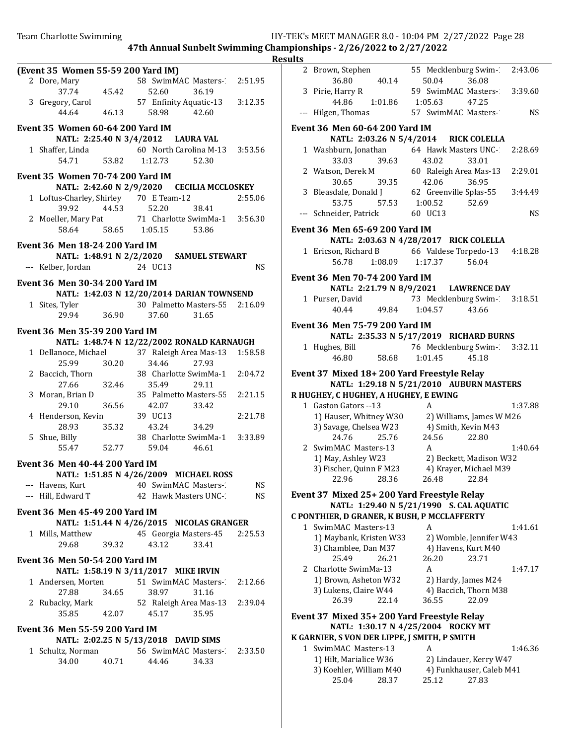| 9111<br>- - |  |
|-------------|--|
|             |  |

|                                         |       |                                                   | R٥        |
|-----------------------------------------|-------|---------------------------------------------------|-----------|
| (Event 35 Women 55-59 200 Yard IM)      |       |                                                   |           |
| 2 Dore, Mary                            |       | 58 SwimMAC Masters- 2:51.95                       |           |
| 37.74                                   | 45.42 | 52.60<br>36.19                                    |           |
| 3 Gregory, Carol                        |       | 57 Enfinity Aquatic-13 3:12.35                    |           |
| 44.64                                   |       | 46.13 58.98<br>42.60                              |           |
|                                         |       |                                                   |           |
| Event 35 Women 60-64 200 Yard IM        |       |                                                   |           |
|                                         |       | NATL: 2:25.40 N 3/4/2012 LAURA VAL                |           |
|                                         |       | 1 Shaffer, Linda 60 North Carolina M-13 3:53.56   |           |
| 54.71                                   |       | 53.82 1:12.73<br>52.30                            |           |
| <b>Event 35 Women 70-74 200 Yard IM</b> |       |                                                   |           |
|                                         |       | NATL: 2:42.60 N 2/9/2020 CECILIA MCCLOSKEY        |           |
| 1 Loftus-Charley, Shirley 70 E Team-12  |       |                                                   | 2:55.06   |
| 39.92                                   |       | 38.41                                             |           |
|                                         |       | 44.53 52.20                                       |           |
|                                         |       | 2 Moeller, Mary Pat 71 Charlotte SwimMa-1 3:56.30 |           |
|                                         |       | 58.64 58.65 1:05.15 53.86                         |           |
| <b>Event 36 Men 18-24 200 Yard IM</b>   |       |                                                   |           |
|                                         |       | NATL: 1:48.91 N 2/2/2020 SAMUEL STEWART           |           |
| --- Kelber, Jordan                      |       | 24 UC13                                           | NS        |
|                                         |       |                                                   |           |
| Event 36 Men 30-34 200 Yard IM          |       |                                                   |           |
|                                         |       | NATL: 1:42.03 N 12/20/2014 DARIAN TOWNSEND        |           |
| 1 Sites, Tyler                          |       | 30 Palmetto Masters-55 2:16.09                    |           |
| 29.94                                   | 36.90 | 37.60<br>31.65                                    |           |
|                                         |       |                                                   |           |
| Event 36 Men 35-39 200 Yard IM          |       |                                                   |           |
|                                         |       | NATL: 1:48.74 N 12/22/2002 RONALD KARNAUGH        |           |
|                                         |       | 1 Dellanoce, Michael 37 Raleigh Area Mas-13       | 1:58.58   |
| 25.99                                   | 30.20 | 34.46<br>27.93                                    |           |
| 2 Baccich, Thorn                        |       | 38 Charlotte SwimMa-1 2:04.72                     |           |
| 27.66                                   | 32.46 | 35.49<br>29.11                                    |           |
| 3 Moran, Brian D                        |       | 35 Palmetto Masters-55 2:21.15                    |           |
| 29.10                                   | 36.56 | 42.07<br>33.42                                    |           |
| 4 Henderson, Kevin                      |       | 39 UC13                                           | 2:21.78   |
| 28.93                                   | 35.32 | 43.24<br>34.29                                    |           |
| 5 Shue, Billy                           |       | 38 Charlotte SwimMa-1 3:33.89                     |           |
| $55.47$ $52.77$                         |       | 59.04<br>46.61                                    |           |
|                                         |       |                                                   |           |
| Event 36 Men 40-44 200 Yard IM          |       |                                                   |           |
|                                         |       | NATL: 1:51.85 N 4/26/2009 MICHAEL ROSS            |           |
| --- Havens, Kurt                        |       | 40 SwimMAC Masters-                               | NS        |
| --- Hill, Edward T                      |       | 42 Hawk Masters UNC-1                             | <b>NS</b> |
|                                         |       |                                                   |           |
| <b>Event 36 Men 45-49 200 Yard IM</b>   |       |                                                   |           |
|                                         |       | NATL: 1:51.44 N 4/26/2015 NICOLAS GRANGER         |           |
| 1 Mills, Matthew                        |       | 45 Georgia Masters-45                             | 2:25.53   |
| 29.68                                   | 39.32 | 43.12<br>33.41                                    |           |
| <b>Event 36 Men 50-54 200 Yard IM</b>   |       |                                                   |           |
|                                         |       |                                                   |           |
|                                         |       | NATL: 1:58.19 N 3/11/2017 MIKE IRVIN              |           |
| 1 Andersen, Morten                      |       | 51 SwimMAC Masters-                               | 2:12.66   |
| 27.88                                   | 34.65 | 38.97<br>31.16                                    |           |
| 2 Rubacky, Mark                         |       | 52 Raleigh Area Mas-13 2:39.04                    |           |
| 35.85                                   | 42.07 | 45.17<br>35.95                                    |           |
|                                         |       |                                                   |           |
| <b>Event 36 Men 55-59 200 Yard IM</b>   |       |                                                   |           |
|                                         |       | NATL: 2:02.25 N 5/13/2018 DAVID SIMS              |           |
| 1 Schultz, Norman                       |       | 56 SwimMAC Masters-2:33.50                        |           |
| 34.00                                   | 40.71 | 44.46<br>34.33                                    |           |
|                                         |       |                                                   |           |

| ılts  |                                               |                                                          |           |
|-------|-----------------------------------------------|----------------------------------------------------------|-----------|
|       | 2 Brown, Stephen<br>36.80<br>40.14            | 55 Mecklenburg Swim-2:43.06<br>50.04<br>36.08            |           |
|       | 3 Pirie, Harry R<br>44.86<br>1:01.86          | 59 SwimMAC Masters 3:39.60<br>1:05.63<br>47.25           |           |
| $---$ | Hilgen, Thomas                                | 57 SwimMAC Masters-1                                     | NS.       |
|       | <b>Event 36 Men 60-64 200 Yard IM</b>         |                                                          |           |
|       |                                               | NATL: 2:03.26 N 5/4/2014 RICK COLELLA                    |           |
|       | 1 Washburn, Jonathan<br>33.03<br>39.63        | 64 Hawk Masters UNC-2:28.69<br>43.02<br>33.01            |           |
|       | 2 Watson, Derek M<br>30.65                    | 60 Raleigh Area Mas-13                                   | 2:29.01   |
|       | 3 Bleasdale, Donald J<br>53.75                | 39.35 42.00<br>1 62 Greenville Splas-55<br>1.00.52 52.69 | 3:44.49   |
|       | --- Schneider, Patrick                        | 60 UC13                                                  | <b>NS</b> |
|       | Event 36 Men 65-69 200 Yard IM                |                                                          |           |
|       |                                               | NATL: 2:03.63 N 4/28/2017 RICK COLELLA                   |           |
|       | 1 Ericson, Richard B<br>56.78 1:08.09 1:17.37 | 66 Valdese Torpedo-13<br>56.04                           | 4:18.28   |
|       | <b>Event 36 Men 70-74 200 Yard IM</b>         |                                                          |           |
|       |                                               | NATL: 2:21.79 N 8/9/2021 LAWRENCE DAY                    |           |
|       | 1 Purser, David                               | 73 Mecklenburg Swim-2 3:18.51                            |           |
|       | 40.44<br>49.84 1:04.57                        | 43.66                                                    |           |
|       | <b>Event 36 Men 75-79 200 Yard IM</b>         | NATL: 2:35.33 N 5/17/2019 RICHARD BURNS                  |           |
|       | 1 Hughes, Bill<br>46.80<br>58.68              | 76 Mecklenburg Swim-1 3:32.11<br>1:01.45<br>45.18        |           |
|       |                                               |                                                          |           |
|       |                                               | Event 37 Mixed 18+ 200 Yard Freestyle Relay              |           |
|       |                                               | NATL: 1:29.18 N 5/21/2010 AUBURN MASTERS                 |           |
|       | R HUGHEY, C HUGHEY, A HUGHEY, E EWING         |                                                          |           |
|       | 1 Gaston Gators -- 13                         | A                                                        | 1:37.88   |
|       | 1) Hauser, Whitney W30                        | 2) Williams, James W M26                                 |           |
|       | 3) Savage, Chelsea W23                        | 4) Smith, Kevin M43                                      |           |
|       | 24.76<br>25.76                                | 24.56<br>22.80                                           |           |
|       | 2 SwimMAC Masters-13                          | A                                                        | 1:40.64   |
|       | 1) May, Ashley W23                            | 2) Beckett, Madison W32                                  |           |
|       | 3) Fischer, Quinn F M23                       | 4) Krayer, Michael M39                                   |           |
|       | 22.96<br>28.36                                | 26.48<br>22.84                                           |           |
|       | Event 37 Mixed 25+ 200 Yard Freestyle Relay   |                                                          |           |
|       |                                               | NATL: 1:29.40 N 5/21/1990 S. CAL AQUATIC                 |           |
|       | C PONTHIER, D GRANER, K BUSH, P MCCLAFFERTY   |                                                          |           |
|       | 1 SwimMAC Masters-13                          | A                                                        | 1:41.61   |
|       | 1) Maybank, Kristen W33                       | 2) Womble, Jennifer W43                                  |           |
|       | 3) Chamblee, Dan M37                          | 4) Havens, Kurt M40                                      |           |
|       | 25.49<br>26.21                                | 26.20<br>23.71                                           |           |
|       | 2 Charlotte SwimMa-13                         | A                                                        | 1:47.17   |
|       | 1) Brown, Asheton W32                         | 2) Hardy, James M24                                      |           |
|       | 3) Lukens, Claire W44                         | 4) Baccich, Thorn M38                                    |           |
|       | 26.39<br>22.14                                | 36.55<br>22.09                                           |           |
|       | Event 37 Mixed 35+ 200 Yard Freestyle Relay   |                                                          |           |
|       |                                               | NATL: 1:30.17 N 4/25/2004 ROCKY MT                       |           |
|       | K GARNIER, S VON DER LIPPE, J SMITH, P SMITH  |                                                          |           |
|       | 1 SwimMAC Masters-13                          | A                                                        | 1:46.36   |
|       | 1) Hilt, Marialice W36                        | 2) Lindauer, Kerry W47                                   |           |

25.04 28.37 25.12 27.83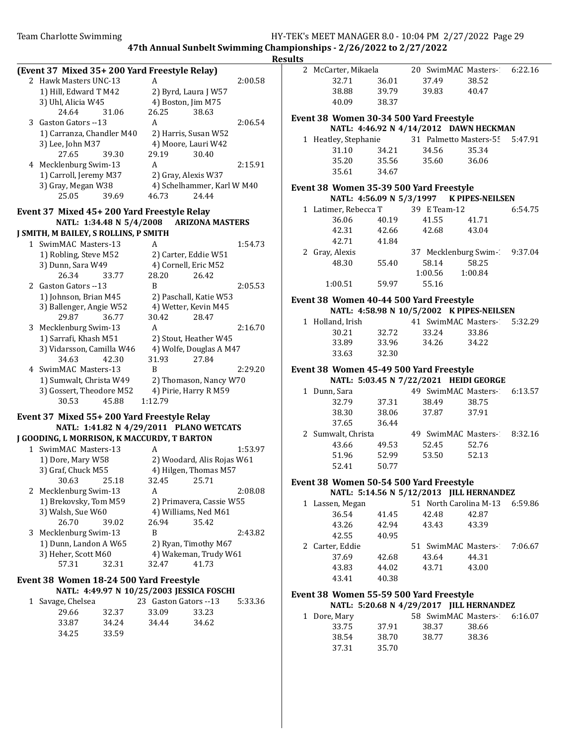|                                              |                                           |         | <b>Results</b> |                                         |                          |              |                                           |         |
|----------------------------------------------|-------------------------------------------|---------|----------------|-----------------------------------------|--------------------------|--------------|-------------------------------------------|---------|
| (Event 37 Mixed 35+200 Yard Freestyle Relay) |                                           |         |                | 2 McCarter, Mikaela                     |                          |              | 20 SwimMAC Masters-                       | 6:22.16 |
| 2 Hawk Masters UNC-13                        | A                                         | 2:00.58 |                | 32.71                                   | 36.01                    | 37.49        | 38.52                                     |         |
| 1) Hill, Edward T M42                        | 2) Byrd, Laura J W57                      |         |                | 38.88                                   | 39.79                    | 39.83        | 40.47                                     |         |
| 3) Uhl, Alicia W45                           | 4) Boston, Jim M75                        |         |                | 40.09                                   | 38.37                    |              |                                           |         |
| 24.64<br>31.06                               | 26.25<br>38.63                            |         |                |                                         |                          |              |                                           |         |
| 3 Gaston Gators -- 13                        | A                                         | 2:06.54 |                | Event 38 Women 30-34 500 Yard Freestyle |                          |              |                                           |         |
| 1) Carranza, Chandler M40                    | 2) Harris, Susan W52                      |         |                |                                         |                          |              | NATL: 4:46.92 N 4/14/2012 DAWN HECKMAN    |         |
| 3) Lee, John M37                             | 4) Moore, Lauri W42                       |         |                | 1 Heatley, Stephanie                    |                          |              | 31 Palmetto Masters-55                    | 5:47.91 |
| 39.30<br>27.65                               | 29.19<br>30.40                            |         |                | 31.10                                   | 34.21                    | 34.56        | 35.34                                     |         |
| 4 Mecklenburg Swim-13                        | A                                         | 2:15.91 |                | 35.20                                   | 35.56                    | 35.60        | 36.06                                     |         |
| 1) Carroll, Jeremy M37                       | 2) Gray, Alexis W37                       |         |                | 35.61                                   | 34.67                    |              |                                           |         |
| 3) Gray, Megan W38                           | 4) Schelhammer, Karl W M40                |         |                | Event 38 Women 35-39 500 Yard Freestyle |                          |              |                                           |         |
| 25.05<br>39.69                               | 24.44<br>46.73                            |         |                |                                         | NATL: 4:56.09 N 5/3/1997 |              | <b>K PIPES-NEILSEN</b>                    |         |
| Event 37 Mixed 45+200 Yard Freestyle Relay   |                                           |         |                | 1 Latimer, Rebecca T                    |                          | 39 E Team-12 |                                           | 6:54.75 |
| NATL: 1:34.48 N 5/4/2008                     | <b>ARIZONA MASTERS</b>                    |         |                | 36.06                                   | 40.19                    | 41.55        | 41.71                                     |         |
| J SMITH, M BAILEY, S ROLLINS, P SMITH        |                                           |         |                | 42.31                                   | 42.66                    | 42.68        | 43.04                                     |         |
| 1 SwimMAC Masters-13                         | A                                         | 1:54.73 |                | 42.71                                   | 41.84                    |              |                                           |         |
| 1) Robling, Steve M52                        | 2) Carter, Eddie W51                      |         |                | 2 Gray, Alexis                          |                          |              | 37 Mecklenburg Swim-1                     | 9:37.04 |
| 3) Dunn, Sara W49                            | 4) Cornell, Eric M52                      |         |                | 48.30                                   | 55.40                    | 58.14        | 58.25                                     |         |
| 26.34<br>33.77                               | 28.20<br>26.42                            |         |                |                                         |                          | 1:00.56      | 1:00.84                                   |         |
| 2 Gaston Gators --13                         | <sub>R</sub>                              | 2:05.53 |                | 1:00.51                                 | 59.97                    | 55.16        |                                           |         |
| 1) Johnson, Brian M45                        | 2) Paschall, Katie W53                    |         |                |                                         |                          |              |                                           |         |
| 3) Ballenger, Angie W52                      | 4) Wetter, Kevin M45                      |         |                | Event 38 Women 40-44 500 Yard Freestyle |                          |              |                                           |         |
| 29.87<br>36.77                               | 30.42<br>28.47                            |         |                |                                         |                          |              | NATL: 4:58.98 N 10/5/2002 K PIPES-NEILSEN |         |
| 3 Mecklenburg Swim-13                        | A                                         | 2:16.70 |                | 1 Holland, Irish                        |                          |              | 41 SwimMAC Masters-1                      | 5:32.29 |
| 1) Sarrafi, Khash M51                        | 2) Stout, Heather W45                     |         |                | 30.21                                   | 32.72                    | 33.24        | 33.86                                     |         |
| 3) Vidarsson, Camilla W46                    | 4) Wolfe, Douglas A M47                   |         |                | 33.89                                   | 33.96                    | 34.26        | 34.22                                     |         |
| 34.63<br>42.30                               | 31.93<br>27.84                            |         |                | 33.63                                   | 32.30                    |              |                                           |         |
| 4 SwimMAC Masters-13                         | B                                         | 2:29.20 |                | Event 38 Women 45-49 500 Yard Freestyle |                          |              |                                           |         |
| 1) Sumwalt, Christa W49                      | 2) Thomason, Nancy W70                    |         |                |                                         |                          |              | NATL: 5:03.45 N 7/22/2021 HEIDI GEORGE    |         |
| 3) Gossert, Theodore M52                     | 4) Pirie, Harry R M59                     |         |                | 1 Dunn, Sara                            |                          |              | 49 SwimMAC Masters-                       | 6:13.57 |
| 30.53<br>45.88                               | 1:12.79                                   |         |                | 32.79                                   | 37.31                    | 38.49        | 38.75                                     |         |
| Event 37 Mixed 55+200 Yard Freestyle Relay   |                                           |         |                | 38.30                                   | 38.06                    | 37.87        | 37.91                                     |         |
|                                              | NATL: 1:41.82 N 4/29/2011 PLANO WETCATS   |         |                | 37.65                                   | 36.44                    |              |                                           |         |
| J GOODING, L MORRISON, K MACCURDY, T BARTON  |                                           |         |                | 2 Sumwalt, Christa                      |                          |              | 49 SwimMAC Masters-                       | 8:32.16 |
| 1 SwimMAC Masters-13                         | A                                         | 1:53.97 |                | 43.66                                   | 49.53                    | 52.45        | 52.76                                     |         |
| 1) Dore, Mary W58                            | 2) Woodard, Alis Rojas W61                |         |                | 51.96                                   | 52.99                    | 53.50        | 52.13                                     |         |
| 3) Graf, Chuck M55                           | 4) Hilgen, Thomas M57                     |         |                | 52.41                                   | 50.77                    |              |                                           |         |
| 30.63<br>25.18                               | 32.45<br>25.71                            |         |                |                                         |                          |              |                                           |         |
| 2 Mecklenburg Swim-13                        | A                                         | 2:08.08 |                | Event 38 Women 50-54 500 Yard Freestyle |                          |              | NATL: 5:14.56 N 5/12/2013 JILL HERNANDEZ  |         |
| 1) Brekovsky, Tom M59                        | 2) Primavera, Cassie W55                  |         |                |                                         |                          |              |                                           |         |
| 3) Walsh, Sue W60                            | 4) Williams, Ned M61                      |         |                | 1 Lassen, Megan                         |                          | 42.48        | 51 North Carolina M-13<br>42.87           | 6:59.86 |
| 39.02<br>26.70                               | 35.42<br>26.94                            |         |                | 36.54                                   | 41.45                    |              |                                           |         |
| 3 Mecklenburg Swim-13                        | B                                         | 2:43.82 |                | 43.26                                   | 42.94                    | 43.43        | 43.39                                     |         |
| 1) Dunn, Landon A W65                        | 2) Ryan, Timothy M67                      |         |                | 42.55                                   | 40.95                    |              |                                           |         |
| 3) Heher, Scott M60                          | 4) Wakeman, Trudy W61                     |         |                | 2 Carter, Eddie<br>37.69                |                          |              | 51 SwimMAC Masters-1<br>44.31             | 7:06.67 |
| 57.31<br>32.31                               | 32.47<br>41.73                            |         |                |                                         | 42.68                    | 43.64        |                                           |         |
|                                              |                                           |         |                | 43.83                                   | 44.02                    | 43.71        | 43.00                                     |         |
| Event 38 Women 18-24 500 Yard Freestyle      |                                           |         |                | 43.41                                   | 40.38                    |              |                                           |         |
|                                              | NATL: 4:49.97 N 10/25/2003 JESSICA FOSCHI |         |                | Event 38 Women 55-59 500 Yard Freestyle |                          |              |                                           |         |
| 1 Savage, Chelsea                            | 23 Gaston Gators --13                     | 5:33.36 |                |                                         |                          |              | NATL: 5:20.68 N 4/29/2017 JILL HERNANDEZ  |         |
| 29.66<br>32.37                               | 33.09<br>33.23                            |         |                | 1 Dore, Mary                            |                          |              | 58 SwimMAC Masters-1                      | 6:16.07 |
| 33.87<br>34.24                               | 34.44<br>34.62                            |         |                | 33.75                                   | 37.91                    | 38.37        | 38.66                                     |         |
| 33.59<br>34.25                               |                                           |         |                | 38.54                                   | 38.70                    | 38.77        | 38.36                                     |         |
|                                              |                                           |         |                | 37.31                                   | 35.70                    |              |                                           |         |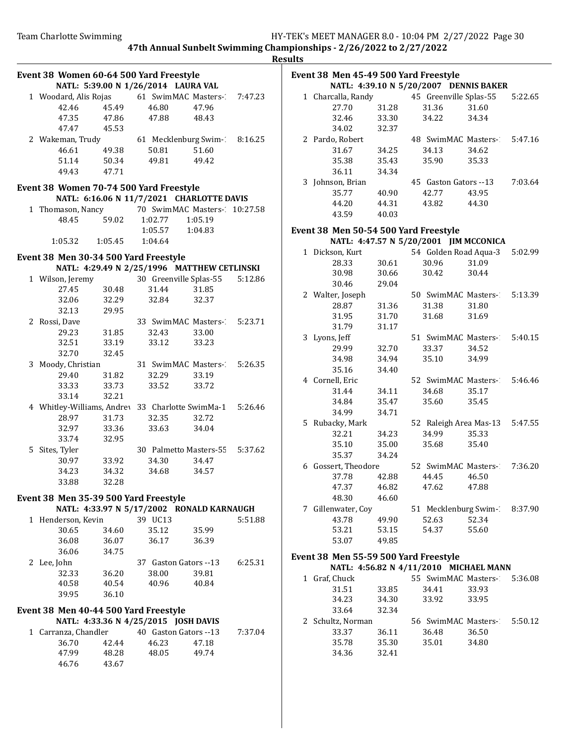| Π<br>ı |
|--------|
|--------|

|                                                                   |                         |                                      |                                             |          | лсэ |
|-------------------------------------------------------------------|-------------------------|--------------------------------------|---------------------------------------------|----------|-----|
| Event 38 Women 60-64 500 Yard Freestyle                           |                         |                                      |                                             |          |     |
|                                                                   |                         | NATL: 5:39.00 N 1/26/2014 LAURA VAL  |                                             |          |     |
| 1 Woodard, Alis Rojas 61 SwimMAC Masters- 7:47.23                 |                         |                                      |                                             |          |     |
| 42.46                                                             | 45.49                   | 46.80                                | 47.96                                       |          |     |
| 47.35                                                             |                         | 47.86 47.88 48.43                    |                                             |          |     |
| 47.47                                                             | 45.53                   |                                      |                                             |          |     |
| 2 Wakeman, Trudy 61 Mecklenburg Swim-1 8:16.25                    |                         |                                      |                                             |          |     |
| 46.61                                                             | 49.38                   | 50.81                                | 51.60                                       |          |     |
| 51.14                                                             | 50.34                   | 49.81                                | 49.42                                       |          |     |
| 49.43                                                             | 47.71                   |                                      |                                             |          |     |
| Event 38 Women 70-74 500 Yard Freestyle                           |                         |                                      |                                             |          |     |
|                                                                   |                         |                                      | NATL: 6:16.06 N 11/7/2021 CHARLOTTE DAVIS   |          |     |
| 1 Thomason, Nancy 70 SwimMAC Masters-                             |                         |                                      |                                             | 10:27.58 |     |
| 48.45                                                             | 59.02                   | 1:02.77                              | 1:05.19                                     |          |     |
|                                                                   |                         | 1:05.57                              | 1:04.83                                     |          |     |
|                                                                   | 1:05.32 1:05.45 1:04.64 |                                      |                                             |          |     |
| Event 38 Men 30-34 500 Yard Freestyle                             |                         |                                      |                                             |          |     |
|                                                                   |                         |                                      | NATL: 4:29.49 N 2/25/1996 MATTHEW CETLINSKI |          |     |
| 1 Wilson, Jeremy                                                  |                         |                                      | 30 Greenville Splas-55                      | 5:12.86  |     |
| 27.45                                                             | 30.48                   | 31.44                                | 31.85                                       |          |     |
| 32.06                                                             | 32.29                   | 32.84                                | 32.37                                       |          |     |
| 32.13                                                             | 29.95                   |                                      |                                             |          |     |
| 2 Rossi, Dave                                                     |                         |                                      | 33 SwimMAC Masters- 5:23.71                 |          |     |
| 29.23                                                             | 31.85                   | 32.43                                | 33.00                                       |          |     |
| 32.51                                                             | 33.19                   | 33.12                                | 33.23                                       |          |     |
| 32.70                                                             | 32.45                   |                                      |                                             |          |     |
| 3 Moody, Christian                                                |                         |                                      | 31 SwimMAC Masters- 5:26.35                 |          |     |
| 29.40                                                             | 31.82                   | 32.29                                | 33.19                                       |          |     |
| 33.33                                                             | 33.73                   | 33.52                                | 33.72                                       |          |     |
|                                                                   | 32.21                   |                                      |                                             |          |     |
| 33.14<br>4 Whitley-Williams, Andrey 33 Charlotte SwimMa-1 5:26.46 |                         |                                      |                                             |          |     |
|                                                                   | 31.73                   | 32.35                                |                                             |          |     |
| 28.97                                                             |                         |                                      | 32.72                                       |          |     |
| 32.97                                                             | 33.36                   |                                      | 33.63 34.04                                 |          |     |
| 33.74                                                             | 32.95                   |                                      |                                             |          |     |
| 5 Sites, Tyler                                                    |                         |                                      | 30 Palmetto Masters-55 5:37.62              |          |     |
| 30.97                                                             | 33.92                   | 34.30                                | 34.47                                       |          |     |
| 34.23                                                             | 34.32                   | 34.68                                | 34.57                                       |          |     |
| 33.88                                                             | 32.28                   |                                      |                                             |          |     |
| Event 38 Men 35-39 500 Yard Freestyle                             |                         |                                      |                                             |          |     |
|                                                                   |                         |                                      | NATL: 4:33.97 N 5/17/2002 RONALD KARNAUGH   |          |     |
| 1 Henderson, Kevin                                                |                         | 39 UC13                              |                                             | 5:51.88  |     |
| 30.65                                                             | 34.60                   | 35.12                                | 35.99                                       |          |     |
| 36.08                                                             | 36.07                   | 36.17                                | 36.39                                       |          |     |
| 36.06                                                             | 34.75                   |                                      |                                             |          |     |
| 2 Lee, John                                                       |                         |                                      | 37 Gaston Gators --13                       | 6:25.31  |     |
| 32.33                                                             | 36.20                   | 38.00                                | 39.81                                       |          |     |
| 40.58                                                             | 40.54                   | 40.96                                | 40.84                                       |          |     |
| 39.95                                                             | 36.10                   |                                      |                                             |          |     |
| Event 38 Men 40-44 500 Yard Freestyle                             |                         |                                      |                                             |          |     |
|                                                                   |                         | NATL: 4:33.36 N 4/25/2015 JOSH DAVIS |                                             |          |     |
| 1 Carranza, Chandler 40 Gaston Gators -- 13                       |                         |                                      |                                             | 7:37.04  |     |
| 36.70                                                             | 42.44                   | 46.23                                | 47.18                                       |          |     |
| 47.99                                                             | 48.28                   | 48.05                                | 49.74                                       |          |     |
| 46.76                                                             | 43.67                   |                                      |                                             |          |     |
|                                                                   |                         |                                      |                                             |          |     |
|                                                                   |                         |                                      |                                             |          |     |

| Event 38 Men 45-49 500 Yard Freestyle |                                        |       |  |                                |       |         |  |  |
|---------------------------------------|----------------------------------------|-------|--|--------------------------------|-------|---------|--|--|
|                                       | NATL: 4:39.10 N 5/20/2007 DENNIS BAKER |       |  |                                |       |         |  |  |
|                                       | 1 Charcalla, Randy                     |       |  | 45 Greenville Splas-55         |       | 5:22.65 |  |  |
|                                       | 27.70                                  | 31.28 |  | 31.36                          | 31.60 |         |  |  |
|                                       | 32.46                                  | 33.30 |  | 34.22                          | 34.34 |         |  |  |
|                                       | 34.02                                  | 32.37 |  |                                |       |         |  |  |
|                                       | 2 Pardo, Robert                        |       |  | 48 SwimMAC Masters- 5:47.16    |       |         |  |  |
|                                       | 31.67                                  | 34.25 |  | 34.13                          | 34.62 |         |  |  |
|                                       | 35.38                                  | 35.43 |  | 35.90                          | 35.33 |         |  |  |
|                                       | 36.11                                  | 34.34 |  |                                |       |         |  |  |
|                                       | 3 Johnson, Brian                       |       |  | 45 Gaston Gators --13          |       | 7:03.64 |  |  |
|                                       | 35.77                                  | 40.90 |  | 42.77                          | 43.95 |         |  |  |
|                                       | 44.20                                  | 44.31 |  | 43.82                          | 44.30 |         |  |  |
|                                       | 43.59                                  | 40.03 |  |                                |       |         |  |  |
|                                       |                                        |       |  |                                |       |         |  |  |
|                                       | Event 38 Men 50-54 500 Yard Freestyle  |       |  |                                |       |         |  |  |
|                                       | NATL: 4:47.57 N 5/20/2001 JIM MCCONICA |       |  |                                |       |         |  |  |
|                                       | 1 Dickson, Kurt                        |       |  | 54 Golden Road Aqua-3          |       | 5:02.99 |  |  |
|                                       | 28.33                                  | 30.61 |  | 30.96                          | 31.09 |         |  |  |
|                                       | 30.98                                  | 30.66 |  | 30.42                          | 30.44 |         |  |  |
|                                       | 30.46                                  | 29.04 |  |                                |       |         |  |  |
|                                       | 2 Walter, Joseph                       |       |  | 50 SwimMAC Masters-1           |       | 5:13.39 |  |  |
|                                       | 28.87                                  | 31.36 |  | 31.38                          | 31.80 |         |  |  |
|                                       | 31.95                                  | 31.70 |  | 31.68                          | 31.69 |         |  |  |
|                                       | 31.79                                  | 31.17 |  |                                |       |         |  |  |
|                                       | 3 Lyons, Jeff                          |       |  | 51 SwimMAC Masters- 5:40.15    |       |         |  |  |
|                                       | 29.99                                  | 32.70 |  | 33.37                          | 34.52 |         |  |  |
|                                       | 34.98                                  | 34.94 |  | 35.10                          | 34.99 |         |  |  |
|                                       | 35.16                                  | 34.40 |  |                                |       |         |  |  |
|                                       | 4 Cornell, Eric                        |       |  | 52 SwimMAC Masters-2           |       | 5:46.46 |  |  |
|                                       | 31.44                                  | 34.11 |  | 34.68                          | 35.17 |         |  |  |
|                                       | 34.84                                  | 35.47 |  | 35.60                          | 35.45 |         |  |  |
|                                       | 34.99                                  | 34.71 |  |                                |       |         |  |  |
|                                       | 5 Rubacky, Mark                        |       |  | 52 Raleigh Area Mas-13 5:47.55 |       |         |  |  |
|                                       | 32.21                                  | 34.23 |  | 34.99                          | 35.33 |         |  |  |
|                                       | 35.10                                  | 35.00 |  | 35.68                          | 35.40 |         |  |  |
|                                       | 35.37                                  | 34.24 |  |                                |       |         |  |  |
|                                       | 6 Gossert, Theodore                    |       |  | 52 SwimMAC Masters- 7:36.20    |       |         |  |  |
|                                       | 37.78                                  | 42.88 |  | 44.45                          | 46.50 |         |  |  |
|                                       | 47.37 46.82                            |       |  | 47.62 47.88                    |       |         |  |  |
|                                       | 48.30                                  | 46.60 |  |                                |       |         |  |  |
|                                       | 7 Gillenwater, Coy                     |       |  | 51 Mecklenburg Swim- 8:37.90   |       |         |  |  |
|                                       | 43.78                                  | 49.90 |  | 52.63                          | 52.34 |         |  |  |
|                                       | 53.21                                  | 53.15 |  | 54.37                          | 55.60 |         |  |  |
|                                       | 53.07                                  | 49.85 |  |                                |       |         |  |  |
|                                       |                                        |       |  |                                |       |         |  |  |
| Event 38 Men 55-59 500 Yard Freestyle |                                        |       |  |                                |       |         |  |  |
|                                       | NATL: 4:56.82 N 4/11/2010 MICHAEL MANN |       |  |                                |       |         |  |  |
|                                       | 1 Graf, Chuck                          |       |  | 55 SwimMAC Masters-1 5:36.08   |       |         |  |  |
|                                       | 31.51                                  | 33.85 |  | 34.41                          | 33.93 |         |  |  |
|                                       | 34.23                                  | 34.30 |  | 33.92                          | 33.95 |         |  |  |
|                                       | 33.64                                  | 32.34 |  |                                |       |         |  |  |
|                                       | 2 Schultz, Norman                      |       |  | 56 SwimMAC Masters- 5:50.12    |       |         |  |  |

33.37 36.11 36.48 36.50

34.36 32.41

34.80